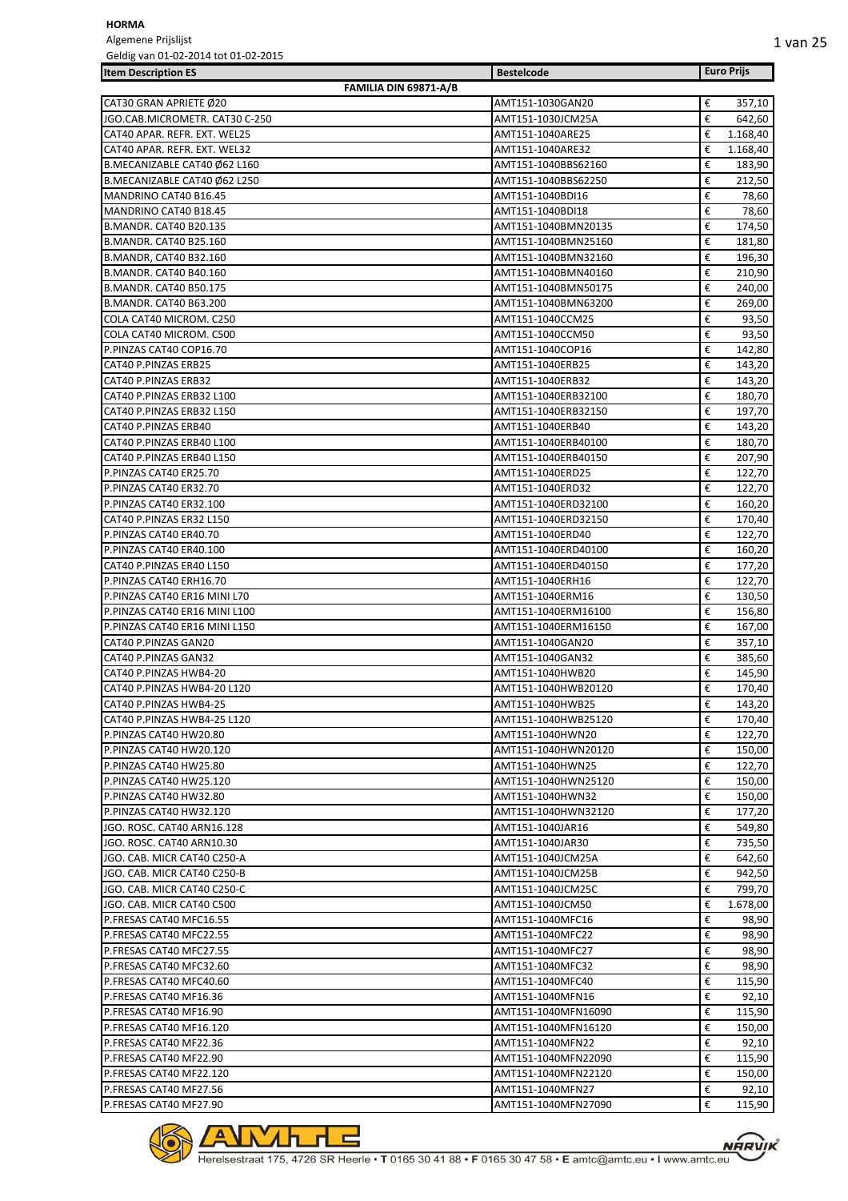Algemene Prijslijst Geldig van 01-02-2014 tot 01-02-2015

| <b>Item Description ES</b>                          |                       | <b>Bestelcode</b>                       |        | <b>Euro Prijs</b> |
|-----------------------------------------------------|-----------------------|-----------------------------------------|--------|-------------------|
|                                                     | FAMILIA DIN 69871-A/B |                                         |        |                   |
| CAT30 GRAN APRIETE Ø20                              |                       | AMT151-1030GAN20                        | €      | 357,10            |
| JGO.CAB.MICROMETR. CAT30 C-250                      |                       | AMT151-1030JCM25A                       | €      | 642,60            |
| CAT40 APAR. REFR. EXT. WEL25                        |                       | AMT151-1040ARE25                        | €      | 1.168,40          |
| CAT40 APAR. REFR. EXT. WEL32                        |                       | AMT151-1040ARE32                        | €      | 1.168,40          |
| B.MECANIZABLE CAT40 Ø62 L160                        |                       | AMT151-1040BBS62160                     | €      | 183,90            |
| B.MECANIZABLE CAT40 Ø62 L250                        |                       | AMT151-1040BBS62250                     | €      | 212,50            |
| MANDRINO CAT40 B16.45                               |                       | AMT151-1040BDI16                        | €      | 78,60             |
| MANDRINO CAT40 B18.45                               |                       | AMT151-1040BDI18                        | €      | 78,60             |
| B.MANDR. CAT40 B20.135                              |                       | AMT151-1040BMN20135                     | €      | 174,50            |
| B.MANDR. CAT40 B25.160                              |                       | AMT151-1040BMN25160                     | €      | 181.80            |
| B.MANDR, CAT40 B32.160                              |                       | AMT151-1040BMN32160                     | €      | 196,30            |
| B.MANDR. CAT40 B40.160                              |                       | AMT151-1040BMN40160                     | €      | 210,90            |
| <b>B.MANDR. CAT40 B50.175</b>                       |                       | AMT151-1040BMN50175                     | €      | 240,00            |
| B.MANDR. CAT40 B63.200                              |                       | AMT151-1040BMN63200                     | €      | 269,00            |
| COLA CAT40 MICROM. C250                             |                       | AMT151-1040CCM25                        | €      | 93,50             |
| COLA CAT40 MICROM. C500                             |                       | AMT151-1040CCM50                        | €      | 93,50             |
| P.PINZAS CAT40 COP16.70                             |                       | AMT151-1040COP16                        | €      | 142,80            |
| CAT40 P.PINZAS ERB25                                |                       | AMT151-1040ERB25                        | €      | 143,20            |
| CAT40 P.PINZAS ERB32                                |                       | AMT151-1040ERB32                        | €      | 143,20            |
| CAT40 P.PINZAS ERB32 L100                           |                       | AMT151-1040ERB32100                     | €      | 180,70            |
| CAT40 P.PINZAS ERB32 L150                           |                       | AMT151-1040ERB32150                     | €      | 197,70            |
| CAT40 P.PINZAS ERB40                                |                       | AMT151-1040ERB40                        | €      | 143,20            |
| CAT40 P.PINZAS ERB40 L100                           |                       | AMT151-1040ERB40100                     | €      | 180,70            |
| CAT40 P.PINZAS ERB40 L150                           |                       | AMT151-1040ERB40150                     | €      | 207,90            |
| P.PINZAS CAT40 ER25.70                              |                       | AMT151-1040ERD25                        | €<br>€ | 122,70            |
| P.PINZAS CAT40 ER32.70                              |                       | AMT151-1040ERD32<br>AMT151-1040ERD32100 | €      | 122,70<br>160,20  |
| P.PINZAS CAT40 ER32.100<br>CAT40 P.PINZAS ER32 L150 |                       | AMT151-1040ERD32150                     | €      | 170,40            |
| P.PINZAS CAT40 ER40.70                              |                       | AMT151-1040ERD40                        | €      | 122,70            |
| P.PINZAS CAT40 ER40.100                             |                       | AMT151-1040ERD40100                     | €      | 160,20            |
| CAT40 P.PINZAS ER40 L150                            |                       | AMT151-1040ERD40150                     | €      | 177,20            |
| P.PINZAS CAT40 ERH16.70                             |                       | AMT151-1040ERH16                        | €      | 122,70            |
| P.PINZAS CAT40 ER16 MINI L70                        |                       | AMT151-1040ERM16                        | €      | 130,50            |
| P.PINZAS CAT40 ER16 MINI L100                       |                       | AMT151-1040ERM16100                     | €      | 156,80            |
| P.PINZAS CAT40 ER16 MINI L150                       |                       | AMT151-1040ERM16150                     | €      | 167,00            |
| CAT40 P.PINZAS GAN20                                |                       | AMT151-1040GAN20                        | €      | 357,10            |
| CAT40 P.PINZAS GAN32                                |                       | AMT151-1040GAN32                        | €      | 385,60            |
| CAT40 P.PINZAS HWB4-20                              |                       | AMT151-1040HWB20                        | €      | 145,90            |
| CAT40 P.PINZAS HWB4-20 L120                         |                       | AMT151-1040HWB20120                     | €      | 170,40            |
| CAT40 P.PINZAS HWB4-25                              |                       | AMT151-1040HWB25                        | €      | 143,20            |
| CAT40 P.PINZAS HWB4-25 L120                         |                       | AMT151-1040HWB25120                     | €      | 170,40            |
| P.PINZAS CAT40 HW20.80                              |                       | AMT151-1040HWN20                        | €      | 122,70            |
| P.PINZAS CAT40 HW20.120                             |                       | AMT151-1040HWN20120                     | €      | 150,00            |
| P.PINZAS CAT40 HW25.80                              |                       | AMT151-1040HWN25                        | €      | 122,70            |
| P.PINZAS CAT40 HW25.120                             |                       | AMT151-1040HWN25120                     | €      | 150,00            |
| P.PINZAS CAT40 HW32.80                              |                       | AMT151-1040HWN32                        | €      | 150,00            |
| P.PINZAS CAT40 HW32.120                             |                       | AMT151-1040HWN32120                     | €      | 177,20            |
| JGO. ROSC. CAT40 ARN16.128                          |                       | AMT151-1040JAR16                        | €      | 549,80            |
| JGO. ROSC. CAT40 ARN10.30                           |                       | AMT151-1040JAR30                        | €      | 735,50            |
| JGO. CAB. MICR CAT40 C250-A                         |                       | AMT151-1040JCM25A                       | €      | 642,60            |
| JGO. CAB. MICR CAT40 C250-B                         |                       | AMT151-1040JCM25B                       | €      | 942,50            |
| JGO. CAB. MICR CAT40 C250-C                         |                       | AMT151-1040JCM25C                       | €      | 799,70            |
| JGO. CAB. MICR CAT40 C500                           |                       | AMT151-1040JCM50                        | €      | 1.678,00          |
| P.FRESAS CAT40 MFC16.55                             |                       | AMT151-1040MFC16                        | €      | 98,90             |
| P.FRESAS CAT40 MFC22.55                             |                       | AMT151-1040MFC22                        | €      | 98,90             |
| P.FRESAS CAT40 MFC27.55                             |                       | AMT151-1040MFC27                        | €      | 98,90             |
| P.FRESAS CAT40 MFC32.60                             |                       | AMT151-1040MFC32                        | €      | 98,90             |
| P.FRESAS CAT40 MFC40.60                             |                       | AMT151-1040MFC40                        | €      | 115,90            |
| P.FRESAS CAT40 MF16.36                              |                       | AMT151-1040MFN16                        | €      | 92,10             |
| P.FRESAS CAT40 MF16.90                              |                       | AMT151-1040MFN16090                     | €      | 115,90            |
| P.FRESAS CAT40 MF16.120                             |                       | AMT151-1040MFN16120                     | €      | 150,00            |
| P.FRESAS CAT40 MF22.36                              |                       | AMT151-1040MFN22                        | €      | 92,10             |
| P.FRESAS CAT40 MF22.90                              |                       | AMT151-1040MFN22090                     | €      | 115,90            |
| P.FRESAS CAT40 MF22.120                             |                       | AMT151-1040MFN22120                     | €      | 150,00            |
| P.FRESAS CAT40 MF27.56                              |                       | AMT151-1040MFN27                        | €      | 92,10             |

P.FRESAS CAT40 MF27.90 **AMT151-1040MFN27090 € 115,90** 



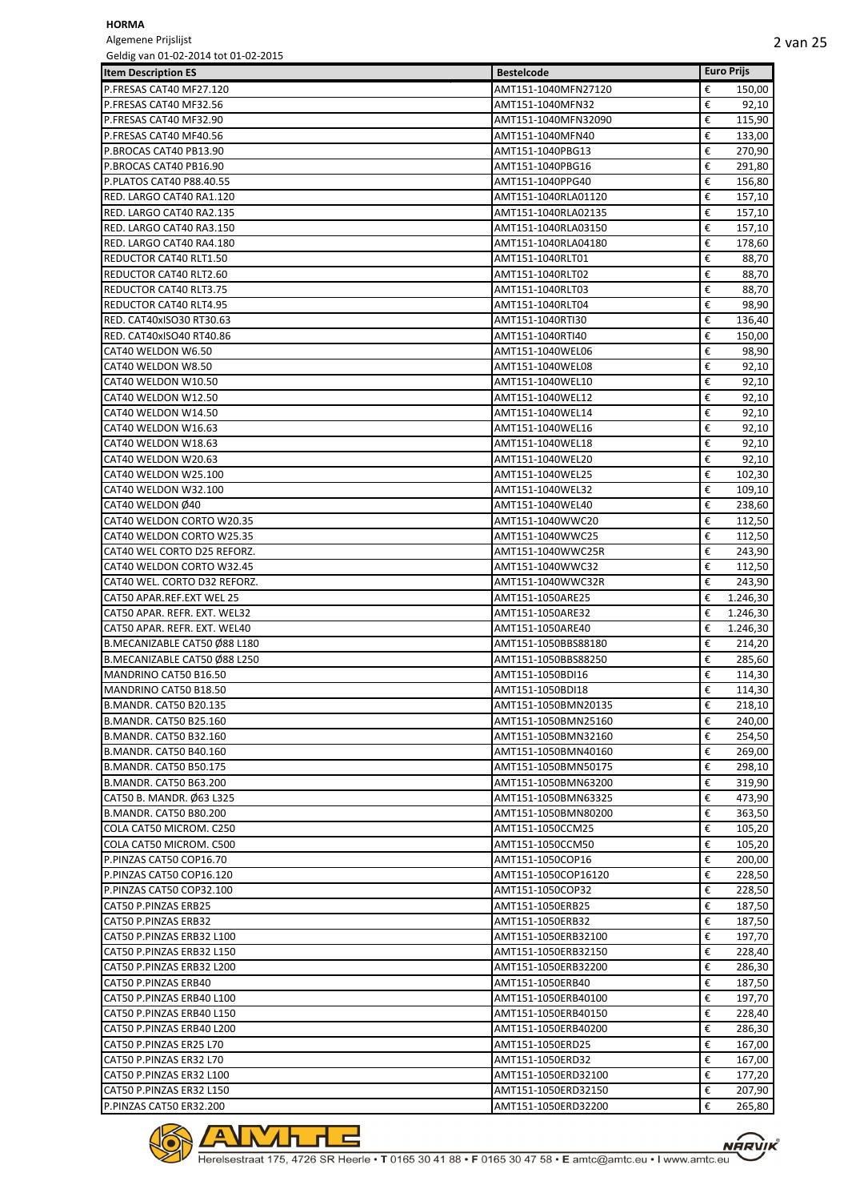Algemene Prijslijst Geldig van 01-02-2014 tot 01-02-2015

| Geldig vali 01-02-2014 tot 01-02-2015 |                     |                       |
|---------------------------------------|---------------------|-----------------------|
| <b>Item Description ES</b>            | <b>Bestelcode</b>   | <b>Euro Prijs</b>     |
| P.FRESAS CAT40 MF27.120               | AMT151-1040MFN27120 | €<br>150,00           |
| P.FRESAS CAT40 MF32.56                | AMT151-1040MFN32    | €<br>92,10            |
| P.FRESAS CAT40 MF32.90                | AMT151-1040MFN32090 | €<br>115,90           |
| P.FRESAS CAT40 MF40.56                | AMT151-1040MFN40    | €<br>133,00           |
| P.BROCAS CAT40 PB13.90                | AMT151-1040PBG13    | €<br>270,90           |
| P.BROCAS CAT40 PB16.90                | AMT151-1040PBG16    | €<br>291,80           |
| P.PLATOS CAT40 P88.40.55              | AMT151-1040PPG40    | €<br>156,80           |
| RED. LARGO CAT40 RA1.120              | AMT151-1040RLA01120 | €<br>157,10           |
| RED. LARGO CAT40 RA2.135              | AMT151-1040RLA02135 | €<br>157,10           |
| RED. LARGO CAT40 RA3.150              | AMT151-1040RLA03150 | €<br>157,10           |
| RED. LARGO CAT40 RA4.180              | AMT151-1040RLA04180 | €<br>178,60           |
| REDUCTOR CAT40 RLT1.50                | AMT151-1040RLT01    | €<br>88,70            |
| <b>REDUCTOR CAT40 RLT2.60</b>         | AMT151-1040RLT02    | €<br>88,70            |
| <b>REDUCTOR CAT40 RLT3.75</b>         | AMT151-1040RLT03    | €<br>88,70            |
| <b>REDUCTOR CAT40 RLT4.95</b>         | AMT151-1040RLT04    | €<br>98,90            |
| <b>RED. CAT40xISO30 RT30.63</b>       | AMT151-1040RTI30    | €<br>136,40           |
| RED. CAT40xISO40 RT40.86              | AMT151-1040RTI40    | €<br>150,00           |
| CAT40 WELDON W6.50                    | AMT151-1040WEL06    | €<br>98,90            |
| CAT40 WELDON W8.50                    | AMT151-1040WEL08    | €<br>92,10            |
| CAT40 WELDON W10.50                   | AMT151-1040WEL10    | €<br>92,10            |
| CAT40 WELDON W12.50                   | AMT151-1040WEL12    | €<br>92,10            |
| CAT40 WELDON W14.50                   | AMT151-1040WEL14    | €<br>92,10            |
| CAT40 WELDON W16.63                   | AMT151-1040WEL16    | €<br>92,10            |
| CAT40 WELDON W18.63                   | AMT151-1040WEL18    | €<br>92,10            |
| CAT40 WELDON W20.63                   | AMT151-1040WEL20    | €<br>92,10            |
| CAT40 WELDON W25.100                  | AMT151-1040WEL25    | €<br>102,30           |
| CAT40 WELDON W32.100                  | AMT151-1040WEL32    | €<br>109,10           |
| CAT40 WELDON Ø40                      | AMT151-1040WEL40    | €<br>238,60           |
| CAT40 WELDON CORTO W20.35             | AMT151-1040WWC20    | €<br>112,50           |
| CAT40 WELDON CORTO W25.35             | AMT151-1040WWC25    | €<br>112,50           |
| CAT40 WEL CORTO D25 REFORZ.           | AMT151-1040WWC25R   | €<br>243,90           |
| CAT40 WELDON CORTO W32.45             | AMT151-1040WWC32    | €<br>112,50           |
| CAT40 WEL. CORTO D32 REFORZ.          | AMT151-1040WWC32R   | €<br>243,90           |
| CAT50 APAR.REF.EXT WEL 25             | AMT151-1050ARE25    | €<br>1.246,30         |
| CAT50 APAR. REFR. EXT. WEL32          | AMT151-1050ARE32    | €<br>1.246,30         |
| CAT50 APAR. REFR. EXT. WEL40          | AMT151-1050ARE40    | €<br>1.246,30         |
| B.MECANIZABLE CAT50 Ø88 L180          | AMT151-1050BBS88180 | €<br>214,20           |
| B.MECANIZABLE CAT50 Ø88 L250          | AMT151-1050BBS88250 | €<br>285,60           |
| MANDRINO CAT50 B16.50                 | AMT151-1050BDI16    | €<br>114,30           |
| MANDRINO CAT50 B18.50                 | AMT151-1050BDI18    | €<br>114,30           |
| <b>B.MANDR. CAT50 B20.135</b>         | AMT151-1050BMN20135 | €<br>218,10           |
| <b>B.MANDR. CAT50 B25.160</b>         | AMT151-1050BMN25160 | €<br>240,00           |
| B.MANDR. CAT50 B32.160                | AMT151-1050BMN32160 | €<br>254,50           |
| <b>B.MANDR. CAT50 B40.160</b>         | AMT151-1050BMN40160 | €<br>269,00           |
| <b>B.MANDR. CAT50 B50.175</b>         | AMT151-1050BMN50175 | €                     |
| <b>B.MANDR. CAT50 B63.200</b>         | AMT151-1050BMN63200 | 298,10<br>€           |
|                                       | AMT151-1050BMN63325 | 319,90<br>€<br>473,90 |
| CAT50 B. MANDR. Ø63 L325              |                     | €                     |
| <b>B.MANDR. CAT50 B80.200</b>         | AMT151-1050BMN80200 | 363,50                |
| COLA CAT50 MICROM. C250               | AMT151-1050CCM25    | €<br>105,20           |
| COLA CAT50 MICROM. C500               | AMT151-1050CCM50    | €<br>105,20<br>€      |
| P.PINZAS CAT50 COP16.70               | AMT151-1050COP16    | 200,00                |
| P.PINZAS CAT50 COP16.120              | AMT151-1050COP16120 | €<br>228,50           |
| P.PINZAS CAT50 COP32.100              | AMT151-1050COP32    | €<br>228,50           |
| CAT50 P.PINZAS ERB25                  | AMT151-1050ERB25    | €<br>187,50           |
| CAT50 P.PINZAS ERB32                  | AMT151-1050ERB32    | €<br>187,50           |
| CAT50 P.PINZAS ERB32 L100             | AMT151-1050ERB32100 | €<br>197,70           |
| CAT50 P.PINZAS ERB32 L150             | AMT151-1050ERB32150 | €<br>228,40           |
| CAT50 P.PINZAS ERB32 L200             | AMT151-1050ERB32200 | €<br>286,30           |
| CAT50 P.PINZAS ERB40                  | AMT151-1050ERB40    | €<br>187,50           |
| CAT50 P.PINZAS ERB40 L100             | AMT151-1050ERB40100 | €<br>197,70           |
| CAT50 P.PINZAS ERB40 L150             | AMT151-1050ERB40150 | €<br>228,40           |
| CAT50 P.PINZAS ERB40 L200             | AMT151-1050ERB40200 | €<br>286,30           |
| CAT50 P.PINZAS ER25 L70               | AMT151-1050ERD25    | €<br>167,00           |
| CAT50 P.PINZAS ER32 L70               | AMT151-1050ERD32    | €<br>167,00           |
| CAT50 P.PINZAS ER32 L100              | AMT151-1050ERD32100 | €<br>177,20           |
| CAT50 P.PINZAS ER32 L150              | AMT151-1050ERD32150 | €<br>207,90           |
| P.PINZAS CAT50 ER32.200               | AMT151-1050ERD32200 | €<br>265,80           |

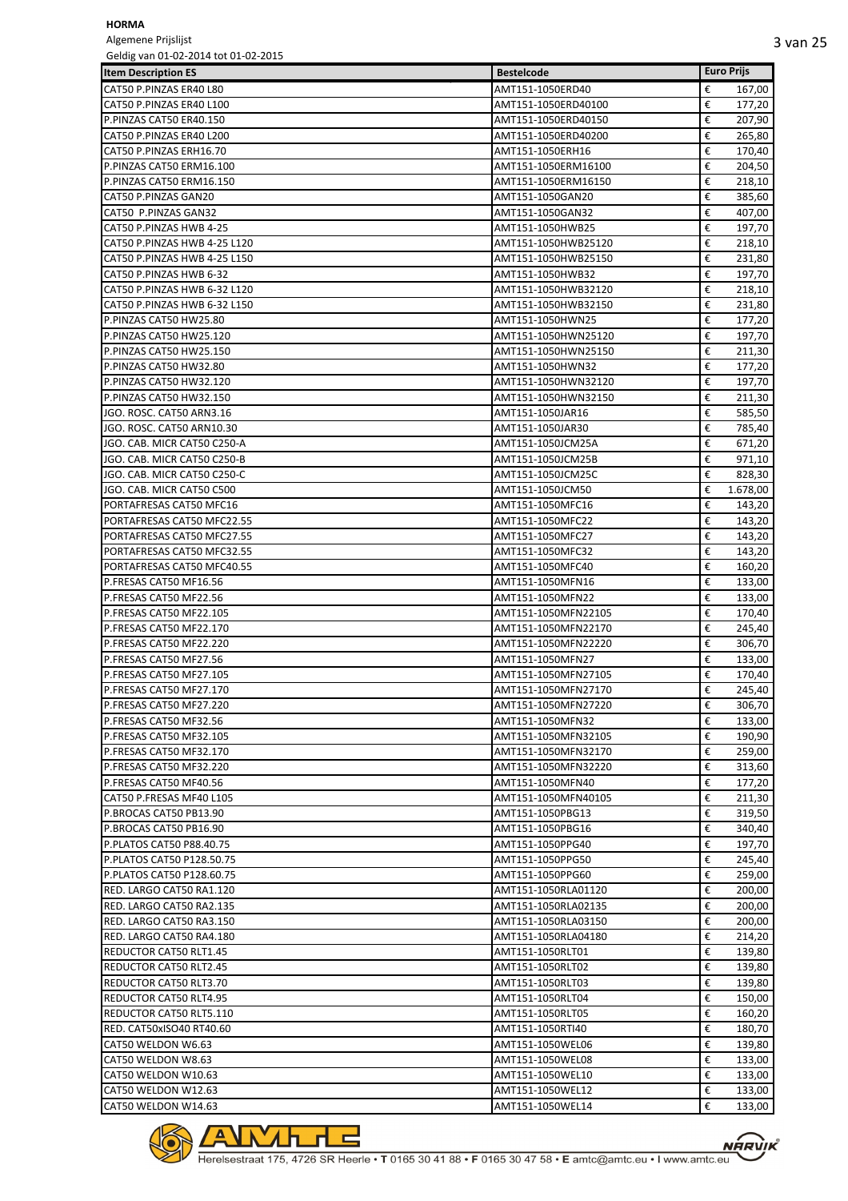Algemene Prijslijst<br>Geldig van 01-02-20  $6.01-02.2015$ 

| Geldig van 01-02-2014 tot 01-02-2015 |                     |                   |
|--------------------------------------|---------------------|-------------------|
| <b>Item Description ES</b>           | <b>Bestelcode</b>   | <b>Euro Prijs</b> |
| CAT50 P.PINZAS ER40 L80              | AMT151-1050ERD40    | €<br>167,00       |
| CAT50 P.PINZAS ER40 L100             | AMT151-1050ERD40100 | €<br>177,20       |
| P.PINZAS CAT50 ER40.150              | AMT151-1050ERD40150 | €<br>207,90       |
| CAT50 P.PINZAS ER40 L200             | AMT151-1050ERD40200 | €<br>265,80       |
| CAT50 P.PINZAS ERH16.70              | AMT151-1050ERH16    | €<br>170,40       |
| P.PINZAS CAT50 ERM16.100             | AMT151-1050ERM16100 | €<br>204,50       |
| P.PINZAS CAT50 ERM16.150             | AMT151-1050ERM16150 | €<br>218,10       |
| CAT50 P.PINZAS GAN20                 | AMT151-1050GAN20    | €<br>385,60       |
| CAT50 P.PINZAS GAN32                 | AMT151-1050GAN32    | €<br>407,00       |
| CAT50 P.PINZAS HWB 4-25              | AMT151-1050HWB25    | €<br>197,70       |
| CAT50 P.PINZAS HWB 4-25 L120         | AMT151-1050HWB25120 | €<br>218,10       |
| CAT50 P.PINZAS HWB 4-25 L150         | AMT151-1050HWB25150 | €<br>231,80       |
| CAT50 P.PINZAS HWB 6-32              | AMT151-1050HWB32    | €<br>197,70       |
| CAT50 P.PINZAS HWB 6-32 L120         | AMT151-1050HWB32120 | €<br>218,10       |
| CAT50 P.PINZAS HWB 6-32 L150         | AMT151-1050HWB32150 | €<br>231,80       |
| P.PINZAS CAT50 HW25.80               | AMT151-1050HWN25    | €<br>177,20       |
| P.PINZAS CAT50 HW25.120              | AMT151-1050HWN25120 | €<br>197,70       |
| P.PINZAS CAT50 HW25.150              | AMT151-1050HWN25150 | €<br>211,30       |
| P.PINZAS CAT50 HW32.80               | AMT151-1050HWN32    | €<br>177,20       |
| P.PINZAS CAT50 HW32.120              | AMT151-1050HWN32120 | €<br>197,70       |
| P.PINZAS CAT50 HW32.150              | AMT151-1050HWN32150 | €<br>211,30       |
| JGO. ROSC. CAT50 ARN3.16             | AMT151-1050JAR16    | €<br>585,50       |
| JGO. ROSC. CAT50 ARN10.30            | AMT151-1050JAR30    | €<br>785,40       |
| JGO. CAB. MICR CAT50 C250-A          | AMT151-1050JCM25A   | €<br>671,20       |
| JGO. CAB. MICR CAT50 C250-B          | AMT151-1050JCM25B   | €<br>971,10       |
| JGO. CAB. MICR CAT50 C250-C          | AMT151-1050JCM25C   | €<br>828,30       |
| JGO. CAB. MICR CAT50 C500            | AMT151-1050JCM50    | €<br>1.678,00     |
| PORTAFRESAS CAT50 MFC16              | AMT151-1050MFC16    | €<br>143,20       |
| PORTAFRESAS CAT50 MFC22.55           | AMT151-1050MFC22    | €<br>143,20       |
| PORTAFRESAS CAT50 MFC27.55           | AMT151-1050MFC27    | €<br>143,20       |
| PORTAFRESAS CAT50 MFC32.55           | AMT151-1050MFC32    | €<br>143,20       |
| PORTAFRESAS CAT50 MFC40.55           | AMT151-1050MFC40    | €<br>160,20       |
| P.FRESAS CAT50 MF16.56               | AMT151-1050MFN16    | €<br>133,00       |
| P.FRESAS CAT50 MF22.56               | AMT151-1050MFN22    | €<br>133,00       |
| P.FRESAS CAT50 MF22.105              | AMT151-1050MFN22105 | €<br>170,40       |
| P.FRESAS CAT50 MF22.170              | AMT151-1050MFN22170 | €<br>245,40       |
| P.FRESAS CAT50 MF22.220              | AMT151-1050MFN22220 | €<br>306,70       |
| P.FRESAS CAT50 MF27.56               | AMT151-1050MFN27    | €<br>133,00       |
| P.FRESAS CAT50 MF27.105              | AMT151-1050MFN27105 | €<br>170,40       |
| P.FRESAS CAT50 MF27.170              | AMT151-1050MFN27170 | €<br>245,40       |
| P.FRESAS CAT50 MF27.220              | AMT151-1050MFN27220 | €<br>306,70       |
| P.FRESAS CAT50 MF32.56               | AMT151-1050MFN32    | €<br>133,00       |
| P.FRESAS CAT50 MF32.105              | AMT151-1050MFN32105 | €<br>190,90       |
| P.FRESAS CAT50 MF32.170              | AMT151-1050MFN32170 | €<br>259,00       |
| P.FRESAS CAT50 MF32.220              | AMT151-1050MFN32220 | €<br>313,60       |
| P.FRESAS CAT50 MF40.56               | AMT151-1050MFN40    | €<br>177,20       |
| CAT50 P.FRESAS MF40 L105             | AMT151-1050MFN40105 | €<br>211,30       |
| P.BROCAS CAT50 PB13.90               | AMT151-1050PBG13    | €<br>319,50       |
| P.BROCAS CAT50 PB16.90               | AMT151-1050PBG16    | €<br>340,40       |
| P.PLATOS CAT50 P88.40.75             | AMT151-1050PPG40    | €<br>197,70       |
| P.PLATOS CAT50 P128.50.75            | AMT151-1050PPG50    | €<br>245,40       |
| P.PLATOS CAT50 P128.60.75            | AMT151-1050PPG60    | €<br>259,00       |
| RED. LARGO CAT50 RA1.120             | AMT151-1050RLA01120 | €<br>200,00       |
| RED. LARGO CAT50 RA2.135             | AMT151-1050RLA02135 | €<br>200,00       |
| RED. LARGO CAT50 RA3.150             | AMT151-1050RLA03150 | €<br>200,00       |
| RED. LARGO CAT50 RA4.180             | AMT151-1050RLA04180 | €<br>214,20       |
| REDUCTOR CAT50 RLT1.45               | AMT151-1050RLT01    | €<br>139,80       |
| <b>REDUCTOR CAT50 RLT2.45</b>        | AMT151-1050RLT02    | €<br>139,80       |
| REDUCTOR CAT50 RLT3.70               | AMT151-1050RLT03    | €<br>139,80       |
| REDUCTOR CAT50 RLT4.95               | AMT151-1050RLT04    | €<br>150,00       |
| REDUCTOR CAT50 RLT5.110              | AMT151-1050RLT05    | €<br>160,20       |
| <b>RED. CAT50xISO40 RT40.60</b>      | AMT151-1050RTI40    | €<br>180,70       |
| CAT50 WELDON W6.63                   | AMT151-1050WEL06    | €<br>139,80       |
| CAT50 WELDON W8.63                   | AMT151-1050WEL08    | €<br>133,00       |
| CAT50 WELDON W10.63                  | AMT151-1050WEL10    | €<br>133,00       |
| CAT50 WELDON W12.63                  | AMT151-1050WEL12    | €<br>133,00       |
| CAT50 WELDON W14.63                  | AMT151-1050WEL14    | €<br>133,00       |

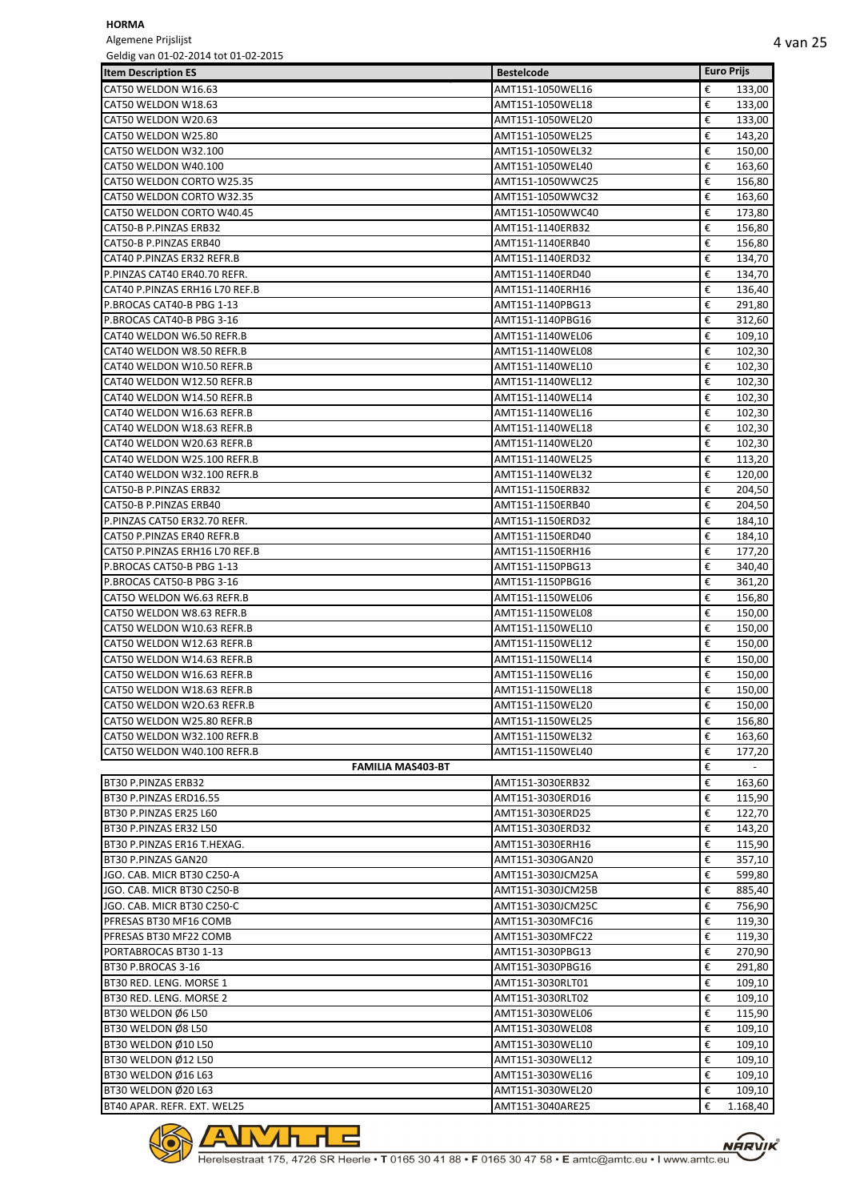Algemene Prijslijst

**NARVIK** 

| Geldig van 01-02-2014 tot 01-02-2015 |                                      |                   |
|--------------------------------------|--------------------------------------|-------------------|
| <b>Item Description ES</b>           | <b>Bestelcode</b>                    | <b>Euro Prijs</b> |
| CAT50 WELDON W16.63                  | AMT151-1050WEL16                     | €<br>133,00       |
| CAT50 WELDON W18.63                  | AMT151-1050WEL18                     | €<br>133,00       |
| CAT50 WELDON W20.63                  | AMT151-1050WEL20                     | €<br>133,00       |
| CAT50 WELDON W25.80                  | AMT151-1050WEL25                     | €<br>143,20       |
| CAT50 WELDON W32.100                 | AMT151-1050WEL32                     | €<br>150,00       |
| CAT50 WELDON W40.100                 | AMT151-1050WEL40                     | €<br>163,60       |
| CAT50 WELDON CORTO W25.35            | AMT151-1050WWC25                     | €<br>156,80       |
| CAT50 WELDON CORTO W32.35            | AMT151-1050WWC32                     | €<br>163,60       |
| CAT50 WELDON CORTO W40.45            | AMT151-1050WWC40                     | €<br>173,80       |
| CAT50-B P.PINZAS ERB32               | AMT151-1140ERB32                     | €<br>156,80       |
| CAT50-B P.PINZAS ERB40               | AMT151-1140ERB40                     | €<br>156,80       |
| CAT40 P.PINZAS ER32 REFR.B           | AMT151-1140ERD32                     | €<br>134,70       |
| P.PINZAS CAT40 ER40.70 REFR.         | AMT151-1140ERD40                     | €<br>134,70       |
| CAT40 P.PINZAS ERH16 L70 REF.B       | AMT151-1140ERH16                     | €<br>136,40       |
| P.BROCAS CAT40-B PBG 1-13            | AMT151-1140PBG13                     | €<br>291,80       |
| P.BROCAS CAT40-B PBG 3-16            | AMT151-1140PBG16                     | €<br>312,60       |
| CAT40 WELDON W6.50 REFR.B            | AMT151-1140WEL06                     | €<br>109,10       |
| CAT40 WELDON W8.50 REFR.B            | AMT151-1140WEL08                     | €<br>102,30       |
| CAT40 WELDON W10.50 REFR.B           | AMT151-1140WEL10                     | €<br>102,30       |
| CAT40 WELDON W12.50 REFR.B           | AMT151-1140WEL12                     | €<br>102,30       |
| CAT40 WELDON W14.50 REFR.B           | AMT151-1140WEL14                     | €                 |
|                                      |                                      | 102,30            |
| CAT40 WELDON W16.63 REFR.B           | AMT151-1140WEL16                     | €<br>102,30       |
| CAT40 WELDON W18.63 REFR.B           | AMT151-1140WEL18                     | €<br>102,30       |
| CAT40 WELDON W20.63 REFR.B           | AMT151-1140WEL20                     | €<br>102,30       |
| CAT40 WELDON W25.100 REFR.B          | AMT151-1140WEL25                     | €<br>113,20       |
| CAT40 WELDON W32.100 REFR.B          | AMT151-1140WEL32                     | €<br>120,00       |
| CAT50-B P.PINZAS ERB32               | AMT151-1150ERB32                     | €<br>204,50       |
| CAT50-B P.PINZAS ERB40               | AMT151-1150ERB40                     | €<br>204,50       |
| P.PINZAS CAT50 ER32.70 REFR.         | AMT151-1150ERD32                     | €<br>184,10       |
| CAT50 P.PINZAS ER40 REFR.B           | AMT151-1150ERD40                     | €<br>184,10       |
| CAT50 P.PINZAS ERH16 L70 REF.B       | AMT151-1150ERH16                     | €<br>177,20       |
| P.BROCAS CAT50-B PBG 1-13            | AMT151-1150PBG13                     | €<br>340,40       |
| P.BROCAS CAT50-B PBG 3-16            | AMT151-1150PBG16                     | €<br>361,20       |
| CAT5O WELDON W6.63 REFR.B            | AMT151-1150WEL06                     | €<br>156,80       |
| CAT50 WELDON W8.63 REFR.B            | AMT151-1150WEL08                     | €<br>150,00       |
| CAT50 WELDON W10.63 REFR.B           | AMT151-1150WEL10                     | €<br>150,00       |
| CAT50 WELDON W12.63 REFR.B           | AMT151-1150WEL12                     | €<br>150,00       |
| CAT50 WELDON W14.63 REFR.B           | AMT151-1150WEL14                     | €<br>150,00       |
| CAT50 WELDON W16.63 REFR.B           | AMT151-1150WEL16                     | €<br>150,00       |
| CAT50 WELDON W18.63 REFR.B           | AMT151-1150WEL18                     | €<br>150,00       |
| CAT50 WELDON W2O.63 REFR.B           | AMT151-1150WEL20                     | €<br>150,00       |
| CAT50 WELDON W25.80 REFR.B           | AMT151-1150WEL25                     | €<br>156,80       |
| CAT50 WELDON W32.100 REFR.B          | AMT151-1150WEL32                     | €<br>163,60       |
| CAT50 WELDON W40.100 REFR.B          | AMT151-1150WEL40                     | €<br>177,20       |
| <b>FAMILIA MAS403-BT</b>             |                                      | €<br>$\sim$       |
| BT30 P.PINZAS ERB32                  | AMT151-3030ERB32                     | €<br>163,60       |
| BT30 P.PINZAS ERD16.55               | AMT151-3030ERD16                     | €<br>115,90       |
| BT30 P.PINZAS ER25 L60               | AMT151-3030ERD25                     | €<br>122,70       |
| BT30 P.PINZAS ER32 L50               | AMT151-3030ERD32                     | €<br>143,20       |
| BT30 P.PINZAS ER16 T.HEXAG.          | AMT151-3030ERH16                     | €<br>115,90       |
| BT30 P.PINZAS GAN20                  | AMT151-3030GAN20                     | €<br>357,10       |
| JGO. CAB. MICR BT30 C250-A           | AMT151-3030JCM25A                    | €<br>599,80       |
| JGO. CAB. MICR BT30 C250-B           | AMT151-3030JCM25B                    | €<br>885,40       |
| JGO. CAB. MICR BT30 C250-C           | AMT151-3030JCM25C                    | €<br>756,90       |
| PFRESAS BT30 MF16 COMB               | AMT151-3030MFC16                     | €<br>119,30       |
| PFRESAS BT30 MF22 COMB               | AMT151-3030MFC22                     | €<br>119,30       |
| PORTABROCAS BT30 1-13                | AMT151-3030PBG13                     | €<br>270,90       |
| BT30 P.BROCAS 3-16                   | AMT151-3030PBG16                     | €<br>291,80       |
| BT30 RED. LENG. MORSE 1              | AMT151-3030RLT01                     | €<br>109,10       |
| BT30 RED. LENG. MORSE 2              | AMT151-3030RLT02                     | €<br>109,10       |
| BT30 WELDON Ø6 L50                   | AMT151-3030WEL06                     | €<br>115,90       |
| BT30 WELDON Ø8 L50                   | AMT151-3030WEL08                     | €<br>109,10       |
| BT30 WELDON Ø10 L50                  | AMT151-3030WEL10                     | €<br>109,10       |
| BT30 WELDON Ø12 L50                  | AMT151-3030WEL12                     | €<br>109,10       |
| BT30 WELDON Ø16 L63                  | AMT151-3030WEL16                     | €<br>109,10       |
| BT30 WELDON Ø20 L63                  |                                      | €<br>109,10       |
| BT40 APAR. REFR. EXT. WEL25          | AMT151-3030WEL20<br>AMT151-3040ARE25 | €<br>1.168,40     |
|                                      |                                      |                   |



 $\lambda$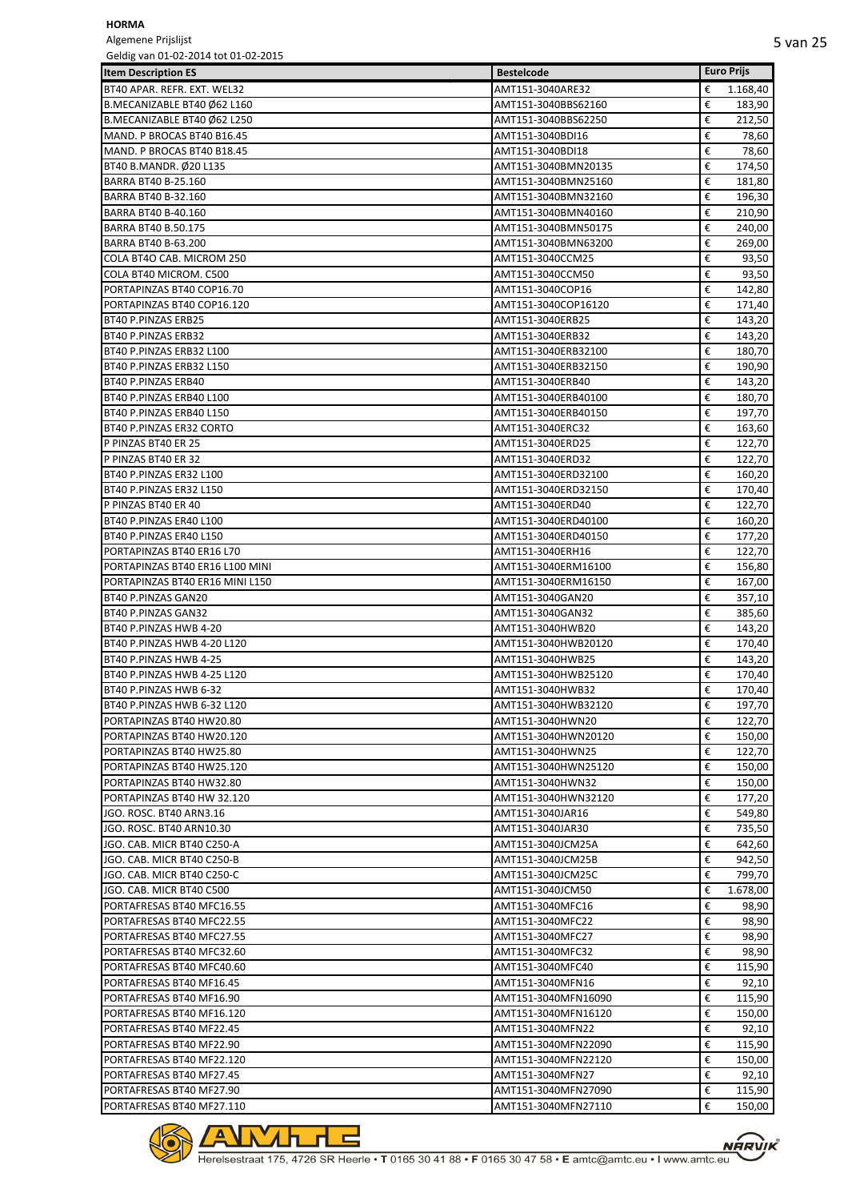Algemene Prijslijst

| Geldig van 01-02-2014 tot 01-02-2015 |                     |                   |
|--------------------------------------|---------------------|-------------------|
| <b>Item Description ES</b>           | <b>Bestelcode</b>   | <b>Euro Prijs</b> |
| BT40 APAR. REFR. EXT. WEL32          | AMT151-3040ARE32    | 1.168,40<br>€     |
| B.MECANIZABLE BT40 Ø62 L160          | AMT151-3040BBS62160 | €<br>183,90       |
| B.MECANIZABLE BT40 Ø62 L250          | AMT151-3040BBS62250 | €<br>212,50       |
| MAND. P BROCAS BT40 B16.45           | AMT151-3040BDI16    | 78,60<br>€        |
| MAND. P BROCAS BT40 B18.45           | AMT151-3040BDI18    | €<br>78,60        |
| BT40 B.MANDR. Ø20 L135               | AMT151-3040BMN20135 | €<br>174,50       |
| BARRA BT40 B-25.160                  | AMT151-3040BMN25160 | €<br>181,80       |
|                                      |                     |                   |
| <b>BARRA BT40 B-32.160</b>           | AMT151-3040BMN32160 | €<br>196,30       |
| BARRA BT40 B-40.160                  | AMT151-3040BMN40160 | €<br>210,90       |
| <b>BARRA BT40 B.50.175</b>           | AMT151-3040BMN50175 | €<br>240,00       |
| <b>BARRA BT40 B-63.200</b>           | AMT151-3040BMN63200 | €<br>269,00       |
| COLA BT4O CAB. MICROM 250            | AMT151-3040CCM25    | €<br>93,50        |
| COLA BT40 MICROM. C500               | AMT151-3040CCM50    | €<br>93,50        |
| PORTAPINZAS BT40 COP16.70            | AMT151-3040COP16    | €<br>142,80       |
| PORTAPINZAS BT40 COP16.120           | AMT151-3040COP16120 | €<br>171,40       |
| BT40 P.PINZAS ERB25                  | AMT151-3040ERB25    | €<br>143,20       |
| BT40 P.PINZAS ERB32                  | AMT151-3040ERB32    | €<br>143,20       |
| BT40 P.PINZAS ERB32 L100             | AMT151-3040ERB32100 | €<br>180,70       |
| BT40 P.PINZAS ERB32 L150             | AMT151-3040ERB32150 | €<br>190,90       |
| BT40 P.PINZAS ERB40                  | AMT151-3040ERB40    | €<br>143,20       |
|                                      |                     | €                 |
| BT40 P.PINZAS ERB40 L100             | AMT151-3040ERB40100 | 180,70            |
| BT40 P.PINZAS ERB40 L150             | AMT151-3040ERB40150 | €<br>197,70       |
| BT40 P.PINZAS ER32 CORTO             | AMT151-3040ERC32    | €<br>163,60       |
| P PINZAS BT40 ER 25                  | AMT151-3040ERD25    | €<br>122,70       |
| P PINZAS BT40 ER 32                  | AMT151-3040ERD32    | €<br>122,70       |
| BT40 P.PINZAS ER32 L100              | AMT151-3040ERD32100 | €<br>160,20       |
| BT40 P.PINZAS ER32 L150              | AMT151-3040ERD32150 | €<br>170,40       |
| P PINZAS BT40 ER 40                  | AMT151-3040ERD40    | €<br>122,70       |
| BT40 P.PINZAS ER40 L100              | AMT151-3040ERD40100 | €<br>160,20       |
| BT40 P.PINZAS ER40 L150              | AMT151-3040ERD40150 | €<br>177,20       |
| PORTAPINZAS BT40 ER16 L70            | AMT151-3040ERH16    | €<br>122,70       |
| PORTAPINZAS BT40 ER16 L100 MINI      | AMT151-3040ERM16100 | 156,80<br>€       |
| PORTAPINZAS BT40 ER16 MINI L150      |                     | €                 |
|                                      | AMT151-3040ERM16150 | 167,00            |
| BT40 P.PINZAS GAN20                  | AMT151-3040GAN20    | €<br>357,10       |
| BT40 P.PINZAS GAN32                  | AMT151-3040GAN32    | €<br>385,60       |
| BT40 P.PINZAS HWB 4-20               | AMT151-3040HWB20    | €<br>143,20       |
| BT40 P.PINZAS HWB 4-20 L120          | AMT151-3040HWB20120 | €<br>170,40       |
| BT40 P.PINZAS HWB 4-25               | AMT151-3040HWB25    | €<br>143,20       |
| BT40 P.PINZAS HWB 4-25 L120          | AMT151-3040HWB25120 | €<br>170,40       |
| BT40 P.PINZAS HWB 6-32               | AMT151-3040HWB32    | €<br>170,40       |
| BT40 P.PINZAS HWB 6-32 L120          | AMT151-3040HWB32120 | €<br>197,70       |
| PORTAPINZAS BT40 HW20.80             | AMT151-3040HWN20    | €<br>122,70       |
| PORTAPINZAS BT40 HW20.120            | AMT151-3040HWN20120 | €<br>150,00       |
| PORTAPINZAS BT40 HW25.80             | AMT151-3040HWN25    | €<br>122,70       |
| PORTAPINZAS BT40 HW25.120            | AMT151-3040HWN25120 | €<br>150,00       |
| PORTAPINZAS BT40 HW32.80             | AMT151-3040HWN32    | €<br>150,00       |
| PORTAPINZAS BT40 HW 32.120           | AMT151-3040HWN32120 | €<br>177,20       |
| JGO. ROSC. BT40 ARN3.16              | AMT151-3040JAR16    | €<br>549,80       |
| JGO. ROSC. BT40 ARN10.30             | AMT151-3040JAR30    | 735,50<br>€       |
|                                      |                     |                   |
| JGO. CAB. MICR BT40 C250-A           | AMT151-3040JCM25A   | €<br>642,60       |
| JGO. CAB. MICR BT40 C250-B           | AMT151-3040JCM25B   | €<br>942,50       |
| JGO. CAB. MICR BT40 C250-C           | AMT151-3040JCM25C   | €<br>799,70       |
| JGO. CAB. MICR BT40 C500             | AMT151-3040JCM50    | €<br>1.678,00     |
| PORTAFRESAS BT40 MFC16.55            | AMT151-3040MFC16    | 98,90<br>€        |
| PORTAFRESAS BT40 MFC22.55            | AMT151-3040MFC22    | €<br>98,90        |
| PORTAFRESAS BT40 MFC27.55            | AMT151-3040MFC27    | 98,90<br>€        |
| PORTAFRESAS BT40 MFC32.60            | AMT151-3040MFC32    | €<br>98,90        |
| PORTAFRESAS BT40 MFC40.60            | AMT151-3040MFC40    | €<br>115,90       |
| PORTAFRESAS BT40 MF16.45             | AMT151-3040MFN16    | €<br>92,10        |
| PORTAFRESAS BT40 MF16.90             | AMT151-3040MFN16090 | €<br>115,90       |
| PORTAFRESAS BT40 MF16.120            | AMT151-3040MFN16120 | €<br>150,00       |
| PORTAFRESAS BT40 MF22.45             |                     | €<br>92,10        |
|                                      | AMT151-3040MFN22    |                   |
| PORTAFRESAS BT40 MF22.90             | AMT151-3040MFN22090 | €<br>115,90       |
| PORTAFRESAS BT40 MF22.120            | AMT151-3040MFN22120 | €<br>150,00       |
| PORTAFRESAS BT40 MF27.45             | AMT151-3040MFN27    | €<br>92,10        |
| PORTAFRESAS BT40 MF27.90             | AMT151-3040MFN27090 | €<br>115,90       |
| PORTAFRESAS BT40 MF27.110            | AMT151-3040MFN27110 | €<br>150,00       |

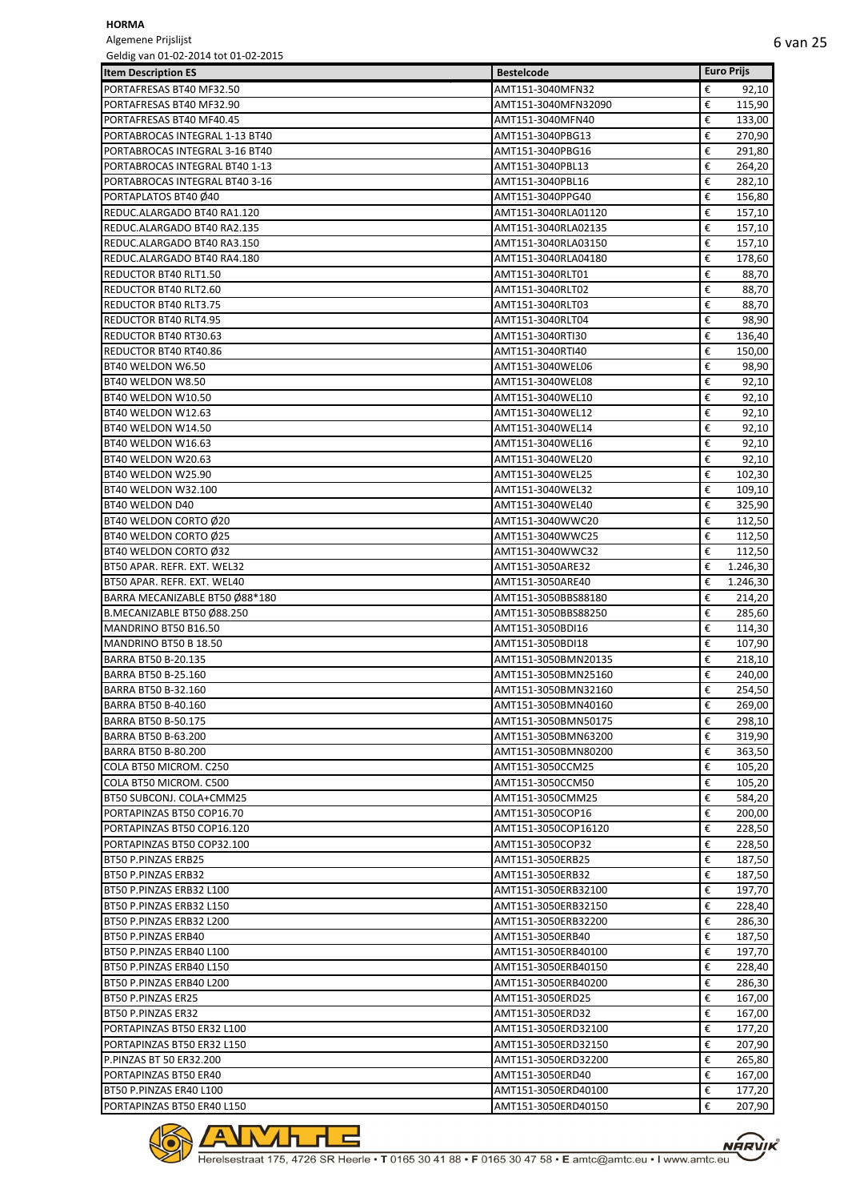Algemene Prijslijst<br>Geldig van 01-02-20 e<br>Geldig on the 11-02-2015

| Geldig van UI-02-2014 tot 01-02-2015                       |                                            | <b>Euro Prijs</b>     |
|------------------------------------------------------------|--------------------------------------------|-----------------------|
| <b>Item Description ES</b>                                 | <b>Bestelcode</b>                          |                       |
| PORTAFRESAS BT40 MF32.50                                   | AMT151-3040MFN32                           | €<br>92,10            |
| PORTAFRESAS BT40 MF32.90                                   | AMT151-3040MFN32090                        | €<br>115,90           |
| PORTAFRESAS BT40 MF40.45                                   | AMT151-3040MFN40                           | €<br>133,00           |
| PORTABROCAS INTEGRAL 1-13 BT40                             | AMT151-3040PBG13<br>AMT151-3040PBG16       | €<br>270,90<br>€      |
| PORTABROCAS INTEGRAL 3-16 BT40                             |                                            | 291,80<br>€           |
| PORTABROCAS INTEGRAL BT40 1-13                             | AMT151-3040PBL13                           | 264,20<br>€           |
| PORTABROCAS INTEGRAL BT40 3-16<br>PORTAPLATOS BT40 Ø40     | AMT151-3040PBL16<br>AMT151-3040PPG40       | 282,10<br>€           |
|                                                            | AMT151-3040RLA01120                        | 156,80<br>€           |
| REDUC.ALARGADO BT40 RA1.120<br>REDUC.ALARGADO BT40 RA2.135 |                                            | 157,10<br>€           |
| REDUC.ALARGADO BT40 RA3.150                                | AMT151-3040RLA02135<br>AMT151-3040RLA03150 | 157,10<br>€<br>157,10 |
| REDUC.ALARGADO BT40 RA4.180                                | AMT151-3040RLA04180                        | €<br>178,60           |
| <b>REDUCTOR BT40 RLT1.50</b>                               | AMT151-3040RLT01                           | €<br>88,70            |
| <b>REDUCTOR BT40 RLT2.60</b>                               | AMT151-3040RLT02                           | €<br>88,70            |
| <b>REDUCTOR BT40 RLT3.75</b>                               | AMT151-3040RLT03                           | €<br>88,70            |
| <b>REDUCTOR BT40 RLT4.95</b>                               | AMT151-3040RLT04                           | €<br>98,90            |
| <b>REDUCTOR BT40 RT30.63</b>                               | AMT151-3040RTI30                           | €<br>136,40           |
| REDUCTOR BT40 RT40.86                                      | AMT151-3040RTI40                           | €<br>150,00           |
| BT40 WELDON W6.50                                          | AMT151-3040WEL06                           | €<br>98,90            |
| BT40 WELDON W8.50                                          | AMT151-3040WEL08                           | €<br>92,10            |
| BT40 WELDON W10.50                                         | AMT151-3040WEL10                           | €<br>92,10            |
| BT40 WELDON W12.63                                         |                                            | €                     |
|                                                            | AMT151-3040WEL12                           | 92,10                 |
| BT40 WELDON W14.50                                         | AMT151-3040WEL14                           | €<br>92,10            |
| BT40 WELDON W16.63                                         | AMT151-3040WEL16                           | €<br>92,10            |
| BT40 WELDON W20.63                                         | AMT151-3040WEL20                           | €<br>92,10            |
| BT40 WELDON W25.90                                         | AMT151-3040WEL25                           | €<br>102,30           |
| BT40 WELDON W32.100                                        | AMT151-3040WEL32                           | €<br>109,10           |
| BT40 WELDON D40                                            | AMT151-3040WEL40                           | €<br>325,90           |
| BT40 WELDON CORTO Ø20                                      | AMT151-3040WWC20                           | €<br>112,50           |
| BT40 WELDON CORTO Ø25                                      | AMT151-3040WWC25                           | €<br>112,50           |
| BT40 WELDON CORTO Ø32                                      | AMT151-3040WWC32                           | €<br>112,50           |
| BT50 APAR. REFR. EXT. WEL32                                | AMT151-3050ARE32                           | €<br>1.246,30         |
| BT50 APAR. REFR. EXT. WEL40                                | AMT151-3050ARE40                           | €<br>1.246,30         |
| BARRA MECANIZABLE BT50 Ø88*180                             | AMT151-3050BBS88180                        | €<br>214,20           |
| B.MECANIZABLE BT50 Ø88.250                                 | AMT151-3050BBS88250                        | €<br>285,60           |
| MANDRINO BT50 B16.50                                       | AMT151-3050BDI16                           | €<br>114,30           |
| MANDRINO BT50 B 18.50                                      | AMT151-3050BDI18                           | €<br>107,90           |
| <b>BARRA BT50 B-20.135</b>                                 | AMT151-3050BMN20135                        | €<br>218,10           |
| BARRA BT50 B-25.160                                        | AMT151-3050BMN25160                        | €<br>240,00           |
| <b>BARRA BT50 B-32.160</b>                                 | AMT151-3050BMN32160                        | €<br>254,50           |
| BARRA BT50 B-40.160                                        | AMT151-3050BMN40160                        | €<br>269,00           |
| <b>BARRA BT50 B-50.175</b>                                 | AMT151-3050BMN50175                        | €<br>298,10           |
| BARRA BT50 B-63.200                                        | AMT151-3050BMN63200                        | €<br>319,90           |
| BARRA BT50 B-80.200                                        | AMT151-3050BMN80200                        | €<br>363,50           |
| COLA BT50 MICROM. C250                                     | AMT151-3050CCM25                           | €<br>105,20           |
| COLA BT50 MICROM. C500                                     | AMT151-3050CCM50                           | €<br>105,20           |
| BT50 SUBCONJ. COLA+CMM25                                   | AMT151-3050CMM25                           | €<br>584,20           |
| PORTAPINZAS BT50 COP16.70                                  | AMT151-3050COP16                           | €<br>200,00           |
| PORTAPINZAS BT50 COP16.120                                 | AMT151-3050COP16120                        | €<br>228,50           |
| PORTAPINZAS BT50 COP32.100                                 | AMT151-3050COP32                           | €<br>228,50           |
| BT50 P.PINZAS ERB25                                        | AMT151-3050ERB25                           | €<br>187,50           |
| BT50 P.PINZAS ERB32                                        | AMT151-3050ERB32                           | €<br>187,50           |
| BT50 P.PINZAS ERB32 L100                                   | AMT151-3050ERB32100                        | €<br>197,70           |
| BT50 P.PINZAS ERB32 L150                                   | AMT151-3050ERB32150                        | €<br>228,40           |
| BT50 P.PINZAS ERB32 L200                                   | AMT151-3050ERB32200                        | €<br>286,30           |
| BT50 P.PINZAS ERB40                                        | AMT151-3050ERB40                           | €<br>187,50           |
| BT50 P.PINZAS ERB40 L100                                   | AMT151-3050ERB40100                        | €<br>197,70           |
| BT50 P.PINZAS ERB40 L150                                   | AMT151-3050ERB40150                        | €<br>228,40           |
| BT50 P.PINZAS ERB40 L200                                   | AMT151-3050ERB40200                        | €<br>286,30           |
| BT50 P.PINZAS ER25                                         | AMT151-3050ERD25                           | €<br>167,00           |
| BT50 P.PINZAS ER32                                         | AMT151-3050ERD32                           | €<br>167,00           |
| PORTAPINZAS BT50 ER32 L100                                 | AMT151-3050ERD32100                        | €<br>177,20           |
| PORTAPINZAS BT50 ER32 L150                                 | AMT151-3050ERD32150                        | €<br>207,90           |
| P.PINZAS BT 50 ER32.200                                    | AMT151-3050ERD32200                        | €                     |
|                                                            |                                            | 265,80                |
| PORTAPINZAS BT50 ER40                                      | AMT151-3050ERD40                           | €<br>167,00           |
| BT50 P.PINZAS ER40 L100                                    | AMT151-3050ERD40100                        | €<br>177,20           |
| PORTAPINZAS BT50 ER40 L150                                 | AMT151-3050ERD40150                        | €<br>207,90           |

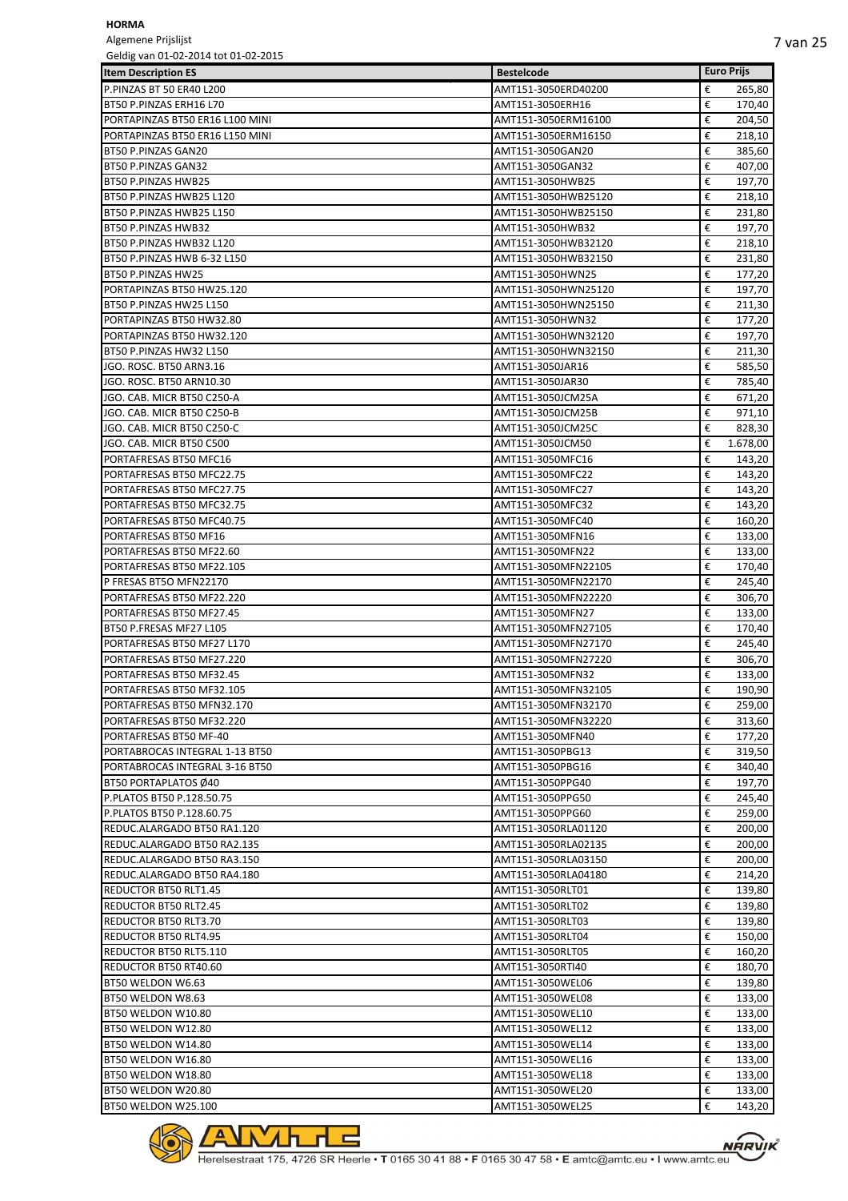Algemene Prijslijst

| Geldig van 01-02-2014 tot 01-02-2015 |                     |               |
|--------------------------------------|---------------------|---------------|
| <b>Item Description ES</b>           | <b>Bestelcode</b>   | Euro Prijs    |
| P.PINZAS BT 50 ER40 L200             | AMT151-3050ERD40200 | €<br>265,80   |
| BT50 P.PINZAS ERH16 L70              | AMT151-3050ERH16    | €<br>170,40   |
| PORTAPINZAS BT50 ER16 L100 MINI      | AMT151-3050ERM16100 | €<br>204,50   |
| PORTAPINZAS BT50 ER16 L150 MINI      | AMT151-3050ERM16150 | €<br>218,10   |
| BT50 P.PINZAS GAN20                  | AMT151-3050GAN20    | €<br>385,60   |
| BT50 P.PINZAS GAN32                  | AMT151-3050GAN32    | €<br>407,00   |
| BT50 P.PINZAS HWB25                  | AMT151-3050HWB25    | €<br>197,70   |
|                                      |                     | €             |
| BT50 P.PINZAS HWB25 L120             | AMT151-3050HWB25120 | 218,10        |
| BT50 P.PINZAS HWB25 L150             | AMT151-3050HWB25150 | €<br>231,80   |
| BT50 P.PINZAS HWB32                  | AMT151-3050HWB32    | €<br>197,70   |
| BT50 P.PINZAS HWB32 L120             | AMT151-3050HWB32120 | €<br>218,10   |
| BT50 P.PINZAS HWB 6-32 L150          | AMT151-3050HWB32150 | €<br>231,80   |
| BT50 P.PINZAS HW25                   | AMT151-3050HWN25    | €<br>177,20   |
| PORTAPINZAS BT50 HW25.120            | AMT151-3050HWN25120 | €<br>197,70   |
| BT50 P.PINZAS HW25 L150              | AMT151-3050HWN25150 | €<br>211,30   |
| PORTAPINZAS BT50 HW32.80             | AMT151-3050HWN32    | €<br>177,20   |
| PORTAPINZAS BT50 HW32.120            | AMT151-3050HWN32120 | €<br>197,70   |
| BT50 P.PINZAS HW32 L150              | AMT151-3050HWN32150 | €<br>211,30   |
| JGO. ROSC. BT50 ARN3.16              | AMT151-3050JAR16    | 585,50<br>€   |
| JGO. ROSC. BT50 ARN10.30             | AMT151-3050JAR30    | €<br>785,40   |
| JGO. CAB. MICR BT50 C250-A           | AMT151-3050JCM25A   | €             |
|                                      |                     | 671,20        |
| JGO. CAB. MICR BT50 C250-B           | AMT151-3050JCM25B   | €<br>971,10   |
| JGO. CAB. MICR BT50 C250-C           | AMT151-3050JCM25C   | €<br>828,30   |
| JGO. CAB. MICR BT50 C500             | AMT151-3050JCM50    | €<br>1.678,00 |
| PORTAFRESAS BT50 MFC16               | AMT151-3050MFC16    | €<br>143,20   |
| PORTAFRESAS BT50 MFC22.75            | AMT151-3050MFC22    | €<br>143,20   |
| PORTAFRESAS BT50 MFC27.75            | AMT151-3050MFC27    | €<br>143,20   |
| PORTAFRESAS BT50 MFC32.75            | AMT151-3050MFC32    | €<br>143,20   |
| PORTAFRESAS BT50 MFC40.75            | AMT151-3050MFC40    | €<br>160,20   |
| PORTAFRESAS BT50 MF16                | AMT151-3050MFN16    | €<br>133,00   |
| PORTAFRESAS BT50 MF22.60             | AMT151-3050MFN22    | €<br>133,00   |
| PORTAFRESAS BT50 MF22.105            | AMT151-3050MFN22105 | €<br>170,40   |
|                                      |                     | €             |
| P FRESAS BT50 MFN22170               | AMT151-3050MFN22170 | 245,40        |
| PORTAFRESAS BT50 MF22.220            | AMT151-3050MFN22220 | €<br>306,70   |
| PORTAFRESAS BT50 MF27.45             | AMT151-3050MFN27    | €<br>133,00   |
| BT50 P.FRESAS MF27 L105              | AMT151-3050MFN27105 | €<br>170,40   |
| PORTAFRESAS BT50 MF27 L170           | AMT151-3050MFN27170 | €<br>245,40   |
| PORTAFRESAS BT50 MF27.220            | AMT151-3050MFN27220 | €<br>306,70   |
| PORTAFRESAS BT50 MF32.45             | AMT151-3050MFN32    | €<br>133,00   |
| PORTAFRESAS BT50 MF32.105            | AMT151-3050MFN32105 | €<br>190,90   |
| PORTAFRESAS BT50 MFN32.170           | AMT151-3050MFN32170 | €<br>259,00   |
| PORTAFRESAS BT50 MF32.220            | AMT151-3050MFN32220 | €<br>313,60   |
| PORTAFRESAS BT50 MF-40               | AMT151-3050MFN40    | €<br>177,20   |
| PORTABROCAS INTEGRAL 1-13 BT50       | AMT151-3050PBG13    | €<br>319,50   |
| PORTABROCAS INTEGRAL 3-16 BT50       | AMT151-3050PBG16    | €<br>340,40   |
| BT50 PORTAPLATOS Ø40                 | AMT151-3050PPG40    | €<br>197,70   |
| P.PLATOS BT50 P.128.50.75            | AMT151-3050PPG50    | €<br>245,40   |
|                                      |                     |               |
| P.PLATOS BT50 P.128.60.75            | AMT151-3050PPG60    | €<br>259,00   |
| REDUC.ALARGADO BT50 RA1.120          | AMT151-3050RLA01120 | €<br>200,00   |
| REDUC.ALARGADO BT50 RA2.135          | AMT151-3050RLA02135 | €<br>200,00   |
| REDUC.ALARGADO BT50 RA3.150          | AMT151-3050RLA03150 | €<br>200,00   |
| REDUC.ALARGADO BT50 RA4.180          | AMT151-3050RLA04180 | €<br>214,20   |
| <b>REDUCTOR BT50 RLT1.45</b>         | AMT151-3050RLT01    | €<br>139,80   |
| <b>REDUCTOR BT50 RLT2.45</b>         | AMT151-3050RLT02    | €<br>139,80   |
| <b>REDUCTOR BT50 RLT3.70</b>         | AMT151-3050RLT03    | €<br>139,80   |
| <b>REDUCTOR BT50 RLT4.95</b>         | AMT151-3050RLT04    | €<br>150,00   |
| <b>REDUCTOR BT50 RLT5.110</b>        | AMT151-3050RLT05    | €<br>160,20   |
| <b>REDUCTOR BT50 RT40.60</b>         | AMT151-3050RTI40    | €<br>180,70   |
| BT50 WELDON W6.63                    | AMT151-3050WEL06    | €<br>139,80   |
|                                      |                     | €             |
| BT50 WELDON W8.63                    | AMT151-3050WEL08    | 133,00        |
| BT50 WELDON W10.80                   | AMT151-3050WEL10    | €<br>133,00   |
| BT50 WELDON W12.80                   | AMT151-3050WEL12    | €<br>133,00   |
| BT50 WELDON W14.80                   | AMT151-3050WEL14    | €<br>133,00   |
| BT50 WELDON W16.80                   | AMT151-3050WEL16    | €<br>133,00   |
| BT50 WELDON W18.80                   | AMT151-3050WEL18    | €<br>133,00   |
| BT50 WELDON W20.80                   | AMT151-3050WEL20    | €<br>133,00   |
| BT50 WELDON W25.100                  | AMT151-3050WEL25    | €<br>143,20   |

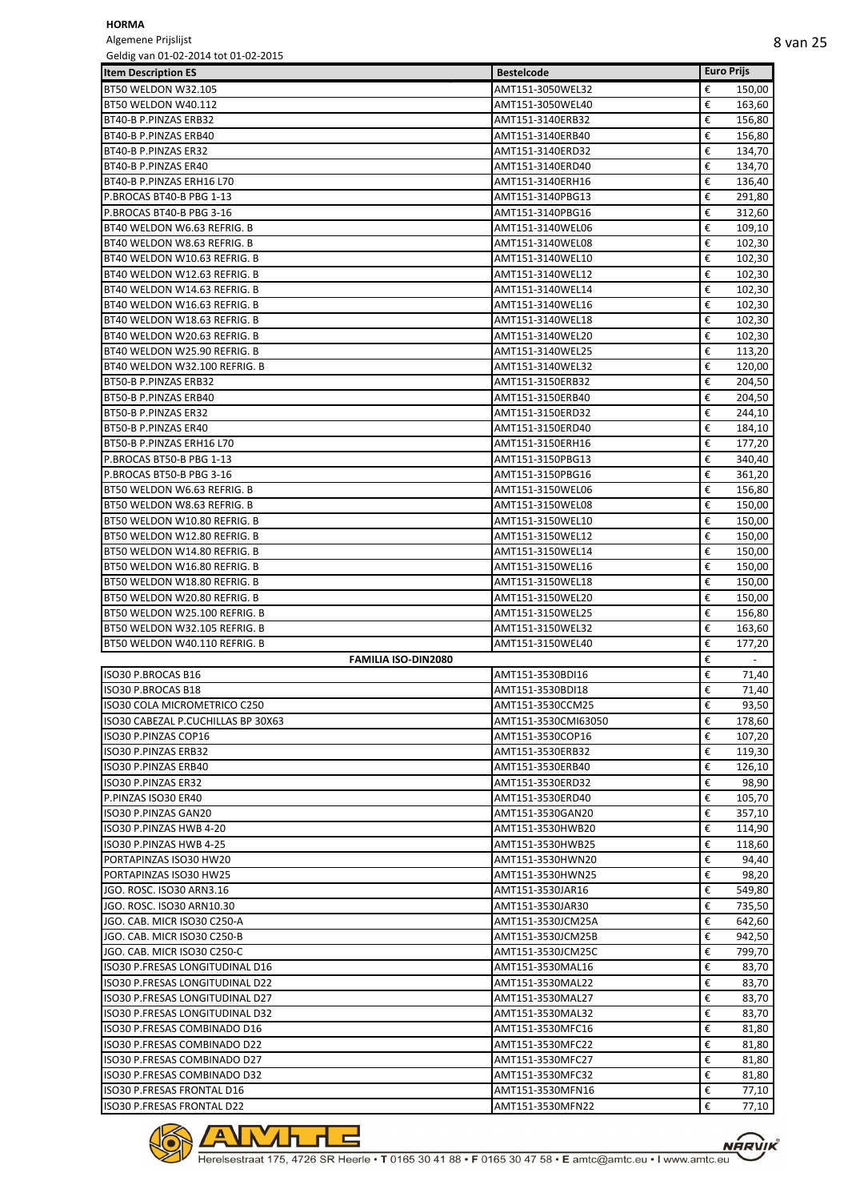Algemene Prijslijst

| Geldig van 01-02-2014 tot 01-02-2015 |                     |                   |                          |
|--------------------------------------|---------------------|-------------------|--------------------------|
| <b>Item Description ES</b>           | <b>Bestelcode</b>   | <b>Euro Prijs</b> |                          |
| BT50 WELDON W32.105                  | AMT151-3050WEL32    | €                 | 150,00                   |
| BT50 WELDON W40.112                  | AMT151-3050WEL40    | €                 | 163,60                   |
| BT40-B P.PINZAS ERB32                | AMT151-3140ERB32    | €                 | 156,80                   |
| BT40-B P.PINZAS ERB40                | AMT151-3140ERB40    | €                 | 156,80                   |
| BT40-B P.PINZAS ER32                 | AMT151-3140ERD32    | €                 | 134,70                   |
| BT40-B P.PINZAS ER40                 | AMT151-3140ERD40    | €                 | 134,70                   |
| BT40-B P.PINZAS ERH16 L70            | AMT151-3140ERH16    | €                 | 136,40                   |
| P.BROCAS BT40-B PBG 1-13             | AMT151-3140PBG13    | €                 | 291,80                   |
| P.BROCAS BT40-B PBG 3-16             | AMT151-3140PBG16    | €                 | 312,60                   |
| BT40 WELDON W6.63 REFRIG. B          | AMT151-3140WEL06    | €                 | 109,10                   |
| BT40 WELDON W8.63 REFRIG. B          | AMT151-3140WEL08    | €                 | 102,30                   |
| BT40 WELDON W10.63 REFRIG. B         | AMT151-3140WEL10    | €                 | 102,30                   |
| BT40 WELDON W12.63 REFRIG. B         | AMT151-3140WEL12    | €                 | 102,30                   |
| BT40 WELDON W14.63 REFRIG. B         | AMT151-3140WEL14    | €                 | 102,30                   |
| BT40 WELDON W16.63 REFRIG. B         | AMT151-3140WEL16    | €                 | 102,30                   |
| BT40 WELDON W18.63 REFRIG. B         | AMT151-3140WEL18    | €                 | 102,30                   |
| BT40 WELDON W20.63 REFRIG. B         | AMT151-3140WEL20    | €                 | 102,30                   |
| BT40 WELDON W25.90 REFRIG. B         | AMT151-3140WEL25    | €                 | 113,20                   |
| BT40 WELDON W32.100 REFRIG. B        | AMT151-3140WEL32    | €                 | 120,00                   |
| BT50-B P.PINZAS ERB32                | AMT151-3150ERB32    | €                 | 204,50                   |
| BT50-B P.PINZAS ERB40                | AMT151-3150ERB40    | €                 | 204,50                   |
| BT50-B P.PINZAS ER32                 | AMT151-3150ERD32    | €                 | 244,10                   |
| BT50-B P.PINZAS ER40                 |                     | €                 |                          |
|                                      | AMT151-3150ERD40    |                   | 184,10                   |
| BT50-B P.PINZAS ERH16 L70            | AMT151-3150ERH16    | €                 | 177,20                   |
| P.BROCAS BT50-B PBG 1-13             | AMT151-3150PBG13    | €                 | 340,40                   |
| P.BROCAS BT50-B PBG 3-16             | AMT151-3150PBG16    | €                 | 361,20                   |
| BT50 WELDON W6.63 REFRIG. B          | AMT151-3150WEL06    | €                 | 156,80                   |
| BT50 WELDON W8.63 REFRIG. B          | AMT151-3150WEL08    | €                 | 150,00                   |
| BT50 WELDON W10.80 REFRIG. B         | AMT151-3150WEL10    | €                 | 150,00                   |
| BT50 WELDON W12.80 REFRIG. B         | AMT151-3150WEL12    | €                 | 150,00                   |
| BT50 WELDON W14.80 REFRIG. B         | AMT151-3150WEL14    | €                 | 150,00                   |
| BT50 WELDON W16.80 REFRIG. B         | AMT151-3150WEL16    | €                 | 150,00                   |
| BT50 WELDON W18.80 REFRIG. B         | AMT151-3150WEL18    | €                 | 150,00                   |
| BT50 WELDON W20.80 REFRIG. B         | AMT151-3150WEL20    | €                 | 150,00                   |
| BT50 WELDON W25.100 REFRIG. B        | AMT151-3150WEL25    | €                 | 156,80                   |
| BT50 WELDON W32.105 REFRIG. B        | AMT151-3150WEL32    | €                 | 163,60                   |
| BT50 WELDON W40.110 REFRIG. B        | AMT151-3150WEL40    | €                 | 177,20                   |
| <b>FAMILIA ISO-DIN2080</b>           |                     | €                 | $\overline{\phantom{a}}$ |
| <b>ISO30 P.BROCAS B16</b>            | AMT151-3530BDI16    | €                 | 71,40                    |
| ISO30 P.BROCAS B18                   | AMT151-3530BDI18    | €                 | 71,40                    |
| ISO30 COLA MICROMETRICO C250         | AMT151-3530CCM25    | €                 | 93,50                    |
| ISO30 CABEZAL P.CUCHILLAS BP 30X63   | AMT151-3530CMI63050 | €                 | 178,60                   |
| ISO30 P.PINZAS COP16                 | AMT151-3530COP16    | €                 | 107,20                   |
| ISO30 P.PINZAS ERB32                 | AMT151-3530ERB32    | €                 | 119,30                   |
| ISO30 P.PINZAS ERB40                 | AMT151-3530ERB40    | €                 | 126,10                   |
| ISO30 P.PINZAS ER32                  | AMT151-3530ERD32    | €                 | 98,90                    |
| P.PINZAS ISO30 ER40                  | AMT151-3530ERD40    | €                 | 105,70                   |
| ISO30 P.PINZAS GAN20                 | AMT151-3530GAN20    | €                 | 357,10                   |
| ISO30 P.PINZAS HWB 4-20              | AMT151-3530HWB20    | €                 | 114,90                   |
| ISO30 P.PINZAS HWB 4-25              | AMT151-3530HWB25    | €                 | 118,60                   |
| PORTAPINZAS ISO30 HW20               | AMT151-3530HWN20    | €                 | 94,40                    |
| PORTAPINZAS ISO30 HW25               | AMT151-3530HWN25    | €                 | 98,20                    |
| JGO. ROSC. ISO30 ARN3.16             | AMT151-3530JAR16    | €                 | 549,80                   |
| JGO. ROSC. ISO30 ARN10.30            | AMT151-3530JAR30    | €                 | 735,50                   |
| JGO. CAB. MICR ISO30 C250-A          | AMT151-3530JCM25A   | €                 | 642,60                   |
| JGO. CAB. MICR ISO30 C250-B          | AMT151-3530JCM25B   | €                 | 942,50                   |
| JGO. CAB. MICR ISO30 C250-C          |                     | €                 |                          |
| ISO30 P.FRESAS LONGITUDINAL D16      | AMT151-3530JCM25C   | €                 | 799,70<br>83,70          |
|                                      | AMT151-3530MAL16    |                   |                          |
| ISO30 P.FRESAS LONGITUDINAL D22      | AMT151-3530MAL22    | €                 | 83,70                    |
| ISO30 P.FRESAS LONGITUDINAL D27      | AMT151-3530MAL27    | €                 | 83,70                    |
| ISO30 P.FRESAS LONGITUDINAL D32      | AMT151-3530MAL32    | €                 | 83,70                    |
| ISO30 P.FRESAS COMBINADO D16         | AMT151-3530MFC16    | €                 | 81,80                    |
| ISO30 P.FRESAS COMBINADO D22         | AMT151-3530MFC22    | €                 | 81,80                    |
| ISO30 P.FRESAS COMBINADO D27         | AMT151-3530MFC27    | €                 | 81,80                    |
| ISO30 P.FRESAS COMBINADO D32         | AMT151-3530MFC32    | €                 | 81,80                    |
| <b>ISO30 P.FRESAS FRONTAL D16</b>    | AMT151-3530MFN16    | €                 | 77,10                    |
| ISO30 P.FRESAS FRONTAL D22           | AMT151-3530MFN22    | €                 | 77,10                    |



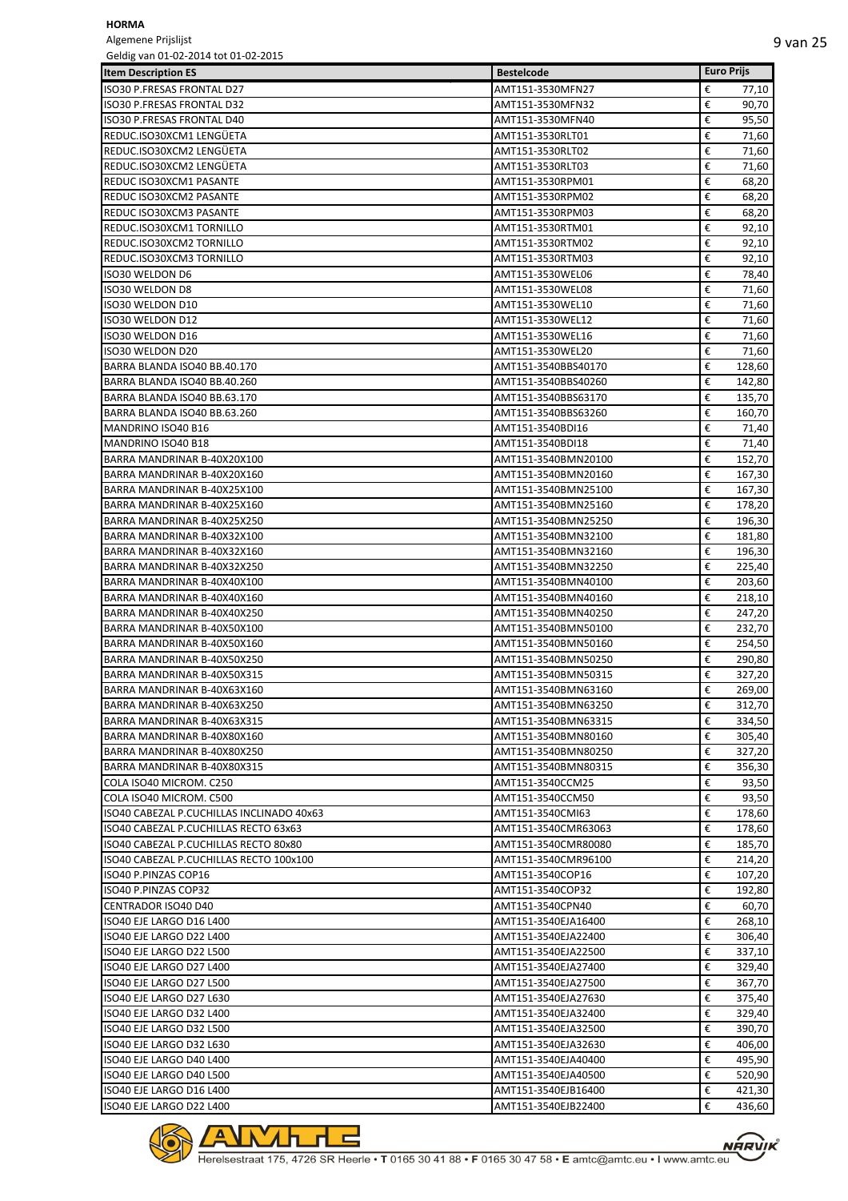Algemene Prijslijst<br>Geldig van 01-02-20  $01.02.2015$ 

| Geldig van 01-02-2014 tot 01-02-2015      |                     |                       |
|-------------------------------------------|---------------------|-----------------------|
| <b>Item Description ES</b>                | <b>Bestelcode</b>   | <b>Euro Prijs</b>     |
| <b>ISO30 P.FRESAS FRONTAL D27</b>         | AMT151-3530MFN27    | €<br>77,10            |
| ISO30 P.FRESAS FRONTAL D32                | AMT151-3530MFN32    | €<br>90,70            |
| <b>ISO30 P.FRESAS FRONTAL D40</b>         | AMT151-3530MFN40    | €<br>95,50            |
| REDUC.ISO30XCM1 LENGÜETA                  | AMT151-3530RLT01    | €<br>71,60            |
| REDUC.ISO30XCM2 LENGÜETA                  | AMT151-3530RLT02    | €<br>71,60            |
| REDUC.ISO30XCM2 LENGÜETA                  | AMT151-3530RLT03    | €<br>71,60            |
| REDUC ISO30XCM1 PASANTE                   | AMT151-3530RPM01    | €<br>68,20            |
| REDUC ISO30XCM2 PASANTE                   | AMT151-3530RPM02    | €<br>68,20            |
| REDUC ISO30XCM3 PASANTE                   | AMT151-3530RPM03    | €<br>68,20            |
| REDUC.ISO30XCM1TORNILLO                   | AMT151-3530RTM01    | €<br>92,10            |
| REDUC.ISO30XCM2 TORNILLO                  | AMT151-3530RTM02    | €<br>92,10            |
| REDUC.ISO30XCM3 TORNILLO                  | AMT151-3530RTM03    | €<br>92,10            |
| <b>ISO30 WELDON D6</b>                    | AMT151-3530WEL06    | €<br>78,40            |
| <b>ISO30 WELDON D8</b>                    | AMT151-3530WEL08    | €<br>71,60            |
| ISO30 WELDON D10                          | AMT151-3530WEL10    | €<br>71,60            |
| ISO30 WELDON D12                          | AMT151-3530WEL12    | €<br>71,60            |
| ISO30 WELDON D16                          | AMT151-3530WEL16    | €<br>71,60            |
| ISO30 WELDON D20                          | AMT151-3530WEL20    | €<br>71,60            |
| BARRA BLANDA ISO40 BB.40.170              | AMT151-3540BBS40170 | €<br>128,60           |
| BARRA BLANDA ISO40 BB.40.260              | AMT151-3540BBS40260 | €<br>142,80           |
| BARRA BLANDA ISO40 BB.63.170              | AMT151-3540BBS63170 | €<br>135,70           |
| BARRA BLANDA ISO40 BB.63.260              | AMT151-3540BBS63260 | €<br>160,70           |
| MANDRINO ISO40 B16                        | AMT151-3540BDI16    | €<br>71,40            |
| MANDRINO ISO40 B18                        | AMT151-3540BDI18    | €<br>71,40            |
| BARRA MANDRINAR B-40X20X100               | AMT151-3540BMN20100 | €<br>152,70           |
| BARRA MANDRINAR B-40X20X160               | AMT151-3540BMN20160 | €<br>167,30           |
| BARRA MANDRINAR B-40X25X100               | AMT151-3540BMN25100 | €<br>167,30           |
| BARRA MANDRINAR B-40X25X160               | AMT151-3540BMN25160 | €<br>178,20           |
| BARRA MANDRINAR B-40X25X250               | AMT151-3540BMN25250 | €<br>196,30           |
| BARRA MANDRINAR B-40X32X100               | AMT151-3540BMN32100 | €<br>181,80           |
| BARRA MANDRINAR B-40X32X160               | AMT151-3540BMN32160 | €<br>196,30           |
| BARRA MANDRINAR B-40X32X250               | AMT151-3540BMN32250 | €<br>225,40           |
| BARRA MANDRINAR B-40X40X100               | AMT151-3540BMN40100 | €<br>203,60           |
| BARRA MANDRINAR B-40X40X160               | AMT151-3540BMN40160 | €<br>218,10           |
| BARRA MANDRINAR B-40X40X250               | AMT151-3540BMN40250 | €<br>247,20           |
| BARRA MANDRINAR B-40X50X100               | AMT151-3540BMN50100 | €<br>232,70           |
| BARRA MANDRINAR B-40X50X160               | AMT151-3540BMN50160 | €<br>254,50           |
| BARRA MANDRINAR B-40X50X250               | AMT151-3540BMN50250 | €<br>290,80           |
| BARRA MANDRINAR B-40X50X315               | AMT151-3540BMN50315 | €<br>327,20           |
| BARRA MANDRINAR B-40X63X160               | AMT151-3540BMN63160 | €<br>269,00           |
| BARRA MANDRINAR B-40X63X250               | AMT151-3540BMN63250 | €<br>312,70           |
| BARRA MANDRINAR B-40X63X315               | AMT151-3540BMN63315 | €<br>334,50           |
| BARRA MANDRINAR B-40X80X160               | AMT151-3540BMN80160 | €<br>305,40           |
| BARRA MANDRINAR B-40X80X250               | AMT151-3540BMN80250 | €<br>327,20           |
| BARRA MANDRINAR B-40X80X315               | AMT151-3540BMN80315 | €<br>356,30           |
| COLA ISO40 MICROM. C250                   | AMT151-3540CCM25    | €<br>93,50            |
| COLA ISO40 MICROM. C500                   | AMT151-3540CCM50    | €<br>93,50            |
| ISO40 CABEZAL P.CUCHILLAS INCLINADO 40x63 | AMT151-3540CMI63    | €<br>178,60           |
| ISO40 CABEZAL P.CUCHILLAS RECTO 63x63     | AMT151-3540CMR63063 | €<br>178,60           |
| ISO40 CABEZAL P.CUCHILLAS RECTO 80x80     | AMT151-3540CMR80080 | €<br>185,70           |
| ISO40 CABEZAL P.CUCHILLAS RECTO 100x100   | AMT151-3540CMR96100 | €<br>214,20           |
| ISO40 P.PINZAS COP16                      | AMT151-3540COP16    | €<br>107,20           |
| ISO40 P.PINZAS COP32                      | AMT151-3540COP32    | €<br>192,80           |
| CENTRADOR ISO40 D40                       | AMT151-3540CPN40    | €<br>60,70            |
| ISO40 EJE LARGO D16 L400                  | AMT151-3540EJA16400 | €<br>268,10           |
| ISO40 EJE LARGO D22 L400                  | AMT151-3540EJA22400 | €<br>306,40           |
| ISO40 EJE LARGO D22 L500                  | AMT151-3540EJA22500 | €<br>337,10           |
| ISO40 EJE LARGO D27 L400                  | AMT151-3540EJA27400 | €<br>329,40           |
| ISO40 EJE LARGO D27 L500                  | AMT151-3540EJA27500 | €<br>367,70           |
| ISO40 EJE LARGO D27 L630                  | AMT151-3540EJA27630 | €<br>375,40           |
| ISO40 EJE LARGO D32 L400                  | AMT151-3540EJA32400 | €<br>329,40           |
| ISO40 EJE LARGO D32 L500                  | AMT151-3540EJA32500 | €<br>390,70           |
| ISO40 EJE LARGO D32 L630                  | AMT151-3540EJA32630 | €<br>406,00           |
| ISO40 EJE LARGO D40 L400                  | AMT151-3540EJA40400 | 495,90<br>€           |
| ISO40 EJE LARGO D40 L500                  | AMT151-3540EJA40500 | €<br>520,90           |
|                                           |                     | €                     |
| ISO40 EJE LARGO D16 L400                  | AMT151-3540EJB16400 | 421,30<br>€<br>436,60 |
| ISO40 EJE LARGO D22 L400                  | AMT151-3540EJB22400 |                       |

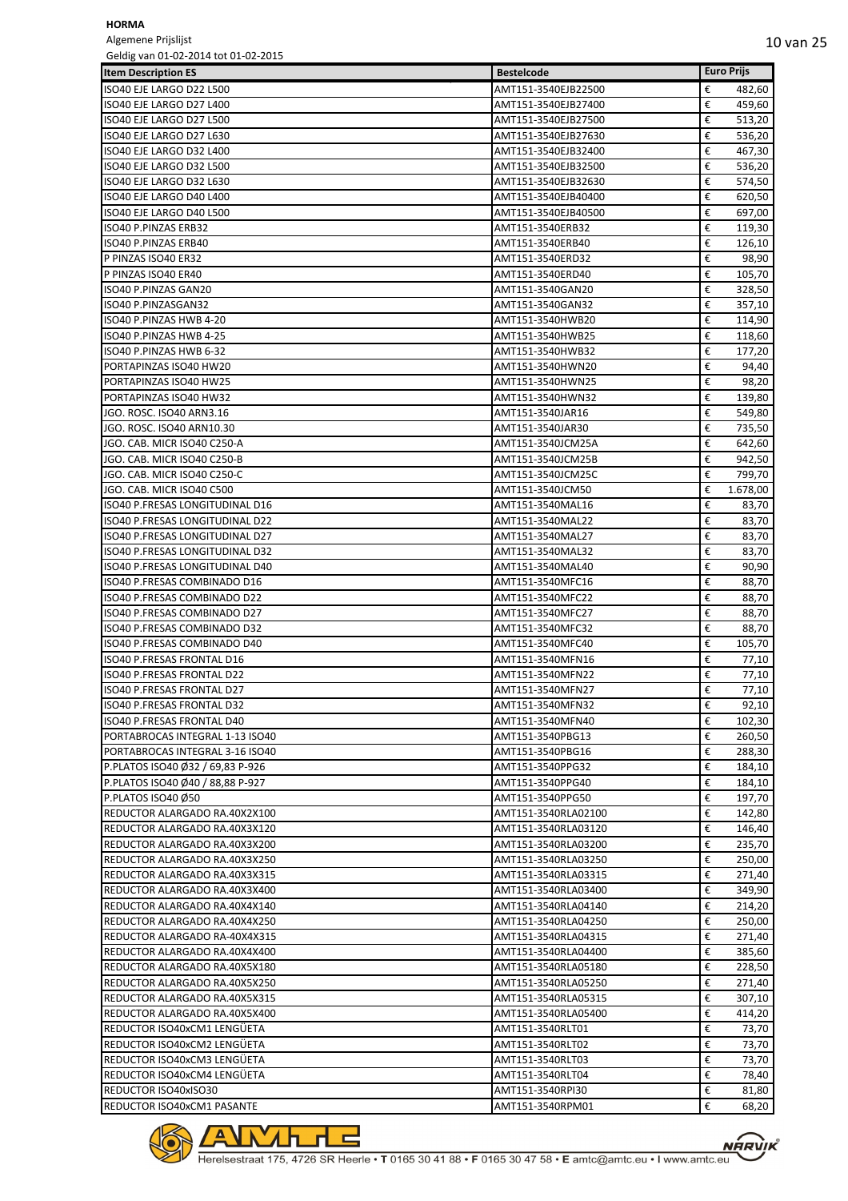Algemene Prijslijst Geldig van 01-02-2014 tot 01-02-2015

| <b>Item Description ES</b>        | <b>Bestelcode</b>   | <b>Euro Prijs</b> |  |
|-----------------------------------|---------------------|-------------------|--|
| ISO40 EJE LARGO D22 L500          | AMT151-3540EJB22500 | €<br>482,60       |  |
| ISO40 EJE LARGO D27 L400          | AMT151-3540EJB27400 | €<br>459,60       |  |
| ISO40 EJE LARGO D27 L500          | AMT151-3540EJB27500 | €<br>513,20       |  |
| <b>ISO40 EJE LARGO D27 L630</b>   | AMT151-3540EJB27630 | €<br>536,20       |  |
| ISO40 EJE LARGO D32 L400          | AMT151-3540EJB32400 | €<br>467,30       |  |
| <b>ISO40 EJE LARGO D32 L500</b>   | AMT151-3540EJB32500 | €<br>536,20       |  |
| ISO40 EJE LARGO D32 L630          | AMT151-3540EJB32630 | €<br>574,50       |  |
| ISO40 EJE LARGO D40 L400          | AMT151-3540EJB40400 | €<br>620,50       |  |
| ISO40 EJE LARGO D40 L500          | AMT151-3540EJB40500 | €<br>697,00       |  |
| <b>ISO40 P.PINZAS ERB32</b>       | AMT151-3540ERB32    | €<br>119,30       |  |
| <b>ISO40 P.PINZAS ERB40</b>       | AMT151-3540ERB40    | €<br>126,10       |  |
| P PINZAS ISO40 ER32               | AMT151-3540ERD32    | €<br>98,90        |  |
| P PINZAS ISO40 ER40               | AMT151-3540ERD40    | €<br>105,70       |  |
| ISO40 P.PINZAS GAN20              | AMT151-3540GAN20    | €<br>328,50       |  |
| ISO40 P.PINZASGAN32               | AMT151-3540GAN32    | €<br>357,10       |  |
| ISO40 P.PINZAS HWB 4-20           | AMT151-3540HWB20    | €<br>114,90       |  |
| ISO40 P.PINZAS HWB 4-25           | AMT151-3540HWB25    | €<br>118,60       |  |
| ISO40 P.PINZAS HWB 6-32           | AMT151-3540HWB32    | €<br>177,20       |  |
| PORTAPINZAS ISO40 HW20            | AMT151-3540HWN20    | €<br>94,40        |  |
| PORTAPINZAS ISO40 HW25            | AMT151-3540HWN25    | €<br>98,20        |  |
| PORTAPINZAS ISO40 HW32            | AMT151-3540HWN32    | €<br>139,80       |  |
| JGO. ROSC. ISO40 ARN3.16          | AMT151-3540JAR16    | €<br>549,80       |  |
| JGO. ROSC. ISO40 ARN10.30         | AMT151-3540JAR30    | €<br>735,50       |  |
| JGO. CAB. MICR ISO40 C250-A       | AMT151-3540JCM25A   | €<br>642,60       |  |
| JGO. CAB. MICR ISO40 C250-B       | AMT151-3540JCM25B   | €<br>942,50       |  |
| JGO. CAB. MICR ISO40 C250-C       | AMT151-3540JCM25C   | €<br>799,70       |  |
| JGO. CAB. MICR ISO40 C500         | AMT151-3540JCM50    | €<br>1.678,00     |  |
| ISO40 P.FRESAS LONGITUDINAL D16   | AMT151-3540MAL16    | €<br>83,70        |  |
| ISO40 P.FRESAS LONGITUDINAL D22   | AMT151-3540MAL22    | €<br>83,70        |  |
| ISO40 P.FRESAS LONGITUDINAL D27   | AMT151-3540MAL27    | €<br>83,70        |  |
| ISO40 P.FRESAS LONGITUDINAL D32   | AMT151-3540MAL32    | €<br>83,70        |  |
| ISO40 P.FRESAS LONGITUDINAL D40   | AMT151-3540MAL40    | €<br>90,90        |  |
| ISO40 P.FRESAS COMBINADO D16      | AMT151-3540MFC16    | €<br>88,70        |  |
| ISO40 P.FRESAS COMBINADO D22      | AMT151-3540MFC22    | €<br>88,70        |  |
| ISO40 P.FRESAS COMBINADO D27      | AMT151-3540MFC27    | €<br>88,70        |  |
| ISO40 P.FRESAS COMBINADO D32      | AMT151-3540MFC32    | €<br>88,70        |  |
| ISO40 P.FRESAS COMBINADO D40      | AMT151-3540MFC40    | €<br>105,70       |  |
| ISO40 P.FRESAS FRONTAL D16        | AMT151-3540MFN16    | €<br>77,10        |  |
| ISO40 P.FRESAS FRONTAL D22        | AMT151-3540MFN22    | €<br>77,10        |  |
| ISO40 P.FRESAS FRONTAL D27        | AMT151-3540MFN27    | €<br>77,10        |  |
| ISO40 P.FRESAS FRONTAL D32        | AMT151-3540MFN32    | €<br>92,10        |  |
| <b>ISO40 P.FRESAS FRONTAL D40</b> | AMT151-3540MFN40    | €<br>102,30       |  |
| PORTABROCAS INTEGRAL 1-13 ISO40   | AMT151-3540PBG13    | €<br>260,50       |  |
| PORTABROCAS INTEGRAL 3-16 ISO40   | AMT151-3540PBG16    | €<br>288,30       |  |
| P.PLATOS ISO40 Ø32 / 69,83 P-926  | AMT151-3540PPG32    | €<br>184,10       |  |
| P.PLATOS ISO40 Ø40 / 88,88 P-927  | AMT151-3540PPG40    | €<br>184,10       |  |
| P.PLATOS ISO40 Ø50                | AMT151-3540PPG50    | €<br>197,70       |  |
| REDUCTOR ALARGADO RA.40X2X100     | AMT151-3540RLA02100 | €<br>142,80       |  |
| REDUCTOR ALARGADO RA.40X3X120     | AMT151-3540RLA03120 | €<br>146,40       |  |
| REDUCTOR ALARGADO RA.40X3X200     | AMT151-3540RLA03200 | €<br>235,70       |  |
| REDUCTOR ALARGADO RA.40X3X250     | AMT151-3540RLA03250 | €<br>250,00       |  |
| REDUCTOR ALARGADO RA.40X3X315     | AMT151-3540RLA03315 | €<br>271,40       |  |
| REDUCTOR ALARGADO RA.40X3X400     | AMT151-3540RLA03400 | €<br>349,90       |  |
| REDUCTOR ALARGADO RA.40X4X140     | AMT151-3540RLA04140 | €<br>214,20       |  |
| REDUCTOR ALARGADO RA.40X4X250     | AMT151-3540RLA04250 | €<br>250,00       |  |
| REDUCTOR ALARGADO RA-40X4X315     | AMT151-3540RLA04315 | €<br>271,40       |  |
| REDUCTOR ALARGADO RA.40X4X400     | AMT151-3540RLA04400 | €<br>385,60       |  |
| REDUCTOR ALARGADO RA.40X5X180     | AMT151-3540RLA05180 | €<br>228,50       |  |
| REDUCTOR ALARGADO RA.40X5X250     | AMT151-3540RLA05250 | €<br>271,40       |  |
| REDUCTOR ALARGADO RA.40X5X315     | AMT151-3540RLA05315 | €<br>307,10       |  |
| REDUCTOR ALARGADO RA.40X5X400     | AMT151-3540RLA05400 | €<br>414,20       |  |
| REDUCTOR ISO40xCM1 LENGÜETA       | AMT151-3540RLT01    | €<br>73,70        |  |
| REDUCTOR ISO40xCM2 LENGUETA       | AMT151-3540RLT02    | €<br>73,70        |  |
| REDUCTOR ISO40xCM3 LENGÜETA       | AMT151-3540RLT03    | €<br>73,70        |  |
| REDUCTOR ISO40xCM4 LENGÜETA       | AMT151-3540RLT04    | €<br>78,40        |  |
| <b>REDUCTOR ISO40xISO30</b>       | AMT151-3540RPI30    | €<br>81,80        |  |
| REDUCTOR ISO40xCM1 PASANTE        | AMT151-3540RPM01    | €<br>68,20        |  |

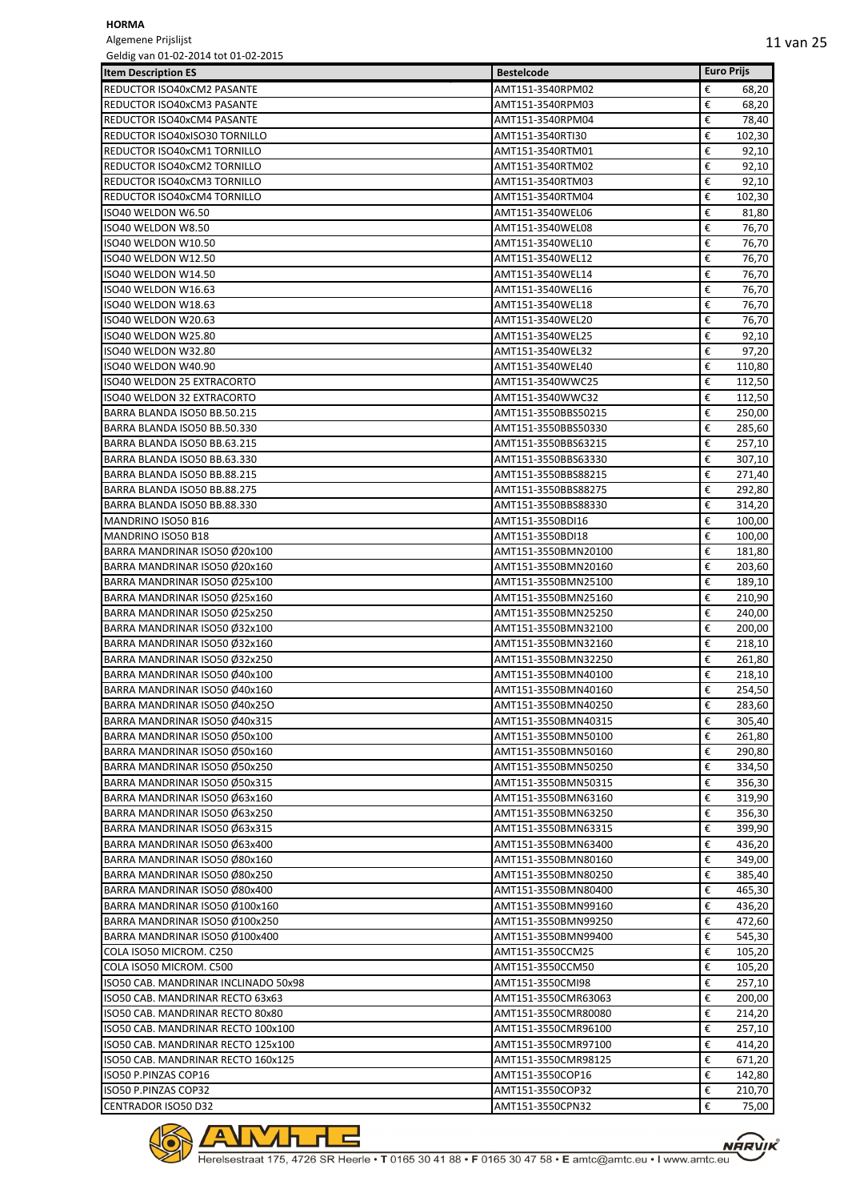Algemene Prijslijst

| Geldig van 01-02-2014 tot 01-02-2015 |                     |                   |       |
|--------------------------------------|---------------------|-------------------|-------|
| <b>Item Description ES</b>           | <b>Bestelcode</b>   | <b>Euro Prijs</b> |       |
| REDUCTOR ISO40xCM2 PASANTE           | AMT151-3540RPM02    | €                 | 68,20 |
| REDUCTOR ISO40xCM3 PASANTE           | AMT151-3540RPM03    | €                 | 68,20 |
| REDUCTOR ISO40xCM4 PASANTE           | AMT151-3540RPM04    | €                 | 78,40 |
| REDUCTOR ISO40xISO30 TORNILLO        | AMT151-3540RTI30    | €<br>102,30       |       |
| REDUCTOR ISO40xCM1 TORNILLO          |                     | €                 |       |
|                                      | AMT151-3540RTM01    |                   | 92,10 |
| REDUCTOR ISO40xCM2 TORNILLO          | AMT151-3540RTM02    | €                 | 92,10 |
| REDUCTOR ISO40xCM3 TORNILLO          | AMT151-3540RTM03    | €                 | 92,10 |
| REDUCTOR ISO40xCM4 TORNILLO          | AMT151-3540RTM04    | €<br>102,30       |       |
| ISO40 WELDON W6.50                   | AMT151-3540WEL06    | €                 | 81,80 |
| ISO40 WELDON W8.50                   | AMT151-3540WEL08    | €                 | 76,70 |
| ISO40 WELDON W10.50                  | AMT151-3540WEL10    | €                 | 76,70 |
| ISO40 WELDON W12.50                  | AMT151-3540WEL12    | €                 | 76,70 |
| ISO40 WELDON W14.50                  | AMT151-3540WEL14    | €                 | 76,70 |
| ISO40 WELDON W16.63                  | AMT151-3540WEL16    | €                 | 76,70 |
| ISO40 WELDON W18.63                  | AMT151-3540WEL18    | €                 | 76,70 |
| ISO40 WELDON W20.63                  | AMT151-3540WEL20    | €                 | 76,70 |
| ISO40 WELDON W25.80                  | AMT151-3540WEL25    | €                 | 92,10 |
| ISO40 WELDON W32.80                  | AMT151-3540WEL32    | €                 | 97,20 |
|                                      |                     |                   |       |
| ISO40 WELDON W40.90                  | AMT151-3540WEL40    | €<br>110,80       |       |
| ISO40 WELDON 25 EXTRACORTO           | AMT151-3540WWC25    | €<br>112,50       |       |
| ISO40 WELDON 32 EXTRACORTO           | AMT151-3540WWC32    | €<br>112,50       |       |
| BARRA BLANDA ISO50 BB.50.215         | AMT151-3550BBS50215 | €<br>250,00       |       |
| BARRA BLANDA ISO50 BB.50.330         | AMT151-3550BBS50330 | €<br>285,60       |       |
| BARRA BLANDA ISO50 BB.63.215         | AMT151-3550BBS63215 | €<br>257,10       |       |
| BARRA BLANDA ISO50 BB.63.330         | AMT151-3550BBS63330 | €<br>307,10       |       |
| BARRA BLANDA ISO50 BB.88.215         | AMT151-3550BBS88215 | €<br>271,40       |       |
| BARRA BLANDA ISO50 BB.88.275         | AMT151-3550BBS88275 | €<br>292,80       |       |
| BARRA BLANDA ISO50 BB.88.330         | AMT151-3550BBS88330 | €<br>314,20       |       |
| MANDRINO ISO50 B16                   | AMT151-3550BDI16    | €<br>100,00       |       |
| MANDRINO ISO50 B18                   | AMT151-3550BDI18    | €<br>100,00       |       |
| BARRA MANDRINAR ISO50 Ø20x100        | AMT151-3550BMN20100 | €<br>181,80       |       |
| BARRA MANDRINAR ISO50 Ø20x160        | AMT151-3550BMN20160 | €                 |       |
|                                      |                     | 203,60            |       |
| BARRA MANDRINAR ISO50 Ø25x100        | AMT151-3550BMN25100 | €<br>189,10       |       |
| BARRA MANDRINAR ISO50 Ø25x160        | AMT151-3550BMN25160 | €<br>210,90       |       |
| BARRA MANDRINAR ISO50 Ø25x250        | AMT151-3550BMN25250 | €<br>240,00       |       |
| BARRA MANDRINAR ISO50 Ø32x100        | AMT151-3550BMN32100 | €<br>200,00       |       |
| BARRA MANDRINAR ISO50 Ø32x160        | AMT151-3550BMN32160 | €<br>218,10       |       |
| BARRA MANDRINAR ISO50 Ø32x250        | AMT151-3550BMN32250 | €<br>261,80       |       |
| BARRA MANDRINAR ISO50 Ø40x100        | AMT151-3550BMN40100 | €<br>218,10       |       |
| BARRA MANDRINAR ISO50 Ø40x160        | AMT151-3550BMN40160 | €<br>254,50       |       |
| BARRA MANDRINAR ISO50 Ø40x250        | AMT151-3550BMN40250 | €<br>283,60       |       |
| BARRA MANDRINAR ISO50 Ø40x315        | AMT151-3550BMN40315 | €<br>305,40       |       |
| BARRA MANDRINAR ISO50 Ø50x100        | AMT151-3550BMN50100 | €<br>261,80       |       |
| BARRA MANDRINAR ISO50 Ø50x160        | AMT151-3550BMN50160 | €<br>290,80       |       |
| BARRA MANDRINAR ISO50 Ø50x250        | AMT151-3550BMN50250 | €<br>334,50       |       |
| BARRA MANDRINAR ISO50 Ø50x315        | AMT151-3550BMN50315 | €<br>356,30       |       |
| BARRA MANDRINAR ISO50 Ø63x160        | AMT151-3550BMN63160 | €<br>319,90       |       |
|                                      |                     | €                 |       |
| BARRA MANDRINAR ISO50 Ø63x250        | AMT151-3550BMN63250 | 356,30            |       |
| BARRA MANDRINAR ISO50 Ø63x315        | AMT151-3550BMN63315 | €<br>399,90       |       |
| BARRA MANDRINAR ISO50 Ø63x400        | AMT151-3550BMN63400 | €<br>436,20       |       |
| BARRA MANDRINAR ISO50 Ø80x160        | AMT151-3550BMN80160 | €<br>349,00       |       |
| BARRA MANDRINAR ISO50 Ø80x250        | AMT151-3550BMN80250 | €<br>385,40       |       |
| BARRA MANDRINAR ISO50 Ø80x400        | AMT151-3550BMN80400 | €<br>465,30       |       |
| BARRA MANDRINAR ISO50 Ø100x160       | AMT151-3550BMN99160 | €<br>436,20       |       |
| BARRA MANDRINAR ISO50 Ø100x250       | AMT151-3550BMN99250 | €<br>472,60       |       |
| BARRA MANDRINAR ISO50 Ø100x400       | AMT151-3550BMN99400 | €<br>545,30       |       |
| COLA ISO50 MICROM. C250              | AMT151-3550CCM25    | €<br>105,20       |       |
| COLA ISO50 MICROM. C500              | AMT151-3550CCM50    | €<br>105,20       |       |
| ISO50 CAB. MANDRINAR INCLINADO 50x98 | AMT151-3550CMI98    | €<br>257,10       |       |
| ISO50 CAB. MANDRINAR RECTO 63x63     | AMT151-3550CMR63063 | €<br>200,00       |       |
| ISO50 CAB. MANDRINAR RECTO 80x80     | AMT151-3550CMR80080 | €<br>214,20       |       |
| ISO50 CAB. MANDRINAR RECTO 100x100   | AMT151-3550CMR96100 | €<br>257,10       |       |
| ISO50 CAB. MANDRINAR RECTO 125x100   |                     | €<br>414,20       |       |
|                                      | AMT151-3550CMR97100 |                   |       |
| ISO50 CAB. MANDRINAR RECTO 160x125   | AMT151-3550CMR98125 | €<br>671,20       |       |
| ISO50 P.PINZAS COP16                 | AMT151-3550COP16    | €<br>142,80       |       |
| ISO50 P.PINZAS COP32                 | AMT151-3550COP32    | €<br>210,70       |       |
| CENTRADOR ISO50 D32                  | AMT151-3550CPN32    | €                 | 75,00 |

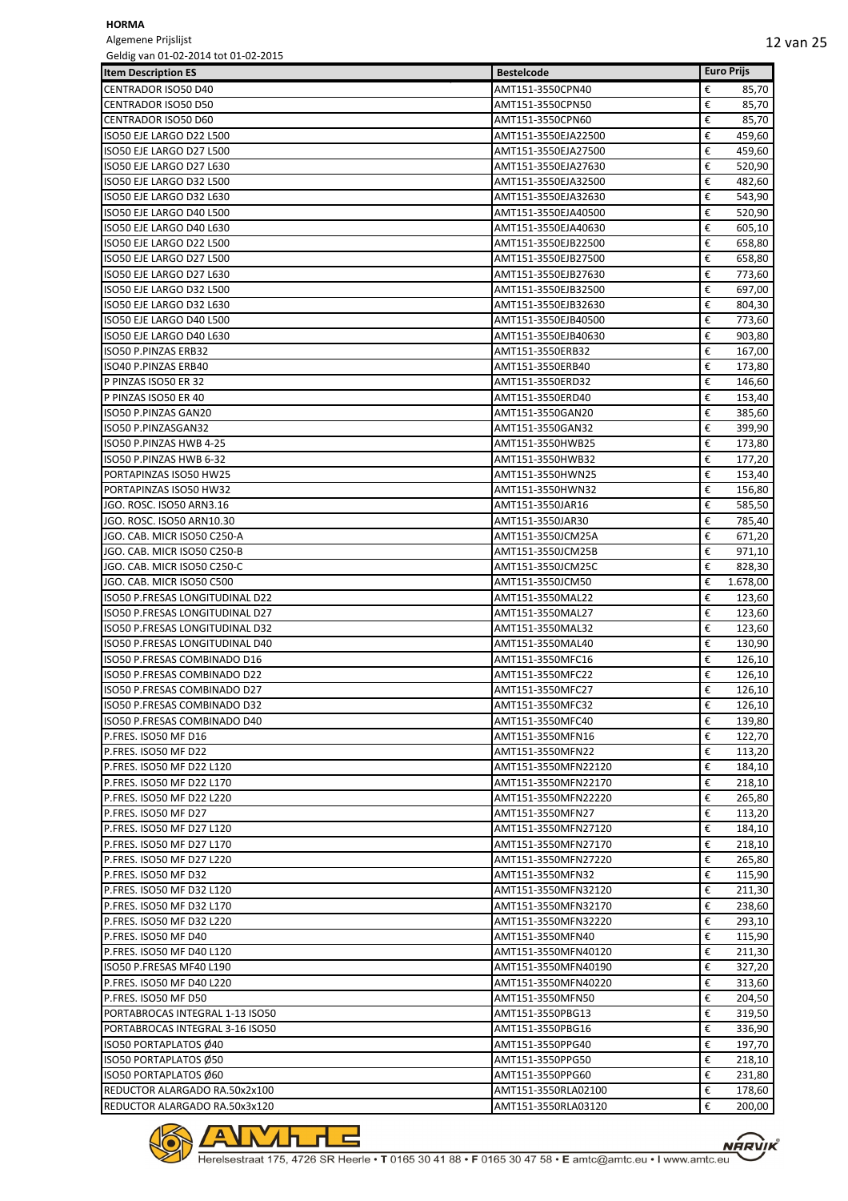Algemene Prijslijst Geldig van 01-02-2014 tot 01-02-2015

| OCIUIS VAII UI-UZ-ZUI4 LUL UI-UZ-ZUIJ | <b>Bestelcode</b>   | <b>Euro Prijs</b> |
|---------------------------------------|---------------------|-------------------|
| <b>Item Description ES</b>            |                     |                   |
| <b>CENTRADOR ISO50 D40</b>            | AMT151-3550CPN40    | €<br>85,70        |
| <b>CENTRADOR ISO50 D50</b>            | AMT151-3550CPN50    | €<br>85,70        |
| CENTRADOR ISO50 D60                   | AMT151-3550CPN60    | €<br>85,70        |
| ISO50 EJE LARGO D22 L500              | AMT151-3550EJA22500 | €<br>459,60       |
| ISO50 EJE LARGO D27 L500              | AMT151-3550EJA27500 | €<br>459,60       |
| ISO50 EJE LARGO D27 L630              | AMT151-3550EJA27630 | €<br>520,90       |
| ISO50 EJE LARGO D32 L500              | AMT151-3550EJA32500 | €<br>482,60       |
| ISO50 EJE LARGO D32 L630              | AMT151-3550EJA32630 | €<br>543,90       |
| ISO50 EJE LARGO D40 L500              | AMT151-3550EJA40500 | €<br>520,90       |
| ISO50 EJE LARGO D40 L630              | AMT151-3550EJA40630 | €<br>605,10       |
| ISO50 EJE LARGO D22 L500              | AMT151-3550EJB22500 | €<br>658,80       |
| ISO50 EJE LARGO D27 L500              | AMT151-3550EJB27500 | €<br>658,80       |
| ISO50 EJE LARGO D27 L630              | AMT151-3550EJB27630 | €<br>773,60       |
| ISO50 EJE LARGO D32 L500              | AMT151-3550EJB32500 | €<br>697,00       |
| ISO50 EJE LARGO D32 L630              | AMT151-3550EJB32630 | €<br>804,30       |
| ISO50 EJE LARGO D40 L500              | AMT151-3550EJB40500 | €<br>773,60       |
| ISO50 EJE LARGO D40 L630              | AMT151-3550EJB40630 | €<br>903,80       |
| <b>ISO50 P.PINZAS ERB32</b>           | AMT151-3550ERB32    | €<br>167,00       |
| ISO40 P.PINZAS ERB40                  | AMT151-3550ERB40    | €<br>173,80       |
| P PINZAS ISO50 ER 32                  | AMT151-3550ERD32    | €<br>146,60       |
| P PINZAS ISO50 ER 40                  | AMT151-3550ERD40    | €<br>153,40       |
| <b>ISO50 P.PINZAS GAN20</b>           | AMT151-3550GAN20    | €<br>385,60       |
| ISO50 P.PINZASGAN32                   | AMT151-3550GAN32    | €<br>399,90       |
| ISO50 P.PINZAS HWB 4-25               | AMT151-3550HWB25    | €<br>173,80       |
| ISO50 P.PINZAS HWB 6-32               | AMT151-3550HWB32    | €<br>177,20       |
| PORTAPINZAS ISO50 HW25                | AMT151-3550HWN25    | €<br>153,40       |
| PORTAPINZAS ISO50 HW32                | AMT151-3550HWN32    | €<br>156,80       |
| JGO. ROSC. ISO50 ARN3.16              | AMT151-3550JAR16    | €<br>585,50       |
| JGO. ROSC. ISO50 ARN10.30             | AMT151-3550JAR30    | €<br>785,40       |
| JGO. CAB. MICR ISO50 C250-A           | AMT151-3550JCM25A   | €<br>671,20       |
| JGO. CAB. MICR ISO50 C250-B           | AMT151-3550JCM25B   | €<br>971,10       |
| JGO. CAB. MICR ISO50 C250-C           | AMT151-3550JCM25C   | €<br>828,30       |
| JGO. CAB. MICR ISO50 C500             | AMT151-3550JCM50    | €<br>1.678,00     |
| ISO50 P.FRESAS LONGITUDINAL D22       | AMT151-3550MAL22    | €<br>123,60       |
| ISO50 P.FRESAS LONGITUDINAL D27       | AMT151-3550MAL27    | €<br>123,60       |
| ISO50 P.FRESAS LONGITUDINAL D32       | AMT151-3550MAL32    | €<br>123,60       |
| ISO50 P.FRESAS LONGITUDINAL D40       | AMT151-3550MAL40    | €<br>130,90       |
| ISO50 P.FRESAS COMBINADO D16          | AMT151-3550MFC16    | €<br>126,10       |
| ISO50 P.FRESAS COMBINADO D22          | AMT151-3550MFC22    | €<br>126,10       |
| ISO50 P.FRESAS COMBINADO D27          | AMT151-3550MFC27    | €<br>126,10       |
| ISO50 P.FRESAS COMBINADO D32          | AMT151-3550MFC32    | €<br>126,10       |
| ISO50 P.FRESAS COMBINADO D40          | AMT151-3550MFC40    | €<br>139,80       |
| P.FRES. ISO50 MF D16                  | AMT151-3550MFN16    | €<br>122,70       |
| P.FRES. ISO50 MF D22                  | AMT151-3550MFN22    | €<br>113,20       |
| P.FRES. ISO50 MF D22 L120             | AMT151-3550MFN22120 | €<br>184,10       |
| P.FRES. ISO50 MF D22 L170             | AMT151-3550MFN22170 | €<br>218,10       |
| P.FRES. ISO50 MF D22 L220             | AMT151-3550MFN22220 | €<br>265,80       |
| P.FRES. ISO50 MF D27                  | AMT151-3550MFN27    | €<br>113,20       |
| P.FRES. ISO50 MF D27 L120             | AMT151-3550MFN27120 | €<br>184,10       |
| P.FRES. ISO50 MF D27 L170             | AMT151-3550MFN27170 | €<br>218,10       |
| P.FRES. ISO50 MF D27 L220             | AMT151-3550MFN27220 | €<br>265,80       |
| P.FRES. ISO50 MF D32                  | AMT151-3550MFN32    | €<br>115,90       |
| P.FRES. ISO50 MF D32 L120             | AMT151-3550MFN32120 | €<br>211,30       |
| P.FRES. ISO50 MF D32 L170             | AMT151-3550MFN32170 | €<br>238,60       |
| P.FRES. ISO50 MF D32 L220             | AMT151-3550MFN32220 | €<br>293,10       |
| P.FRES. ISO50 MF D40                  | AMT151-3550MFN40    | €<br>115,90       |
| P.FRES. ISO50 MF D40 L120             | AMT151-3550MFN40120 | €<br>211,30       |
| ISO50 P.FRESAS MF40 L190              | AMT151-3550MFN40190 | €<br>327,20       |
| P.FRES. ISO50 MF D40 L220             | AMT151-3550MFN40220 | €<br>313,60       |
| P.FRES. ISO50 MF D50                  | AMT151-3550MFN50    | €<br>204,50       |
| PORTABROCAS INTEGRAL 1-13 ISO50       | AMT151-3550PBG13    | €<br>319,50       |
| PORTABROCAS INTEGRAL 3-16 ISO50       | AMT151-3550PBG16    | €<br>336,90       |
| ISO50 PORTAPLATOS Ø40                 | AMT151-3550PPG40    | €<br>197,70       |
| ISO50 PORTAPLATOS Ø50                 | AMT151-3550PPG50    | €<br>218,10       |
| ISO50 PORTAPLATOS Ø60                 | AMT151-3550PPG60    | €<br>231,80       |
| REDUCTOR ALARGADO RA.50x2x100         | AMT151-3550RLA02100 | €<br>178,60       |
| REDUCTOR ALARGADO RA.50x3x120         | AMT151-3550RLA03120 | €<br>200,00       |

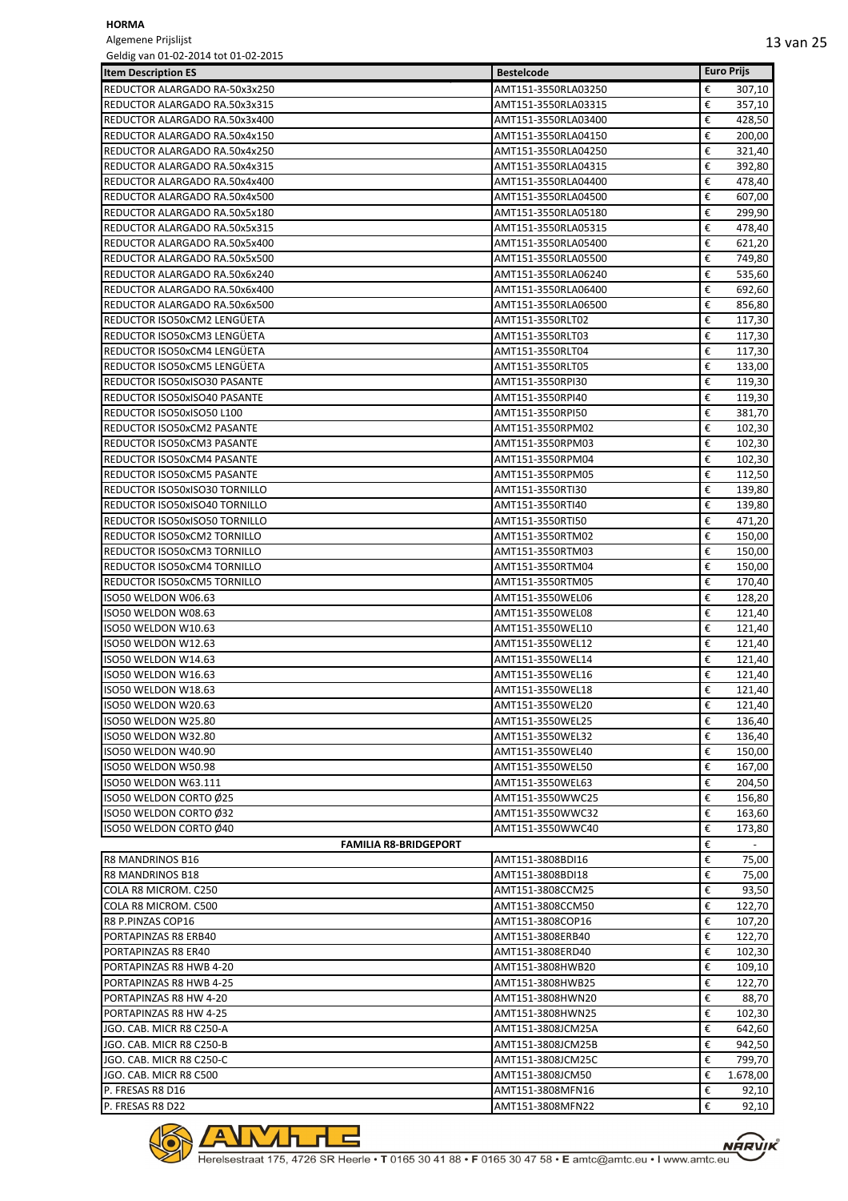Algemene Prijslijst Geldig van 01-02-2014 tot 01-02-2015

| Geldig vali 01-02-2014 tot 01-02-2015 |                     |   |                   |
|---------------------------------------|---------------------|---|-------------------|
| <b>Item Description ES</b>            | <b>Bestelcode</b>   |   | <b>Euro Prijs</b> |
| REDUCTOR ALARGADO RA-50x3x250         | AMT151-3550RLA03250 | € | 307,10            |
| REDUCTOR ALARGADO RA.50x3x315         | AMT151-3550RLA03315 | € | 357,10            |
| REDUCTOR ALARGADO RA.50x3x400         | AMT151-3550RLA03400 | € | 428,50            |
| REDUCTOR ALARGADO RA.50x4x150         | AMT151-3550RLA04150 | € | 200,00            |
| REDUCTOR ALARGADO RA.50x4x250         | AMT151-3550RLA04250 | € | 321,40            |
| REDUCTOR ALARGADO RA.50x4x315         | AMT151-3550RLA04315 | € | 392,80            |
| REDUCTOR ALARGADO RA.50x4x400         | AMT151-3550RLA04400 | € | 478,40            |
| REDUCTOR ALARGADO RA.50x4x500         | AMT151-3550RLA04500 | € | 607,00            |
| REDUCTOR ALARGADO RA.50x5x180         | AMT151-3550RLA05180 | € | 299,90            |
| REDUCTOR ALARGADO RA.50x5x315         | AMT151-3550RLA05315 | € | 478,40            |
| REDUCTOR ALARGADO RA.50x5x400         | AMT151-3550RLA05400 | € | 621,20            |
| REDUCTOR ALARGADO RA.50x5x500         | AMT151-3550RLA05500 | € | 749,80            |
| REDUCTOR ALARGADO RA.50x6x240         | AMT151-3550RLA06240 | € | 535,60            |
| REDUCTOR ALARGADO RA.50x6x400         | AMT151-3550RLA06400 | € | 692,60            |
| REDUCTOR ALARGADO RA.50x6x500         | AMT151-3550RLA06500 | € | 856,80            |
| REDUCTOR ISO50xCM2 LENGÜETA           | AMT151-3550RLT02    | € | 117,30            |
| REDUCTOR ISO50xCM3 LENGUETA           | AMT151-3550RLT03    | € | 117,30            |
| REDUCTOR ISO50xCM4 LENGÜETA           | AMT151-3550RLT04    | € | 117,30            |
| REDUCTOR ISO50xCM5 LENGUETA           | AMT151-3550RLT05    | € | 133,00            |
| REDUCTOR ISO50xISO30 PASANTE          | AMT151-3550RPI30    | € | 119,30            |
| REDUCTOR ISO50xISO40 PASANTE          | AMT151-3550RPI40    | € | 119,30            |
| REDUCTOR ISO50xISO50 L100             | AMT151-3550RPI50    | € | 381,70            |
| REDUCTOR ISO50xCM2 PASANTE            | AMT151-3550RPM02    | € | 102,30            |
| REDUCTOR ISO50xCM3 PASANTE            | AMT151-3550RPM03    | € | 102,30            |
| REDUCTOR ISO50xCM4 PASANTE            | AMT151-3550RPM04    | € | 102,30            |
| REDUCTOR ISO50xCM5 PASANTE            | AMT151-3550RPM05    | € | 112,50            |
| REDUCTOR ISO50xISO30 TORNILLO         | AMT151-3550RTI30    | € | 139,80            |
| REDUCTOR ISO50xISO40 TORNILLO         | AMT151-3550RTI40    | € | 139,80            |
| REDUCTOR ISO50xISO50 TORNILLO         | AMT151-3550RTI50    | € | 471,20            |
| REDUCTOR ISO50xCM2 TORNILLO           | AMT151-3550RTM02    | € | 150,00            |
| REDUCTOR ISO50xCM3 TORNILLO           | AMT151-3550RTM03    | € | 150,00            |
| REDUCTOR ISO50xCM4 TORNILLO           | AMT151-3550RTM04    | € | 150,00            |
| REDUCTOR ISO50xCM5 TORNILLO           | AMT151-3550RTM05    | € | 170,40            |
| ISO50 WELDON W06.63                   | AMT151-3550WEL06    | € | 128,20            |
| ISO50 WELDON W08.63                   | AMT151-3550WEL08    | € | 121,40            |
| ISO50 WELDON W10.63                   | AMT151-3550WEL10    | € | 121,40            |
| ISO50 WELDON W12.63                   | AMT151-3550WEL12    | € | 121,40            |
| ISO50 WELDON W14.63                   | AMT151-3550WEL14    | € | 121,40            |
| ISO50 WELDON W16.63                   | AMT151-3550WEL16    | € | 121,40            |
| ISO50 WELDON W18.63                   | AMT151-3550WEL18    | € | 121,40            |
| ISO50 WELDON W20.63                   | AMT151-3550WEL20    | € | 121,40            |
| ISO50 WELDON W25.80                   | AMT151-3550WEL25    | € | 136,40            |
| ISO50 WELDON W32.80                   | AMT151-3550WEL32    | € | 136,40            |
| ISO50 WELDON W40.90                   | AMT151-3550WEL40    | € | 150,00            |
| ISO50 WELDON W50.98                   | AMT151-3550WEL50    | € | 167,00            |
| ISO50 WELDON W63.111                  | AMT151-3550WEL63    | € | 204,50            |
| ISO50 WELDON CORTO Ø25                | AMT151-3550WWC25    | € | 156,80            |
| ISO50 WELDON CORTO Ø32                | AMT151-3550WWC32    | € | 163,60            |
| ISO50 WELDON CORTO Ø40                | AMT151-3550WWC40    | € | 173,80            |
| <b>FAMILIA R8-BRIDGEPORT</b>          |                     | € |                   |
| <b>R8 MANDRINOS B16</b>               | AMT151-3808BDI16    | € | 75,00             |
| R8 MANDRINOS B18                      | AMT151-3808BDI18    | € | 75,00             |
| COLA R8 MICROM. C250                  | AMT151-3808CCM25    | € | 93,50             |
| COLA R8 MICROM. C500                  | AMT151-3808CCM50    | € | 122,70            |
| R8 P.PINZAS COP16                     | AMT151-3808COP16    | € | 107,20            |
| PORTAPINZAS R8 ERB40                  | AMT151-3808ERB40    | € | 122,70            |
| PORTAPINZAS R8 ER40                   | AMT151-3808ERD40    | € | 102,30            |
| PORTAPINZAS R8 HWB 4-20               | AMT151-3808HWB20    | € | 109,10            |
| PORTAPINZAS R8 HWB 4-25               | AMT151-3808HWB25    | € | 122,70            |
| PORTAPINZAS R8 HW 4-20                | AMT151-3808HWN20    | € | 88,70             |
| PORTAPINZAS R8 HW 4-25                | AMT151-3808HWN25    | € | 102,30            |
| JGO. CAB. MICR R8 C250-A              | AMT151-3808JCM25A   | € | 642,60            |
| JGO. CAB. MICR R8 C250-B              | AMT151-3808JCM25B   | € | 942,50            |
| JGO. CAB. MICR R8 C250-C              | AMT151-3808JCM25C   | € | 799,70            |
| JGO. CAB. MICR R8 C500                | AMT151-3808JCM50    | € | 1.678,00          |
| P. FRESAS R8 D16                      | AMT151-3808MFN16    | € | 92,10             |
| P. FRESAS R8 D22                      | AMT151-3808MFN22    | € | 92,10             |



 $\sqrt{2}$ 

 $\lambda$ 

<u>∕わ┎╒</u>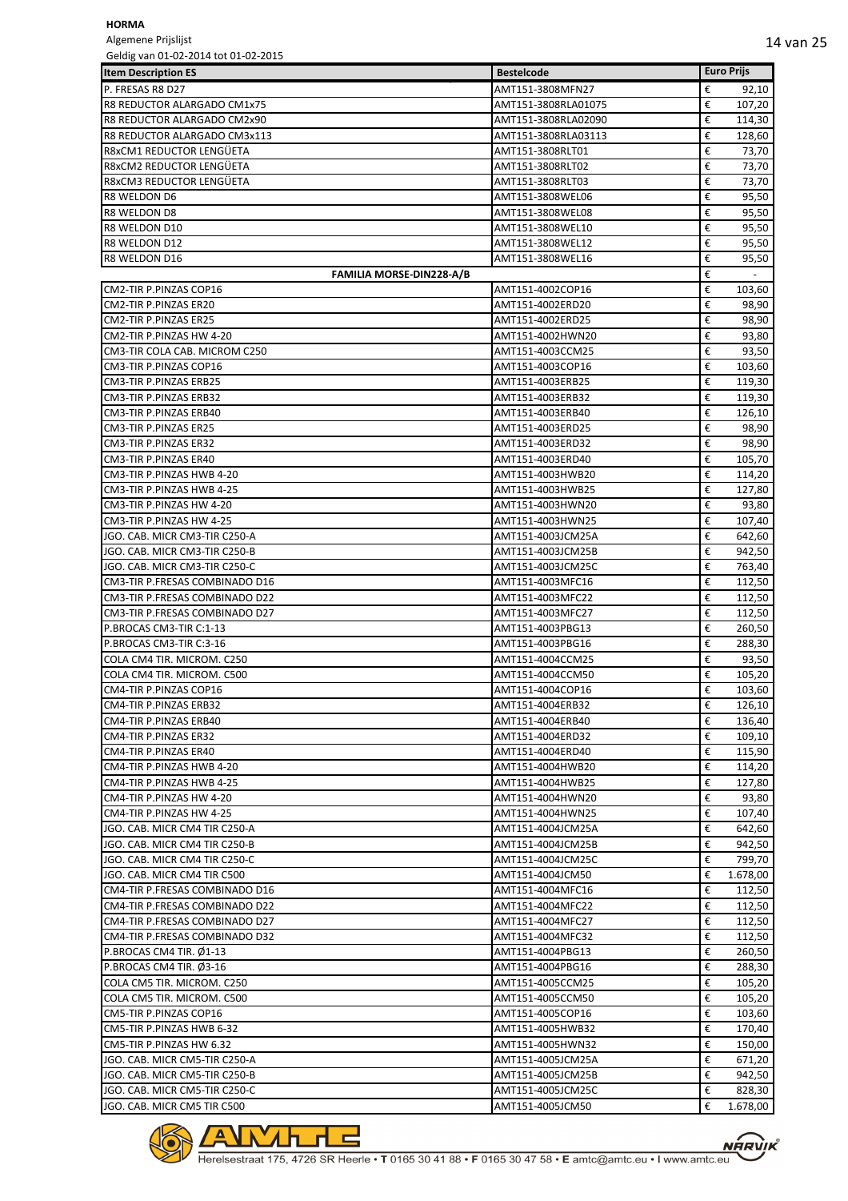Algemene Prijslijst<br>Geldig van 01-02-20  $01.02.2015$ 

| Geldig van 01-02-2014 tot 01-02-2015 |                     |   |                   |
|--------------------------------------|---------------------|---|-------------------|
| <b>Item Description ES</b>           | <b>Bestelcode</b>   |   | <b>Euro Prijs</b> |
| P. FRESAS R8 D27                     | AMT151-3808MFN27    | € | 92,10             |
| R8 REDUCTOR ALARGADO CM1x75          | AMT151-3808RLA01075 | € | 107,20            |
| R8 REDUCTOR ALARGADO CM2x90          | AMT151-3808RLA02090 | € | 114,30            |
| R8 REDUCTOR ALARGADO CM3x113         | AMT151-3808RLA03113 | € | 128,60            |
| R8xCM1 REDUCTOR LENGÜETA             | AMT151-3808RLT01    | € | 73,70             |
| R8xCM2 REDUCTOR LENGUETA             | AMT151-3808RLT02    | € | 73,70             |
| R8xCM3 REDUCTOR LENGÜETA             | AMT151-3808RLT03    | € | 73,70             |
| R8 WELDON D6                         | AMT151-3808WEL06    | € | 95,50             |
| R8 WELDON D8                         | AMT151-3808WEL08    | € | 95,50             |
| R8 WELDON D10                        | AMT151-3808WEL10    | € | 95,50             |
| R8 WELDON D12                        | AMT151-3808WEL12    | € | 95,50             |
| <b>R8 WELDON D16</b>                 | AMT151-3808WEL16    | € | 95,50             |
| <b>FAMILIA MORSE-DIN228-A/B</b>      |                     | € | $\sim$            |
| CM2-TIR P.PINZAS COP16               |                     | € |                   |
|                                      | AMT151-4002COP16    |   | 103,60            |
| CM2-TIR P.PINZAS ER20                | AMT151-4002ERD20    | € | 98,90             |
| CM2-TIR P.PINZAS ER25                | AMT151-4002ERD25    | € | 98,90             |
| CM2-TIR P.PINZAS HW 4-20             | AMT151-4002HWN20    | € | 93,80             |
| CM3-TIR COLA CAB. MICROM C250        | AMT151-4003CCM25    | € | 93,50             |
| CM3-TIR P.PINZAS COP16               | AMT151-4003COP16    | € | 103,60            |
| CM3-TIR P.PINZAS ERB25               | AMT151-4003ERB25    | € | 119,30            |
| CM3-TIR P.PINZAS ERB32               | AMT151-4003ERB32    | € | 119,30            |
| CM3-TIR P.PINZAS ERB40               | AMT151-4003ERB40    | € | 126,10            |
| CM3-TIR P.PINZAS ER25                | AMT151-4003ERD25    | € | 98,90             |
| CM3-TIR P.PINZAS ER32                | AMT151-4003ERD32    | € | 98,90             |
| CM3-TIR P.PINZAS ER40                | AMT151-4003ERD40    | € | 105,70            |
| CM3-TIR P.PINZAS HWB 4-20            | AMT151-4003HWB20    | € | 114,20            |
| CM3-TIR P.PINZAS HWB 4-25            | AMT151-4003HWB25    | € | 127,80            |
| CM3-TIR P.PINZAS HW 4-20             | AMT151-4003HWN20    | € | 93,80             |
| CM3-TIR P.PINZAS HW 4-25             | AMT151-4003HWN25    | € | 107,40            |
|                                      |                     |   |                   |
| JGO. CAB. MICR CM3-TIR C250-A        | AMT151-4003JCM25A   | € | 642,60            |
| JGO. CAB. MICR CM3-TIR C250-B        | AMT151-4003JCM25B   | € | 942,50            |
| JGO. CAB. MICR CM3-TIR C250-C        | AMT151-4003JCM25C   | € | 763,40            |
| CM3-TIR P.FRESAS COMBINADO D16       | AMT151-4003MFC16    | € | 112,50            |
| CM3-TIR P.FRESAS COMBINADO D22       | AMT151-4003MFC22    | € | 112,50            |
| CM3-TIR P.FRESAS COMBINADO D27       | AMT151-4003MFC27    | € | 112,50            |
| P.BROCAS CM3-TIR C:1-13              | AMT151-4003PBG13    | € | 260,50            |
| P.BROCAS CM3-TIR C:3-16              | AMT151-4003PBG16    | € | 288,30            |
| COLA CM4 TIR. MICROM. C250           | AMT151-4004CCM25    | € | 93,50             |
| COLA CM4 TIR. MICROM. C500           | AMT151-4004CCM50    | € | 105,20            |
| CM4-TIR P.PINZAS COP16               | AMT151-4004COP16    | € | 103,60            |
| CM4-TIR P.PINZAS ERB32               | AMT151-4004ERB32    | € | 126,10            |
| CM4-TIR P.PINZAS ERB40               | AMT151-4004ERB40    | € | 136,40            |
| CM4-TIR P.PINZAS ER32                | AMT151-4004ERD32    | € | 109,10            |
| CM4-TIR P.PINZAS ER40                | AMT151-4004ERD40    | € | 115,90            |
| CM4-TIR P.PINZAS HWB 4-20            | AMT151-4004HWB20    | € | 114,20            |
|                                      |                     |   |                   |
| CM4-TIR P.PINZAS HWB 4-25            | AMT151-4004HWB25    | € | 127,80            |
| CM4-TIR P.PINZAS HW 4-20             | AMT151-4004HWN20    | € | 93,80             |
| CM4-TIR P.PINZAS HW 4-25             | AMT151-4004HWN25    | € | 107,40            |
| JGO. CAB. MICR CM4 TIR C250-A        | AMT151-4004JCM25A   | € | 642,60            |
| JGO. CAB. MICR CM4 TIR C250-B        | AMT151-4004JCM25B   | € | 942,50            |
| JGO. CAB. MICR CM4 TIR C250-C        | AMT151-4004JCM25C   | € | 799,70            |
| JGO. CAB. MICR CM4 TIR C500          | AMT151-4004JCM50    | € | 1.678,00          |
| CM4-TIR P.FRESAS COMBINADO D16       | AMT151-4004MFC16    | € | 112,50            |
| CM4-TIR P.FRESAS COMBINADO D22       | AMT151-4004MFC22    | € | 112,50            |
| CM4-TIR P.FRESAS COMBINADO D27       | AMT151-4004MFC27    | € | 112,50            |
| CM4-TIR P.FRESAS COMBINADO D32       | AMT151-4004MFC32    | € | 112,50            |
| P.BROCAS CM4 TIR. Ø1-13              | AMT151-4004PBG13    | € | 260,50            |
| P.BROCAS CM4 TIR. Ø3-16              | AMT151-4004PBG16    | € | 288,30            |
| COLA CM5 TIR. MICROM. C250           | AMT151-4005CCM25    | € | 105,20            |
| COLA CM5 TIR. MICROM. C500           | AMT151-4005CCM50    | € | 105,20            |
|                                      |                     |   |                   |
| CM5-TIR P.PINZAS COP16               | AMT151-4005COP16    | € | 103,60            |
| CM5-TIR P.PINZAS HWB 6-32            | AMT151-4005HWB32    | € | 170,40            |
| CM5-TIR P.PINZAS HW 6.32             | AMT151-4005HWN32    | € | 150,00            |
| JGO. CAB. MICR CM5-TIR C250-A        | AMT151-4005JCM25A   | € | 671,20            |
| JGO. CAB. MICR CM5-TIR C250-B        | AMT151-4005JCM25B   | € | 942,50            |
| JGO. CAB. MICR CM5-TIR C250-C        | AMT151-4005JCM25C   | € | 828,30            |
| JGO. CAB. MICR CM5 TIR C500          | AMT151-4005JCM50    | € | 1.678,00          |



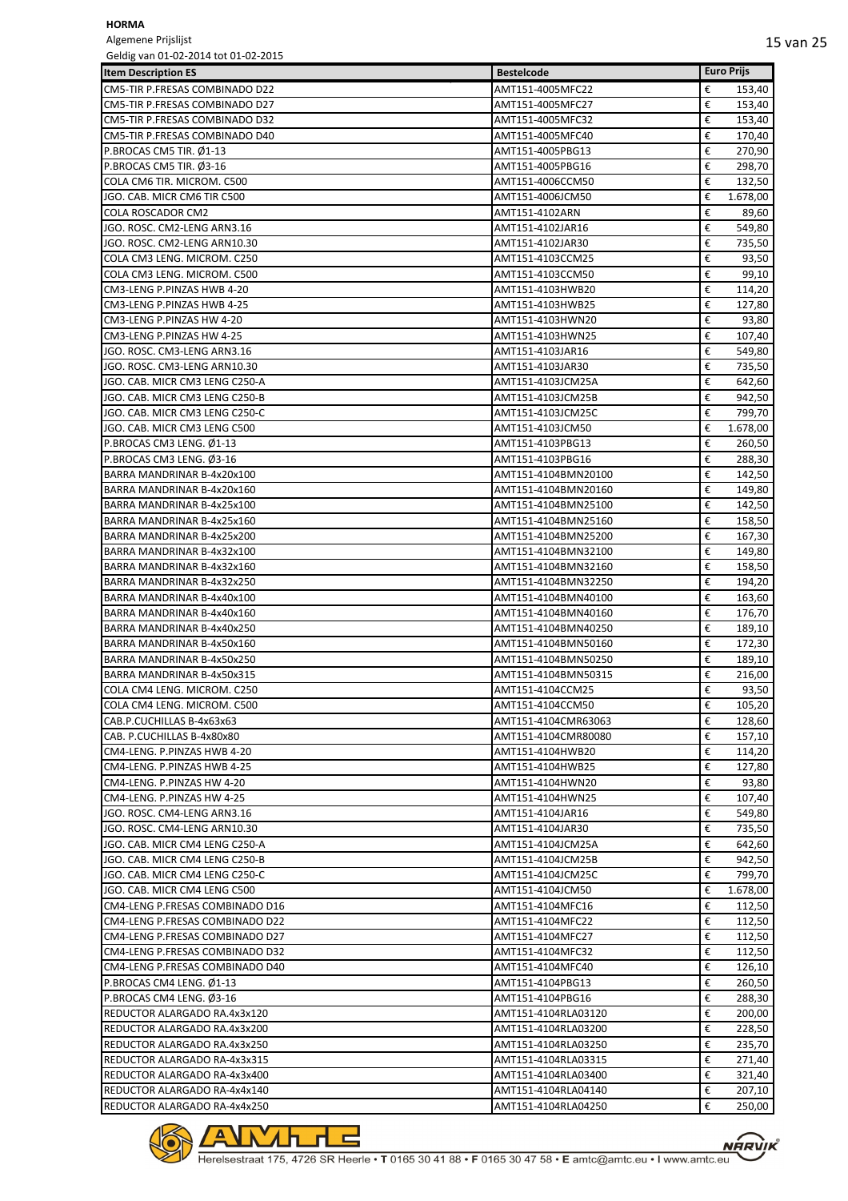Algemene Prijslijst Geldig van 01-02-2014 tot 01-02-2015

| OCIUIS VAII UI-UZ-ZUI4 LUL UI-UZ-ZUIJ<br><b>Item Description ES</b> | <b>Bestelcode</b>                    | <b>Euro Prijs</b>     |
|---------------------------------------------------------------------|--------------------------------------|-----------------------|
|                                                                     |                                      |                       |
| CM5-TIR P.FRESAS COMBINADO D22                                      | AMT151-4005MFC22                     | €<br>153,40           |
| CM5-TIR P.FRESAS COMBINADO D27<br>CM5-TIR P.FRESAS COMBINADO D32    | AMT151-4005MFC27                     | €<br>153,40<br>€      |
| CM5-TIR P.FRESAS COMBINADO D40                                      | AMT151-4005MFC32                     | 153,40<br>€<br>170,40 |
| P.BROCAS CM5 TIR. Ø1-13                                             | AMT151-4005MFC40<br>AMT151-4005PBG13 | €<br>270,90           |
| P.BROCAS CM5 TIR. Ø3-16                                             | AMT151-4005PBG16                     | €<br>298,70           |
| COLA CM6 TIR. MICROM. C500                                          | AMT151-4006CCM50                     | €<br>132,50           |
| JGO. CAB. MICR CM6 TIR C500                                         | AMT151-4006JCM50                     | €<br>1.678,00         |
| COLA ROSCADOR CM2                                                   | AMT151-4102ARN                       | €<br>89,60            |
| JGO. ROSC. CM2-LENG ARN3.16                                         | AMT151-4102JAR16                     | €<br>549,80           |
| JGO. ROSC. CM2-LENG ARN10.30                                        | AMT151-4102JAR30                     | €<br>735,50           |
| COLA CM3 LENG. MICROM. C250                                         | AMT151-4103CCM25                     | €<br>93,50            |
| COLA CM3 LENG. MICROM. C500                                         | AMT151-4103CCM50                     | €<br>99,10            |
| CM3-LENG P.PINZAS HWB 4-20                                          | AMT151-4103HWB20                     | €<br>114,20           |
| CM3-LENG P.PINZAS HWB 4-25                                          | AMT151-4103HWB25                     | €<br>127,80           |
| CM3-LENG P.PINZAS HW 4-20                                           | AMT151-4103HWN20                     | €<br>93,80            |
| CM3-LENG P.PINZAS HW 4-25                                           | AMT151-4103HWN25                     | €<br>107,40           |
| JGO. ROSC. CM3-LENG ARN3.16                                         | AMT151-4103JAR16                     | €<br>549,80           |
| JGO. ROSC. CM3-LENG ARN10.30                                        | AMT151-4103JAR30                     | €<br>735,50           |
| JGO. CAB. MICR CM3 LENG C250-A                                      | AMT151-4103JCM25A                    | €<br>642,60           |
| JGO. CAB. MICR CM3 LENG C250-B                                      | AMT151-4103JCM25B                    | €<br>942,50           |
| JGO. CAB. MICR CM3 LENG C250-C                                      | AMT151-4103JCM25C                    | €<br>799,70           |
| JGO. CAB. MICR CM3 LENG C500                                        | AMT151-4103JCM50                     | €<br>1.678,00         |
| P.BROCAS CM3 LENG. Ø1-13                                            | AMT151-4103PBG13                     | €<br>260,50           |
| P.BROCAS CM3 LENG. Ø3-16                                            | AMT151-4103PBG16                     | €<br>288,30           |
| BARRA MANDRINAR B-4x20x100                                          | AMT151-4104BMN20100                  | €<br>142,50           |
| BARRA MANDRINAR B-4x20x160                                          | AMT151-4104BMN20160                  | €<br>149,80           |
| BARRA MANDRINAR B-4x25x100                                          | AMT151-4104BMN25100                  | €<br>142,50           |
| BARRA MANDRINAR B-4x25x160                                          | AMT151-4104BMN25160                  | €<br>158,50           |
| BARRA MANDRINAR B-4x25x200                                          | AMT151-4104BMN25200                  | €<br>167,30           |
| BARRA MANDRINAR B-4x32x100                                          | AMT151-4104BMN32100                  | €<br>149,80           |
| BARRA MANDRINAR B-4x32x160                                          | AMT151-4104BMN32160                  | €<br>158,50           |
| BARRA MANDRINAR B-4x32x250                                          | AMT151-4104BMN32250                  | €<br>194,20           |
| BARRA MANDRINAR B-4x40x100                                          | AMT151-4104BMN40100                  | €<br>163,60           |
| BARRA MANDRINAR B-4x40x160                                          | AMT151-4104BMN40160                  | €<br>176,70           |
| BARRA MANDRINAR B-4x40x250                                          | AMT151-4104BMN40250                  | €<br>189,10           |
| BARRA MANDRINAR B-4x50x160                                          | AMT151-4104BMN50160                  | €<br>172,30           |
| BARRA MANDRINAR B-4x50x250                                          | AMT151-4104BMN50250                  | €<br>189,10           |
| BARRA MANDRINAR B-4x50x315                                          | AMT151-4104BMN50315                  | €<br>216,00           |
| COLA CM4 LENG. MICROM. C250                                         | AMT151-4104CCM25                     | €<br>93,50            |
| COLA CM4 LENG. MICROM. C500                                         | AMT151-4104CCM50                     | €<br>105,20           |
| CAB.P.CUCHILLAS B-4x63x63                                           | AMT151-4104CMR63063                  | €<br>128,60           |
| CAB. P.CUCHILLAS B-4x80x80                                          | AMT151-4104CMR80080                  | €<br>157,10           |
| CM4-LENG. P.PINZAS HWB 4-20                                         | AMT151-4104HWB20                     | €<br>114,20           |
| CM4-LENG. P.PINZAS HWB 4-25                                         | AMT151-4104HWB25                     | €<br>127,80           |
| CM4-LENG. P.PINZAS HW 4-20                                          | AMT151-4104HWN20                     | €<br>93,80            |
| CM4-LENG. P.PINZAS HW 4-25                                          | AMT151-4104HWN25                     | €<br>107,40           |
| JGO. ROSC. CM4-LENG ARN3.16                                         | AMT151-4104JAR16                     | €<br>549,80           |
| JGO. ROSC. CM4-LENG ARN10.30                                        | AMT151-4104JAR30                     | €<br>735,50           |
| JGO. CAB. MICR CM4 LENG C250-A                                      | AMT151-4104JCM25A                    | €<br>642,60           |
| JGO. CAB. MICR CM4 LENG C250-B                                      | AMT151-4104JCM25B                    | €<br>942,50           |
| JGO. CAB. MICR CM4 LENG C250-C                                      | AMT151-4104JCM25C                    | €<br>799,70           |
| JGO. CAB. MICR CM4 LENG C500                                        | AMT151-4104JCM50                     | €<br>1.678,00         |
| CM4-LENG P.FRESAS COMBINADO D16                                     | AMT151-4104MFC16                     | €<br>112,50           |
| CM4-LENG P.FRESAS COMBINADO D22                                     | AMT151-4104MFC22                     | €<br>112,50           |
| CM4-LENG P.FRESAS COMBINADO D27                                     | AMT151-4104MFC27                     | €<br>112,50           |
| CM4-LENG P.FRESAS COMBINADO D32                                     | AMT151-4104MFC32                     | €<br>112,50           |
| CM4-LENG P.FRESAS COMBINADO D40                                     | AMT151-4104MFC40                     | €<br>126,10           |
| P.BROCAS CM4 LENG. Ø1-13                                            | AMT151-4104PBG13                     | €<br>260,50           |
| P.BROCAS CM4 LENG. Ø3-16                                            | AMT151-4104PBG16                     | €<br>288,30           |
| REDUCTOR ALARGADO RA.4x3x120                                        | AMT151-4104RLA03120                  | €<br>200,00           |
| REDUCTOR ALARGADO RA.4x3x200                                        | AMT151-4104RLA03200                  | €<br>228,50           |
| REDUCTOR ALARGADO RA.4x3x250                                        | AMT151-4104RLA03250                  | €<br>235,70           |
| REDUCTOR ALARGADO RA-4x3x315                                        | AMT151-4104RLA03315                  | €<br>271,40           |
| REDUCTOR ALARGADO RA-4x3x400                                        | AMT151-4104RLA03400                  | €<br>321,40           |
| REDUCTOR ALARGADO RA-4x4x140                                        | AMT151-4104RLA04140                  | €<br>207,10           |
| REDUCTOR ALARGADO RA-4x4x250                                        | AMT151-4104RLA04250                  | €<br>250,00           |

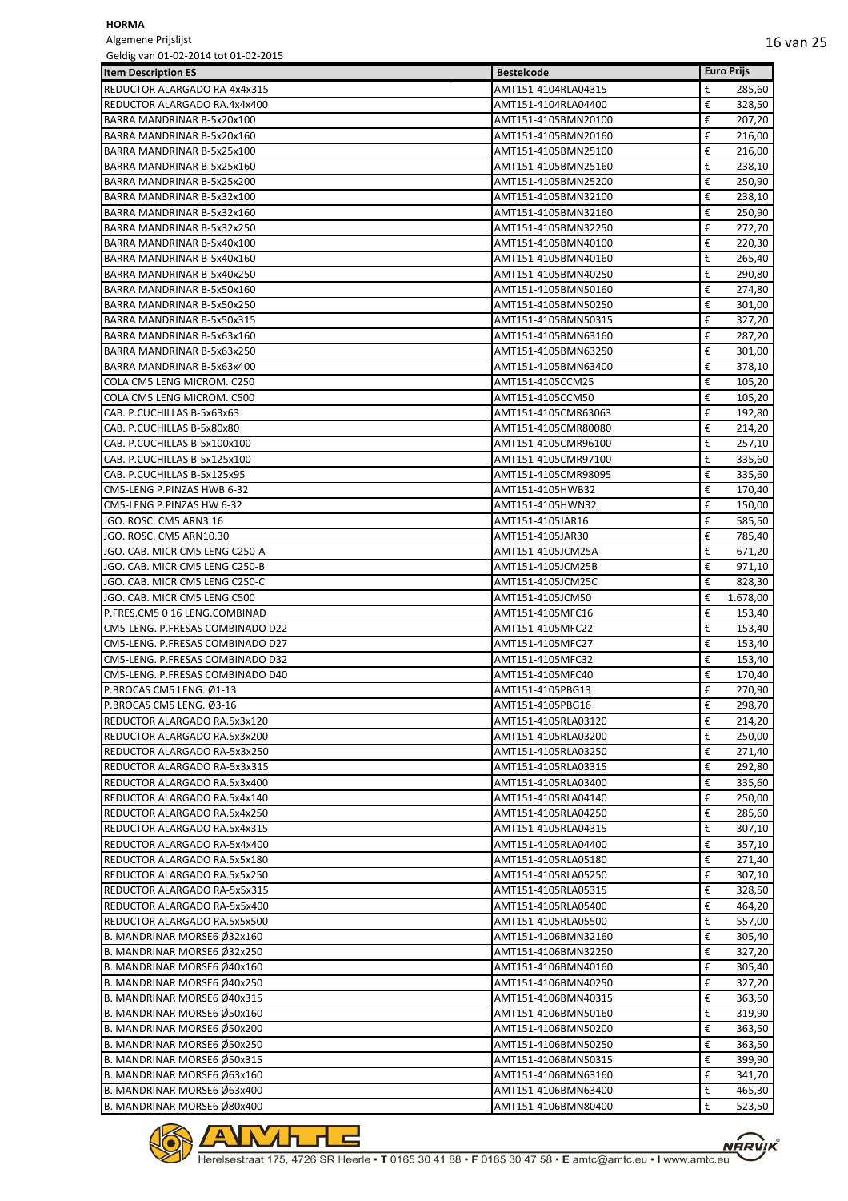Algemene Prijslijst<br>Geldig van 01-02-20 e<br>Geldig on the 11-02-2015

| Geldig van 01-02-2014 tot 01-02-2015 |                     |                   |
|--------------------------------------|---------------------|-------------------|
| <b>Item Description ES</b>           | <b>Bestelcode</b>   | <b>Euro Prijs</b> |
| REDUCTOR ALARGADO RA-4x4x315         | AMT151-4104RLA04315 | €<br>285,60       |
| REDUCTOR ALARGADO RA.4x4x400         | AMT151-4104RLA04400 | €<br>328,50       |
| BARRA MANDRINAR B-5x20x100           | AMT151-4105BMN20100 | €<br>207,20       |
| BARRA MANDRINAR B-5x20x160           | AMT151-4105BMN20160 | €<br>216,00       |
|                                      |                     |                   |
| BARRA MANDRINAR B-5x25x100           | AMT151-4105BMN25100 | €<br>216,00       |
| BARRA MANDRINAR B-5x25x160           | AMT151-4105BMN25160 | €<br>238,10       |
| BARRA MANDRINAR B-5x25x200           | AMT151-4105BMN25200 | €<br>250,90       |
| BARRA MANDRINAR B-5x32x100           | AMT151-4105BMN32100 | €<br>238,10       |
| BARRA MANDRINAR B-5x32x160           | AMT151-4105BMN32160 | €<br>250,90       |
| BARRA MANDRINAR B-5x32x250           | AMT151-4105BMN32250 | €<br>272,70       |
| BARRA MANDRINAR B-5x40x100           | AMT151-4105BMN40100 | €<br>220,30       |
| BARRA MANDRINAR B-5x40x160           | AMT151-4105BMN40160 | €<br>265,40       |
| BARRA MANDRINAR B-5x40x250           | AMT151-4105BMN40250 | €<br>290,80       |
|                                      |                     |                   |
| BARRA MANDRINAR B-5x50x160           | AMT151-4105BMN50160 | €<br>274,80       |
| BARRA MANDRINAR B-5x50x250           | AMT151-4105BMN50250 | €<br>301,00       |
| BARRA MANDRINAR B-5x50x315           | AMT151-4105BMN50315 | €<br>327,20       |
| BARRA MANDRINAR B-5x63x160           | AMT151-4105BMN63160 | €<br>287,20       |
| BARRA MANDRINAR B-5x63x250           | AMT151-4105BMN63250 | €<br>301,00       |
| BARRA MANDRINAR B-5x63x400           | AMT151-4105BMN63400 | €<br>378,10       |
| COLA CM5 LENG MICROM, C250           | AMT151-4105CCM25    | €<br>105,20       |
| COLA CM5 LENG MICROM. C500           | AMT151-4105CCM50    | €<br>105,20       |
| CAB. P.CUCHILLAS B-5x63x63           |                     | €                 |
|                                      | AMT151-4105CMR63063 | 192,80            |
| CAB. P.CUCHILLAS B-5x80x80           | AMT151-4105CMR80080 | €<br>214,20       |
| CAB. P.CUCHILLAS B-5x100x100         | AMT151-4105CMR96100 | €<br>257,10       |
| CAB. P.CUCHILLAS B-5x125x100         | AMT151-4105CMR97100 | €<br>335,60       |
| CAB. P.CUCHILLAS B-5x125x95          | AMT151-4105CMR98095 | €<br>335,60       |
| CM5-LENG P.PINZAS HWB 6-32           | AMT151-4105HWB32    | €<br>170,40       |
| CM5-LENG P.PINZAS HW 6-32            | AMT151-4105HWN32    | €<br>150,00       |
| JGO. ROSC. CM5 ARN3.16               | AMT151-4105JAR16    | €<br>585,50       |
|                                      |                     | €                 |
| JGO. ROSC. CM5 ARN10.30              | AMT151-4105JAR30    | 785,40            |
| JGO. CAB. MICR CM5 LENG C250-A       | AMT151-4105JCM25A   | €<br>671,20       |
| JGO. CAB. MICR CM5 LENG C250-B       | AMT151-4105JCM25B   | €<br>971,10       |
| JGO. CAB. MICR CM5 LENG C250-C       | AMT151-4105JCM25C   | €<br>828,30       |
| JGO. CAB. MICR CM5 LENG C500         | AMT151-4105JCM50    | €<br>1.678,00     |
| P.FRES.CM5 0 16 LENG.COMBINAD        | AMT151-4105MFC16    | €<br>153,40       |
| CM5-LENG. P.FRESAS COMBINADO D22     | AMT151-4105MFC22    | €<br>153,40       |
| CM5-LENG. P.FRESAS COMBINADO D27     | AMT151-4105MFC27    | €<br>153,40       |
| CM5-LENG. P.FRESAS COMBINADO D32     | AMT151-4105MFC32    | €<br>153,40       |
| CM5-LENG. P.FRESAS COMBINADO D40     |                     | €                 |
|                                      | AMT151-4105MFC40    | 170,40            |
| P.BROCAS CM5 LENG. Ø1-13             | AMT151-4105PBG13    | €<br>270,90       |
| P.BROCAS CM5 LENG. Ø3-16             | AMT151-4105PBG16    | €<br>298,70       |
| REDUCTOR ALARGADO RA.5x3x120         | AMT151-4105RLA03120 | €<br>214,20       |
| REDUCTOR ALARGADO RA.5x3x200         | AMT151-4105RLA03200 | €<br>250,00       |
| REDUCTOR ALARGADO RA-5x3x250         | AMT151-4105RLA03250 | €<br>271,40       |
| REDUCTOR ALARGADO RA-5x3x315         | AMT151-4105RLA03315 | €<br>292,80       |
| REDUCTOR ALARGADO RA.5x3x400         | AMT151-4105RLA03400 | €<br>335,60       |
| REDUCTOR ALARGADO RA.5x4x140         | AMT151-4105RLA04140 | €<br>250,00       |
|                                      |                     |                   |
| REDUCTOR ALARGADO RA.5x4x250         | AMT151-4105RLA04250 | €<br>285,60       |
| REDUCTOR ALARGADO RA.5x4x315         | AMT151-4105RLA04315 | €<br>307,10       |
| REDUCTOR ALARGADO RA-5x4x400         | AMT151-4105RLA04400 | €<br>357,10       |
| REDUCTOR ALARGADO RA.5x5x180         | AMT151-4105RLA05180 | €<br>271,40       |
| REDUCTOR ALARGADO RA.5x5x250         | AMT151-4105RLA05250 | €<br>307,10       |
| REDUCTOR ALARGADO RA-5x5x315         | AMT151-4105RLA05315 | €<br>328,50       |
| REDUCTOR ALARGADO RA-5x5x400         | AMT151-4105RLA05400 | €<br>464,20       |
| REDUCTOR ALARGADO RA.5x5x500         | AMT151-4105RLA05500 | €<br>557,00       |
|                                      |                     |                   |
| B. MANDRINAR MORSE6 Ø32x160          | AMT151-4106BMN32160 | €<br>305,40       |
| B. MANDRINAR MORSE6 Ø32x250          | AMT151-4106BMN32250 | €<br>327,20       |
| B. MANDRINAR MORSE6 Ø40x160          | AMT151-4106BMN40160 | €<br>305,40       |
| B. MANDRINAR MORSE6 Ø40x250          | AMT151-4106BMN40250 | €<br>327,20       |
| B. MANDRINAR MORSE6 Ø40x315          | AMT151-4106BMN40315 | €<br>363,50       |
| B. MANDRINAR MORSE6 Ø50x160          | AMT151-4106BMN50160 | €<br>319,90       |
| B. MANDRINAR MORSE6 Ø50x200          | AMT151-4106BMN50200 | €<br>363,50       |
| B. MANDRINAR MORSE6 Ø50x250          | AMT151-4106BMN50250 | €<br>363,50       |
|                                      |                     | €                 |
| B. MANDRINAR MORSE6 Ø50x315          | AMT151-4106BMN50315 | 399,90            |
| B. MANDRINAR MORSE6 Ø63x160          | AMT151-4106BMN63160 | €<br>341,70       |
| B. MANDRINAR MORSE6 Ø63x400          | AMT151-4106BMN63400 | €<br>465,30       |
| B. MANDRINAR MORSE6 Ø80x400          | AMT151-4106BMN80400 | €<br>523,50       |



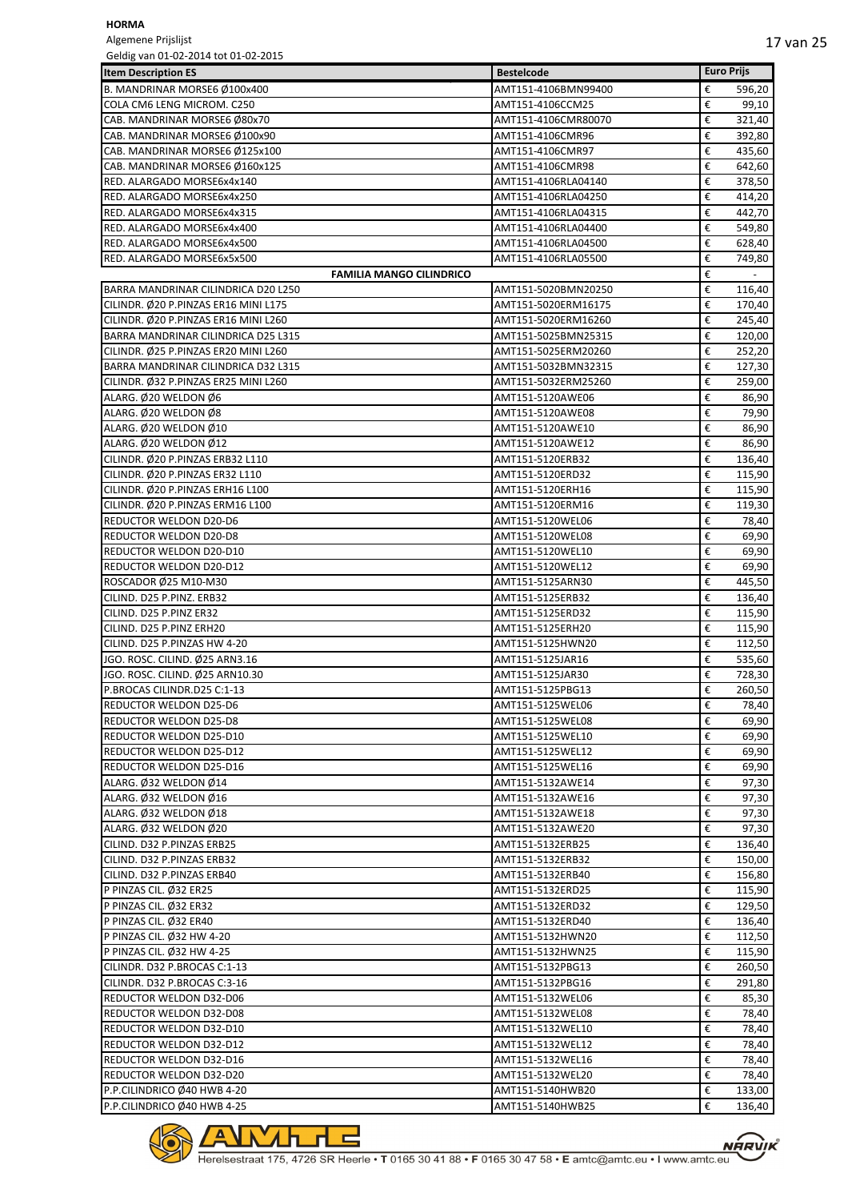Algemene Prijslijst<br>Geldig van 01-02-20 e<br>Geldig 101-02-2015

| Geldig van 01-02-2014 tot 01-02-2015 |                     |                   |        |
|--------------------------------------|---------------------|-------------------|--------|
| <b>Item Description ES</b>           | <b>Bestelcode</b>   | <b>Euro Prijs</b> |        |
| B. MANDRINAR MORSE6 Ø100x400         | AMT151-4106BMN99400 | €                 | 596,20 |
| COLA CM6 LENG MICROM. C250           | AMT151-4106CCM25    | €                 | 99,10  |
| CAB. MANDRINAR MORSE6 Ø80x70         | AMT151-4106CMR80070 | €                 | 321,40 |
| CAB. MANDRINAR MORSE6 Ø100x90        | AMT151-4106CMR96    | €                 | 392,80 |
| CAB. MANDRINAR MORSE6 Ø125x100       | AMT151-4106CMR97    | €                 | 435,60 |
| CAB. MANDRINAR MORSE6 Ø160x125       | AMT151-4106CMR98    | €                 | 642,60 |
| RED. ALARGADO MORSE6x4x140           | AMT151-4106RLA04140 | €                 | 378,50 |
| RED. ALARGADO MORSE6x4x250           | AMT151-4106RLA04250 | €                 | 414,20 |
| RED. ALARGADO MORSE6x4x315           | AMT151-4106RLA04315 | €                 | 442,70 |
| RED. ALARGADO MORSE6x4x400           | AMT151-4106RLA04400 | €                 | 549,80 |
| RED. ALARGADO MORSE6x4x500           | AMT151-4106RLA04500 | €                 | 628,40 |
| RED. ALARGADO MORSE6x5x500           | AMT151-4106RLA05500 | €                 | 749,80 |
| <b>FAMILIA MANGO CILINDRICO</b>      |                     | €                 |        |
| BARRA MANDRINAR CILINDRICA D20 L250  | AMT151-5020BMN20250 | €                 | 116,40 |
| CILINDR. Ø20 P.PINZAS ER16 MINI L175 | AMT151-5020ERM16175 | €                 | 170,40 |
| CILINDR. Ø20 P.PINZAS ER16 MINI L260 | AMT151-5020ERM16260 | €                 | 245,40 |
| BARRA MANDRINAR CILINDRICA D25 L315  | AMT151-5025BMN25315 | €                 | 120,00 |
| CILINDR. Ø25 P.PINZAS ER20 MINI L260 | AMT151-5025ERM20260 | €                 | 252,20 |
| BARRA MANDRINAR CILINDRICA D32 L315  | AMT151-5032BMN32315 | €                 | 127,30 |
| CILINDR. Ø32 P.PINZAS ER25 MINI L260 | AMT151-5032ERM25260 | €                 | 259,00 |
| ALARG. Ø20 WELDON Ø6                 | AMT151-5120AWE06    | €                 | 86,90  |
| ALARG. Ø20 WELDON Ø8                 | AMT151-5120AWE08    | €                 | 79,90  |
| ALARG. Ø20 WELDON Ø10                | AMT151-5120AWE10    | €                 | 86,90  |
| ALARG. Ø20 WELDON Ø12                | AMT151-5120AWE12    | €                 | 86,90  |
| CILINDR. Ø20 P.PINZAS ERB32 L110     | AMT151-5120ERB32    | €                 | 136,40 |
| CILINDR. Ø20 P.PINZAS ER32 L110      | AMT151-5120ERD32    | €                 | 115,90 |
| CILINDR. Ø20 P.PINZAS ERH16 L100     | AMT151-5120ERH16    | €                 | 115,90 |
| CILINDR. Ø20 P.PINZAS ERM16 L100     | AMT151-5120ERM16    | €                 | 119,30 |
| REDUCTOR WELDON D20-D6               | AMT151-5120WEL06    | €                 | 78,40  |
| REDUCTOR WELDON D20-D8               | AMT151-5120WEL08    | €                 | 69,90  |
| REDUCTOR WELDON D20-D10              | AMT151-5120WEL10    | €                 | 69,90  |
| REDUCTOR WELDON D20-D12              | AMT151-5120WEL12    | €                 | 69,90  |
| ROSCADOR Ø25 M10-M30                 | AMT151-5125ARN30    | €                 | 445,50 |
| CILIND. D25 P.PINZ. ERB32            | AMT151-5125ERB32    | €                 | 136,40 |
| CILIND. D25 P.PINZ ER32              | AMT151-5125ERD32    | €                 | 115,90 |
| CILIND. D25 P.PINZ ERH20             | AMT151-5125ERH20    | €                 | 115,90 |
| CILIND. D25 P.PINZAS HW 4-20         | AMT151-5125HWN20    | €                 | 112,50 |
| JGO. ROSC. CILIND. Ø25 ARN3.16       | AMT151-5125JAR16    | €                 | 535,60 |
| JGO. ROSC. CILIND. Ø25 ARN10.30      | AMT151-5125JAR30    | €                 | 728,30 |
| P.BROCAS CILINDR.D25 C:1-13          | AMT151-5125PBG13    | €                 | 260,50 |
| REDUCTOR WELDON D25-D6               | AMT151-5125WEL06    | €                 | 78,40  |
| <b>REDUCTOR WELDON D25-D8</b>        | AMT151-5125WEL08    | €                 | 69,90  |
| REDUCTOR WELDON D25-D10              | AMT151-5125WEL10    | €                 | 69,90  |
| REDUCTOR WELDON D25-D12              | AMT151-5125WEL12    | €                 | 69,90  |
| REDUCTOR WELDON D25-D16              | AMT151-5125WEL16    | €                 | 69,90  |
| ALARG. Ø32 WELDON Ø14                | AMT151-5132AWE14    | €                 | 97,30  |
| ALARG. Ø32 WELDON Ø16                | AMT151-5132AWE16    | €                 | 97,30  |
| ALARG. Ø32 WELDON Ø18                | AMT151-5132AWE18    | €                 | 97,30  |
| ALARG. Ø32 WELDON Ø20                | AMT151-5132AWE20    | €                 | 97,30  |
| CILIND. D32 P.PINZAS ERB25           | AMT151-5132ERB25    | €                 | 136,40 |
| CILIND. D32 P.PINZAS ERB32           | AMT151-5132ERB32    | €                 | 150,00 |
| CILIND. D32 P.PINZAS ERB40           | AMT151-5132ERB40    | €                 | 156,80 |
| P PINZAS CIL. Ø32 ER25               | AMT151-5132ERD25    | €                 | 115,90 |
| P PINZAS CIL. Ø32 ER32               | AMT151-5132ERD32    | €                 | 129,50 |
| P PINZAS CIL. Ø32 ER40               | AMT151-5132ERD40    | €                 | 136,40 |
| P PINZAS CIL. Ø32 HW 4-20            | AMT151-5132HWN20    | €                 | 112,50 |
| P PINZAS CIL. Ø32 HW 4-25            | AMT151-5132HWN25    | €                 | 115,90 |
| CILINDR. D32 P.BROCAS C:1-13         | AMT151-5132PBG13    | €                 | 260,50 |
| CILINDR. D32 P.BROCAS C:3-16         | AMT151-5132PBG16    | €                 | 291,80 |
| REDUCTOR WELDON D32-D06              | AMT151-5132WEL06    | €                 | 85,30  |
| REDUCTOR WELDON D32-D08              | AMT151-5132WEL08    | €                 | 78,40  |
| REDUCTOR WELDON D32-D10              | AMT151-5132WEL10    | €                 | 78,40  |
| REDUCTOR WELDON D32-D12              | AMT151-5132WEL12    | €                 | 78,40  |
| REDUCTOR WELDON D32-D16              | AMT151-5132WEL16    | €                 | 78,40  |
| REDUCTOR WELDON D32-D20              | AMT151-5132WEL20    | €                 | 78,40  |
| P.P.CILINDRICO Ø40 HWB 4-20          | AMT151-5140HWB20    | €                 | 133,00 |
| P.P.CILINDRICO Ø40 HWB 4-25          | AMT151-5140HWB25    | €                 | 136,40 |
|                                      |                     |                   |        |

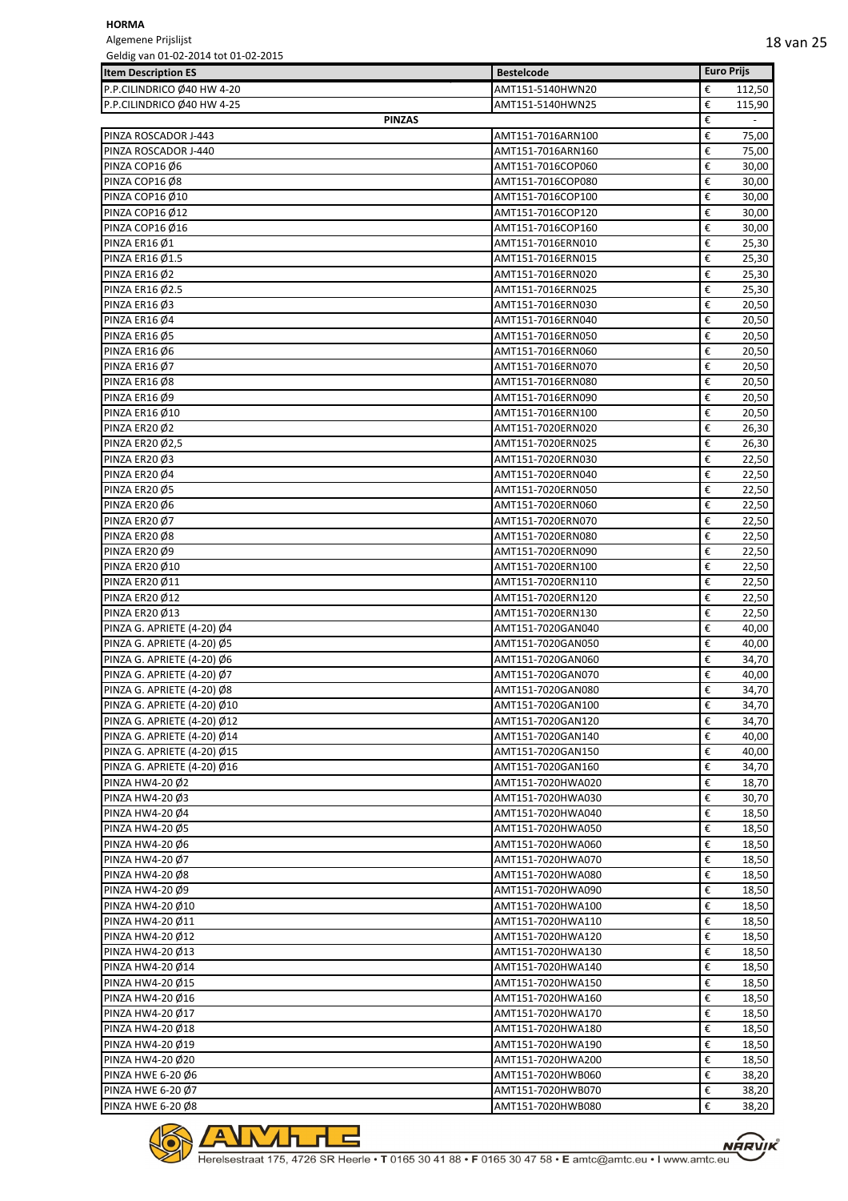Algemene Prijslijst Geldig van 01-02-2014 tot 01-02-2015

| GEINIG AND INTERFACTOR CONTINUES.<br><b>Item Description ES</b> |               | <b>Bestelcode</b> | <b>Euro Prijs</b> |        |
|-----------------------------------------------------------------|---------------|-------------------|-------------------|--------|
|                                                                 |               |                   |                   |        |
| P.P.CILINDRICO Ø40 HW 4-20                                      |               | AMT151-5140HWN20  | €<br>€            | 112,50 |
| P.P.CILINDRICO Ø40 HW 4-25                                      | <b>PINZAS</b> | AMT151-5140HWN25  | €                 | 115,90 |
| PINZA ROSCADOR J-443                                            |               | AMT151-7016ARN100 | €                 | 75,00  |
| PINZA ROSCADOR J-440                                            |               | AMT151-7016ARN160 | €                 | 75,00  |
| PINZA COP16 Ø6                                                  |               | AMT151-7016COP060 | €                 | 30,00  |
| PINZA COP16 Ø8                                                  |               | AMT151-7016COP080 | €                 | 30,00  |
| PINZA COP16 Ø10                                                 |               | AMT151-7016COP100 | €                 | 30,00  |
| PINZA COP16 Ø12                                                 |               | AMT151-7016COP120 | €                 | 30,00  |
| PINZA COP16 Ø16                                                 |               | AMT151-7016COP160 | €                 | 30,00  |
| PINZA ER16 Ø1                                                   |               | AMT151-7016ERN010 | €                 | 25,30  |
| PINZA ER16 Ø1.5                                                 |               | AMT151-7016ERN015 | €                 | 25,30  |
| PINZA ER16 Ø2                                                   |               | AMT151-7016ERN020 | €                 | 25,30  |
| PINZA ER16 Ø2.5                                                 |               | AMT151-7016ERN025 | €                 | 25,30  |
| PINZA ER16 Ø3                                                   |               | AMT151-7016ERN030 | €                 | 20,50  |
| PINZA ER16 Ø4                                                   |               | AMT151-7016ERN040 | €                 | 20,50  |
| PINZA ER16 Ø5                                                   |               | AMT151-7016ERN050 | €                 | 20,50  |
| PINZA ER16 Ø6                                                   |               | AMT151-7016ERN060 | €                 | 20,50  |
| PINZA ER16 Ø7                                                   |               | AMT151-7016ERN070 | €                 | 20,50  |
| PINZA ER16 Ø8                                                   |               | AMT151-7016ERN080 | €                 | 20,50  |
| PINZA ER16 Ø9                                                   |               | AMT151-7016ERN090 | €                 | 20,50  |
| <b>PINZA ER16 Ø10</b>                                           |               | AMT151-7016ERN100 | €                 | 20,50  |
| PINZA ER20 Ø2                                                   |               | AMT151-7020ERN020 | €                 | 26,30  |
| PINZA ER20 Ø2,5                                                 |               | AMT151-7020ERN025 | €                 | 26,30  |
| PINZA ER20 Ø3                                                   |               | AMT151-7020ERN030 | €                 | 22,50  |
| PINZA ER20 Ø4                                                   |               | AMT151-7020ERN040 | €                 | 22,50  |
| PINZA ER20 Ø5                                                   |               | AMT151-7020ERN050 | €                 | 22,50  |
| PINZA ER20 Ø6                                                   |               | AMT151-7020ERN060 | €                 | 22,50  |
| PINZA ER20 Ø7                                                   |               | AMT151-7020ERN070 | €                 | 22,50  |
| PINZA ER20 Ø8                                                   |               | AMT151-7020ERN080 | €                 | 22,50  |
| PINZA ER20 Ø9                                                   |               | AMT151-7020ERN090 | €                 | 22,50  |
| PINZA ER20 Ø10                                                  |               | AMT151-7020ERN100 | €                 | 22,50  |
| PINZA ER20 Ø11                                                  |               | AMT151-7020ERN110 | €                 | 22,50  |
| PINZA ER20 Ø12                                                  |               | AMT151-7020ERN120 | €                 | 22,50  |
| <b>PINZA ER20 Ø13</b>                                           |               | AMT151-7020ERN130 | €                 | 22,50  |
| PINZA G. APRIETE (4-20) Ø4                                      |               | AMT151-7020GAN040 | €                 | 40,00  |
| PINZA G. APRIETE (4-20) Ø5                                      |               | AMT151-7020GAN050 | €                 | 40,00  |
| PINZA G. APRIETE (4-20) Ø6                                      |               | AMT151-7020GAN060 | €                 | 34,70  |
| PINZA G. APRIETE (4-20) Ø7                                      |               | AMT151-7020GAN070 | €                 | 40,00  |
| PINZA G. APRIETE (4-20) Ø8                                      |               | AMT151-7020GAN080 | €                 | 34,70  |
| PINZA G. APRIETE (4-20) Ø10                                     |               | AMT151-7020GAN100 | €                 | 34,70  |
| PINZA G. APRIETE (4-20) Ø12                                     |               | AMT151-7020GAN120 | €                 | 34,70  |
| PINZA G. APRIETE (4-20) Ø14                                     |               | AMT151-7020GAN140 | €                 | 40,00  |
| PINZA G. APRIETE (4-20) Ø15                                     |               | AMT151-7020GAN150 | €                 | 40,00  |
| PINZA G. APRIETE (4-20) Ø16                                     |               | AMT151-7020GAN160 | €                 | 34,70  |
| PINZA HW4-20 Ø2                                                 |               | AMT151-7020HWA020 | €                 | 18,70  |
| PINZA HW4-20 Ø3                                                 |               | AMT151-7020HWA030 | €                 | 30,70  |
| PINZA HW4-20 Ø4                                                 |               | AMT151-7020HWA040 | €                 | 18,50  |
| PINZA HW4-20 Ø5                                                 |               | AMT151-7020HWA050 | €                 | 18,50  |
| PINZA HW4-20 Ø6                                                 |               | AMT151-7020HWA060 | €                 | 18,50  |
| PINZA HW4-20 Ø7                                                 |               | AMT151-7020HWA070 | €                 | 18,50  |
| PINZA HW4-20 Ø8                                                 |               | AMT151-7020HWA080 | €                 | 18,50  |
| PINZA HW4-20 Ø9                                                 |               | AMT151-7020HWA090 | €                 | 18,50  |
| PINZA HW4-20 Ø10                                                |               | AMT151-7020HWA100 | €                 | 18,50  |
| PINZA HW4-20 Ø11                                                |               | AMT151-7020HWA110 | €                 | 18,50  |
| PINZA HW4-20 Ø12                                                |               | AMT151-7020HWA120 | €                 | 18,50  |
| PINZA HW4-20 Ø13                                                |               | AMT151-7020HWA130 | €                 | 18,50  |
| PINZA HW4-20 Ø14                                                |               | AMT151-7020HWA140 | €                 | 18,50  |
| PINZA HW4-20 Ø15                                                |               | AMT151-7020HWA150 | €                 | 18,50  |
| PINZA HW4-20 Ø16                                                |               | AMT151-7020HWA160 | €                 | 18,50  |
| PINZA HW4-20 Ø17                                                |               | AMT151-7020HWA170 | €                 | 18,50  |
| PINZA HW4-20 Ø18                                                |               | AMT151-7020HWA180 | €                 | 18,50  |
| PINZA HW4-20 Ø19                                                |               | AMT151-7020HWA190 | €                 | 18,50  |
| PINZA HW4-20 Ø20                                                |               | AMT151-7020HWA200 | €                 | 18,50  |
| PINZA HWE 6-20 Ø6                                               |               | AMT151-7020HWB060 | €                 | 38,20  |
| PINZA HWE 6-20 Ø7                                               |               | AMT151-7020HWB070 | €                 | 38,20  |
| <b>PINZA HWE 6-20 Ø8</b>                                        |               | AMT151-7020HWB080 | €                 | 38,20  |

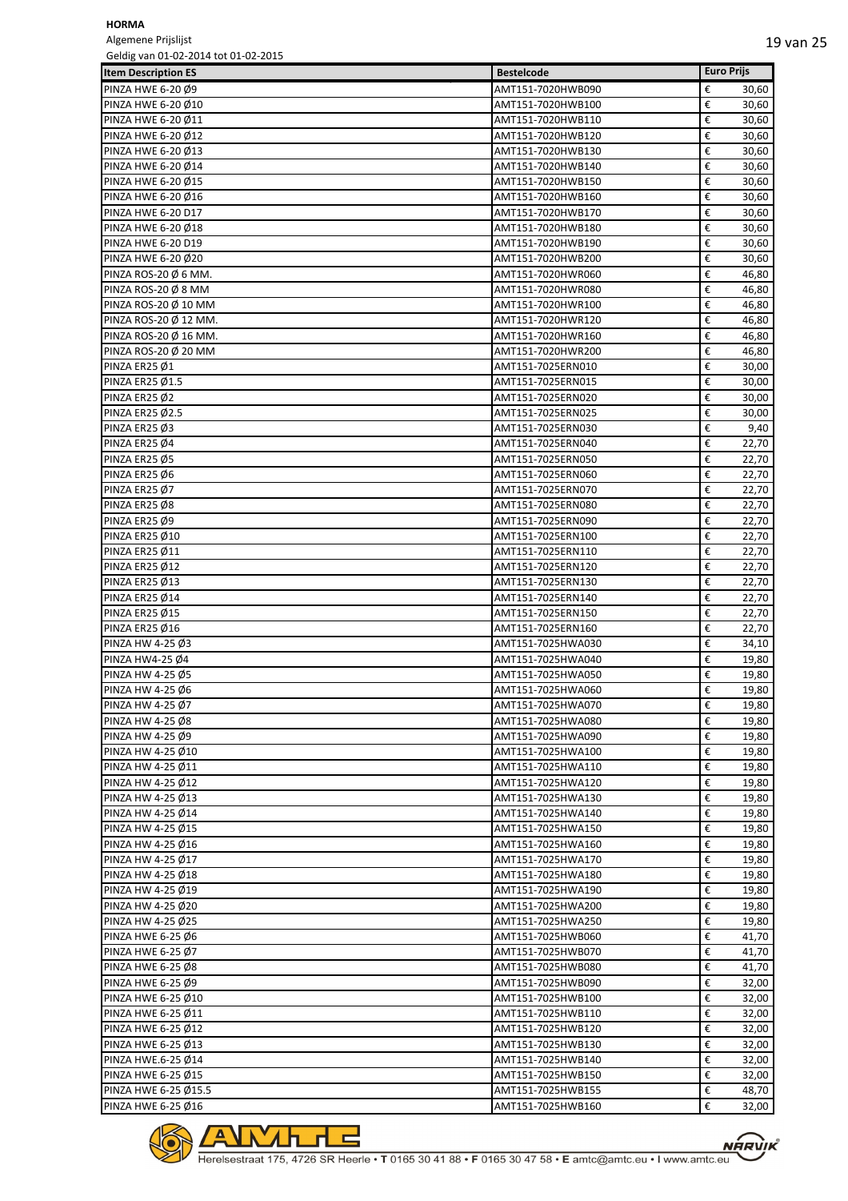Algemene Prijslijst Geldig van 01-02-2014 tot 01-02-2015

| Geldig van UI-02-2014 tot 01-02-2015 |                   |                   |       |
|--------------------------------------|-------------------|-------------------|-------|
| <b>Item Description ES</b>           | <b>Bestelcode</b> | <b>Euro Prijs</b> |       |
| PINZA HWE 6-20 Ø9                    | AMT151-7020HWB090 | €                 | 30,60 |
| PINZA HWE 6-20 Ø10                   | AMT151-7020HWB100 | €                 | 30,60 |
| PINZA HWE 6-20 Ø11                   | AMT151-7020HWB110 | €                 | 30,60 |
| PINZA HWE 6-20 Ø12                   | AMT151-7020HWB120 | €                 | 30,60 |
| PINZA HWE 6-20 Ø13                   | AMT151-7020HWB130 | €                 | 30,60 |
| PINZA HWE 6-20 Ø14                   | AMT151-7020HWB140 | €                 | 30,60 |
| PINZA HWE 6-20 Ø15                   | AMT151-7020HWB150 | €                 | 30,60 |
| PINZA HWE 6-20 Ø16                   | AMT151-7020HWB160 | €                 | 30,60 |
| PINZA HWE 6-20 D17                   | AMT151-7020HWB170 | €                 | 30,60 |
| PINZA HWE 6-20 Ø18                   | AMT151-7020HWB180 | €                 | 30,60 |
| PINZA HWE 6-20 D19                   | AMT151-7020HWB190 | €                 | 30,60 |
| PINZA HWE 6-20 Ø20                   | AMT151-7020HWB200 | €                 | 30,60 |
| PINZA ROS-20 $\emptyset$ 6 MM.       | AMT151-7020HWR060 | €                 | 46,80 |
| PINZA ROS-20 $\emptyset$ 8 MM        | AMT151-7020HWR080 | €                 | 46,80 |
| PINZA ROS-20 Ø 10 MM                 | AMT151-7020HWR100 | €                 | 46,80 |
| PINZA ROS-20 Ø 12 MM.                | AMT151-7020HWR120 | €                 | 46,80 |
| PINZA ROS-20 Ø 16 MM.                | AMT151-7020HWR160 | €                 | 46,80 |
| PINZA ROS-20 Ø 20 MM                 | AMT151-7020HWR200 | €                 | 46,80 |
| PINZA ER25 Ø1                        | AMT151-7025ERN010 | €                 | 30,00 |
| PINZA ER25 Ø1.5                      | AMT151-7025ERN015 | €                 | 30,00 |
| PINZA ER25 Ø2                        | AMT151-7025ERN020 | €                 | 30,00 |
| PINZA ER25 Ø2.5                      | AMT151-7025ERN025 | €                 | 30,00 |
| PINZA ER25 Ø3                        | AMT151-7025ERN030 | €                 | 9,40  |
| PINZA ER25 Ø4                        | AMT151-7025ERN040 | €                 | 22,70 |
| PINZA ER25 Ø5                        | AMT151-7025ERN050 | €                 | 22,70 |
| PINZA ER25 Ø6                        | AMT151-7025ERN060 | €                 | 22,70 |
| PINZA ER25 Ø7                        | AMT151-7025ERN070 | €                 | 22,70 |
|                                      |                   | €                 |       |
| PINZA ER25 Ø8                        | AMT151-7025ERN080 |                   | 22,70 |
| PINZA ER25 Ø9                        | AMT151-7025ERN090 | €                 | 22,70 |
| PINZA ER25 Ø10                       | AMT151-7025ERN100 | €                 | 22,70 |
| PINZA ER25 Ø11                       | AMT151-7025ERN110 | €                 | 22,70 |
| <b>PINZA ER25 Ø12</b>                | AMT151-7025ERN120 | €                 | 22,70 |
| PINZA ER25 Ø13                       | AMT151-7025ERN130 | €                 | 22,70 |
| PINZA ER25 Ø14                       | AMT151-7025ERN140 | €                 | 22,70 |
| PINZA ER25 Ø15                       | AMT151-7025ERN150 | €                 | 22,70 |
| PINZA ER25 Ø16                       | AMT151-7025ERN160 | €                 | 22,70 |
| PINZA HW 4-25 Ø3                     | AMT151-7025HWA030 | €                 | 34,10 |
| PINZA HW4-25 Ø4                      | AMT151-7025HWA040 | €                 | 19,80 |
| PINZA HW 4-25 Ø5                     | AMT151-7025HWA050 | €                 | 19,80 |
| PINZA HW 4-25 06                     | AMT151-7025HWA060 | €                 | 19,80 |
| PINZA HW 4-25 Ø7                     | AMT151-7025HWA070 | €                 | 19,80 |
| PINZA HW 4-25 Ø8                     | AMT151-7025HWA080 | €                 | 19,80 |
| PINZA HW 4-25 Ø9                     | AMT151-7025HWA090 | €                 | 19,80 |
| PINZA HW 4-25 Ø10                    | AMT151-7025HWA100 | €                 | 19,80 |
| PINZA HW 4-25 Ø11                    | AMT151-7025HWA110 | €                 | 19,80 |
| PINZA HW 4-25 Ø12                    | AMT151-7025HWA120 | €                 | 19,80 |
| PINZA HW 4-25 Ø13                    | AMT151-7025HWA130 | €                 | 19,80 |
| PINZA HW 4-25 Ø14                    | AMT151-7025HWA140 | €                 | 19,80 |
| PINZA HW 4-25 Ø15                    | AMT151-7025HWA150 | €                 | 19,80 |
| PINZA HW 4-25 Ø16                    | AMT151-7025HWA160 | €                 | 19,80 |
| PINZA HW 4-25 Ø17                    | AMT151-7025HWA170 | €                 | 19,80 |
| PINZA HW 4-25 Ø18                    | AMT151-7025HWA180 | €                 | 19,80 |
| PINZA HW 4-25 Ø19                    | AMT151-7025HWA190 | €                 | 19,80 |
| PINZA HW 4-25 Ø20                    | AMT151-7025HWA200 | €                 | 19,80 |
| PINZA HW 4-25 Ø25                    | AMT151-7025HWA250 | €                 | 19,80 |
| PINZA HWE 6-25 Ø6                    | AMT151-7025HWB060 | €                 | 41,70 |
| PINZA HWE 6-25 Ø7                    | AMT151-7025HWB070 | €                 | 41,70 |
| PINZA HWE 6-25 Ø8                    | AMT151-7025HWB080 | €                 | 41,70 |
| PINZA HWE 6-25 Ø9                    | AMT151-7025HWB090 | €                 | 32,00 |
| PINZA HWE 6-25 Ø10                   | AMT151-7025HWB100 | €                 | 32,00 |
|                                      |                   | €                 |       |
| PINZA HWE 6-25 Ø11                   | AMT151-7025HWB110 | €                 | 32,00 |
| PINZA HWE 6-25 Ø12                   | AMT151-7025HWB120 |                   | 32,00 |
| PINZA HWE 6-25 Ø13                   | AMT151-7025HWB130 | €                 | 32,00 |
| PINZA HWE.6-25 Ø14                   | AMT151-7025HWB140 | €                 | 32,00 |
| PINZA HWE 6-25 Ø15                   | AMT151-7025HWB150 | €                 | 32,00 |
| PINZA HWE 6-25 Ø15.5                 | AMT151-7025HWB155 | €                 | 48,70 |
| PINZA HWE 6-25 Ø16                   | AMT151-7025HWB160 | €                 | 32,00 |



<u>∕わ┎╒</u>

 $\overline{\phantom{a}}$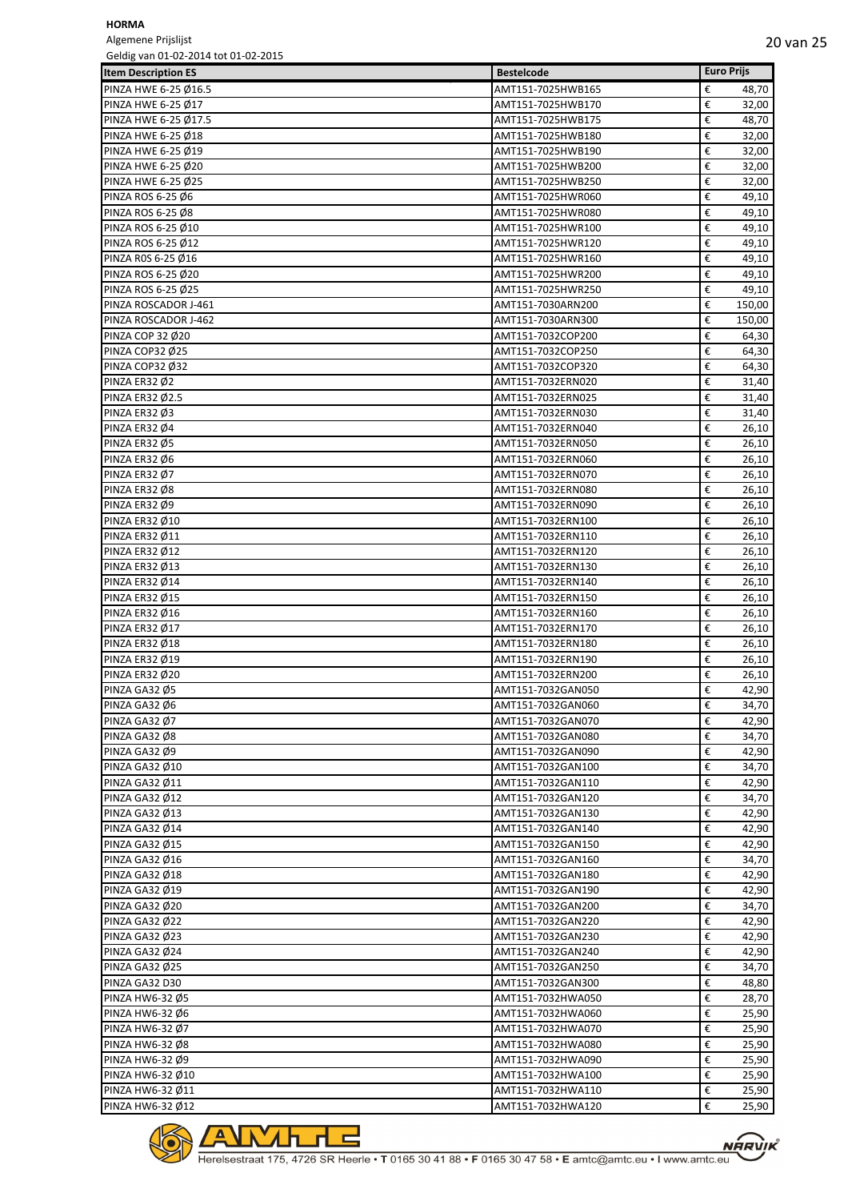Algemene Prijslijst Geldig van 01-02-2014 tot 01-02-2015

| Scraig varieties soll for other sections<br><b>Item Description ES</b> | <b>Bestelcode</b> | <b>Euro Prijs</b> |
|------------------------------------------------------------------------|-------------------|-------------------|
| PINZA HWE 6-25 Ø16.5                                                   | AMT151-7025HWB165 | €<br>48,70        |
| PINZA HWE 6-25 Ø17                                                     | AMT151-7025HWB170 | €<br>32,00        |
| PINZA HWE 6-25 Ø17.5                                                   | AMT151-7025HWB175 | €<br>48,70        |
| PINZA HWE 6-25 Ø18                                                     | AMT151-7025HWB180 | €<br>32,00        |
| PINZA HWE 6-25 Ø19                                                     | AMT151-7025HWB190 | €<br>32,00        |
| PINZA HWE 6-25 Ø20                                                     | AMT151-7025HWB200 | €<br>32,00        |
| PINZA HWE 6-25 Ø25                                                     | AMT151-7025HWB250 | €<br>32,00        |
| PINZA ROS 6-25 Ø6                                                      | AMT151-7025HWR060 | €<br>49,10        |
| PINZA ROS 6-25 Ø8                                                      | AMT151-7025HWR080 | €<br>49,10        |
| PINZA ROS 6-25 Ø10                                                     | AMT151-7025HWR100 | €<br>49,10        |
| PINZA ROS 6-25 Ø12                                                     | AMT151-7025HWR120 | €<br>49,10        |
| PINZA ROS 6-25 Ø16                                                     | AMT151-7025HWR160 | €<br>49,10        |
| PINZA ROS 6-25 Ø20                                                     | AMT151-7025HWR200 | €<br>49,10        |
| PINZA ROS 6-25 Ø25                                                     | AMT151-7025HWR250 | €<br>49,10        |
| PINZA ROSCADOR J-461                                                   | AMT151-7030ARN200 | €<br>150,00       |
| PINZA ROSCADOR J-462                                                   | AMT151-7030ARN300 | €<br>150,00       |
| PINZA COP 32 Ø20                                                       | AMT151-7032COP200 | €<br>64,30        |
| PINZA COP32 Ø25                                                        | AMT151-7032COP250 | €<br>64,30        |
| PINZA COP32 Ø32                                                        | AMT151-7032COP320 | €<br>64,30        |
| PINZA ER32 Ø2                                                          | AMT151-7032ERN020 | €<br>31,40        |
| PINZA ER32 Ø2.5                                                        | AMT151-7032ERN025 | €<br>31,40        |
| PINZA ER32 Ø3                                                          | AMT151-7032ERN030 | €<br>31,40        |
| PINZA ER32 Ø4                                                          | AMT151-7032ERN040 | €<br>26,10        |
| PINZA ER32 Ø5                                                          | AMT151-7032ERN050 | €<br>26,10        |
| PINZA ER32 Ø6                                                          | AMT151-7032ERN060 | €<br>26,10        |
| PINZA ER32 Ø7                                                          | AMT151-7032ERN070 | €<br>26,10        |
| PINZA ER32 Ø8                                                          | AMT151-7032ERN080 | €<br>26,10        |
| PINZA ER32 Ø9                                                          | AMT151-7032ERN090 | €<br>26,10        |
| PINZA ER32 Ø10                                                         | AMT151-7032ERN100 | €<br>26,10        |
| <b>PINZA ER32 Ø11</b>                                                  | AMT151-7032ERN110 | €<br>26,10        |
| PINZA ER32 Ø12                                                         | AMT151-7032ERN120 | €<br>26,10        |
| PINZA ER32 Ø13                                                         | AMT151-7032ERN130 | €<br>26,10        |
| PINZA ER32 Ø14                                                         | AMT151-7032ERN140 | €<br>26,10        |
| PINZA ER32 Ø15                                                         | AMT151-7032ERN150 | €<br>26,10        |
| PINZA ER32 Ø16                                                         | AMT151-7032ERN160 | €<br>26,10        |
| <b>PINZA ER32 Ø17</b>                                                  | AMT151-7032ERN170 | €<br>26,10        |
| PINZA ER32 Ø18                                                         | AMT151-7032ERN180 | €<br>26,10        |
| PINZA ER32 Ø19                                                         | AMT151-7032ERN190 | €<br>26,10        |
| PINZA ER32 Ø20                                                         | AMT151-7032ERN200 | €<br>26,10        |
| PINZA GA32 Ø5                                                          | AMT151-7032GAN050 | €<br>42,90        |
| PINZA GA32 Ø6                                                          | AMT151-7032GAN060 | €<br>34,70        |
| PINZA GA32 Ø7                                                          | AMT151-7032GAN070 | €<br>42,90        |
| PINZA GA32 Ø8                                                          | AMT151-7032GAN080 | €<br>34,70        |
| PINZA GA32 Ø9                                                          | AMT151-7032GAN090 | €<br>42,90        |
| PINZA GA32 Ø10                                                         | AMT151-7032GAN100 | €<br>34,70        |
| PINZA GA32 Ø11                                                         | AMT151-7032GAN110 | €<br>42,90        |
| <b>PINZA GA32 Ø12</b>                                                  | AMT151-7032GAN120 | €<br>34,70        |
| PINZA GA32 Ø13                                                         | AMT151-7032GAN130 | €<br>42,90        |
| PINZA GA32 Ø14                                                         | AMT151-7032GAN140 | €<br>42,90        |
| <b>PINZA GA32 Ø15</b>                                                  | AMT151-7032GAN150 | €<br>42,90        |
| <b>PINZA GA32 Ø16</b>                                                  | AMT151-7032GAN160 | €<br>34,70        |
| PINZA GA32 Ø18                                                         | AMT151-7032GAN180 | €<br>42,90        |
| PINZA GA32 Ø19                                                         | AMT151-7032GAN190 | €<br>42,90        |
| PINZA GA32 Ø20                                                         | AMT151-7032GAN200 | €<br>34,70        |
| <b>PINZA GA32 Ø22</b>                                                  | AMT151-7032GAN220 | €<br>42,90        |
| PINZA GA32 Ø23                                                         | AMT151-7032GAN230 | €<br>42,90        |
| <b>PINZA GA32 Ø24</b>                                                  | AMT151-7032GAN240 | €<br>42,90        |
| PINZA GA32 Ø25                                                         | AMT151-7032GAN250 | €<br>34,70        |
| PINZA GA32 D30                                                         | AMT151-7032GAN300 | €<br>48,80        |
| PINZA HW6-32 Ø5                                                        | AMT151-7032HWA050 | €<br>28,70        |
| PINZA HW6-32 Ø6                                                        | AMT151-7032HWA060 | €<br>25,90        |
| PINZA HW6-32 Ø7                                                        | AMT151-7032HWA070 | €<br>25,90        |
| PINZA HW6-32 Ø8                                                        | AMT151-7032HWA080 | €<br>25,90        |
| PINZA HW6-32 Ø9                                                        | AMT151-7032HWA090 | €<br>25,90        |
| PINZA HW6-32 Ø10                                                       | AMT151-7032HWA100 | €<br>25,90        |
| PINZA HW6-32 Ø11                                                       | AMT151-7032HWA110 | €<br>25,90        |
| PINZA HW6-32 Ø12                                                       | AMT151-7032HWA120 | €<br>25,90        |



 $\sqrt{2}$ 

 $\lambda$ 

<u>∕わ┎╒</u>

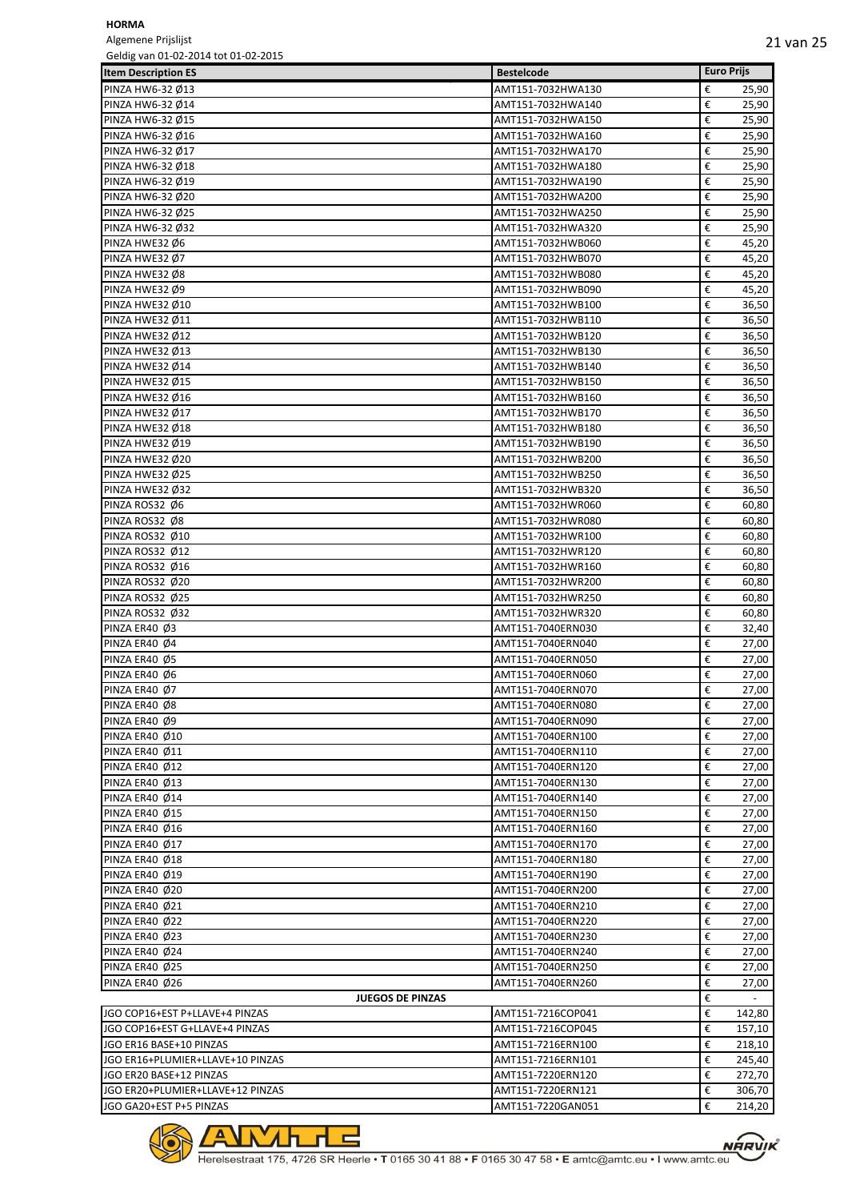Algemene Prijslijst Geldig van 01-02-2014 tot 01-02-2015

| GEINIG AND INTERFACTOR CONTROL OF A CHILD |                   |                   |        |
|-------------------------------------------|-------------------|-------------------|--------|
| <b>Item Description ES</b>                | <b>Bestelcode</b> | <b>Euro Prijs</b> |        |
| PINZA HW6-32 Ø13                          | AMT151-7032HWA130 | €                 | 25,90  |
| PINZA HW6-32 Ø14                          | AMT151-7032HWA140 | €                 | 25,90  |
| PINZA HW6-32 Ø15                          | AMT151-7032HWA150 | €                 | 25,90  |
| PINZA HW6-32 Ø16                          | AMT151-7032HWA160 | €                 | 25,90  |
| PINZA HW6-32 Ø17                          | AMT151-7032HWA170 | €                 | 25,90  |
| PINZA HW6-32 Ø18                          | AMT151-7032HWA180 | €                 | 25,90  |
| PINZA HW6-32 Ø19                          | AMT151-7032HWA190 | €                 | 25,90  |
| PINZA HW6-32 Ø20                          | AMT151-7032HWA200 | €                 | 25,90  |
| PINZA HW6-32 Ø25                          | AMT151-7032HWA250 | €                 | 25,90  |
| PINZA HW6-32 Ø32                          | AMT151-7032HWA320 | €                 | 25,90  |
| PINZA HWE32 Ø6                            | AMT151-7032HWB060 | €                 | 45,20  |
| PINZA HWE32 Ø7                            | AMT151-7032HWB070 | €                 | 45,20  |
| PINZA HWE32 Ø8                            | AMT151-7032HWB080 | €                 | 45,20  |
| PINZA HWE32 Ø9                            | AMT151-7032HWB090 | €                 | 45,20  |
| PINZA HWE32 Ø10                           | AMT151-7032HWB100 | €                 | 36,50  |
| PINZA HWE32 Ø11                           | AMT151-7032HWB110 | €                 | 36,50  |
| PINZA HWE32 Ø12                           | AMT151-7032HWB120 | €                 | 36,50  |
| PINZA HWE32 Ø13                           | AMT151-7032HWB130 | €                 | 36,50  |
| PINZA HWE32 Ø14                           | AMT151-7032HWB140 | €                 | 36,50  |
| PINZA HWE32 Ø15                           | AMT151-7032HWB150 | €                 | 36,50  |
| PINZA HWE32 Ø16                           | AMT151-7032HWB160 | €                 | 36,50  |
| PINZA HWE32 Ø17                           | AMT151-7032HWB170 | €                 | 36,50  |
|                                           |                   | €                 |        |
| PINZA HWE32 Ø18                           | AMT151-7032HWB180 |                   | 36,50  |
| PINZA HWE32 Ø19                           | AMT151-7032HWB190 | €                 | 36,50  |
| PINZA HWE32 Ø20                           | AMT151-7032HWB200 | €                 | 36,50  |
| PINZA HWE32 Ø25                           | AMT151-7032HWB250 | €                 | 36,50  |
| PINZA HWE32 Ø32                           | AMT151-7032HWB320 | €                 | 36,50  |
| PINZA ROS32 Ø6                            | AMT151-7032HWR060 | €                 | 60,80  |
| PINZA ROS32 Ø8                            | AMT151-7032HWR080 | €                 | 60,80  |
| PINZA ROS32 Ø10                           | AMT151-7032HWR100 | €                 | 60,80  |
| PINZA ROS32 Ø12                           | AMT151-7032HWR120 | €                 | 60,80  |
| PINZA ROS32 Ø16                           | AMT151-7032HWR160 | €                 | 60,80  |
| PINZA ROS32 Ø20                           | AMT151-7032HWR200 | €                 | 60,80  |
| PINZA ROS32 Ø25                           | AMT151-7032HWR250 | €                 | 60,80  |
| PINZA ROS32 Ø32                           | AMT151-7032HWR320 | €                 | 60,80  |
| PINZA ER40 Ø3                             | AMT151-7040ERN030 | €                 | 32,40  |
| PINZA ER40 Ø4                             | AMT151-7040ERN040 | €                 | 27,00  |
| PINZA ER40 Ø5                             | AMT151-7040ERN050 | €                 | 27,00  |
| PINZA ER40 Ø6                             | AMT151-7040ERN060 | €                 | 27,00  |
| PINZA ER40 Ø7                             | AMT151-7040ERN070 | €                 | 27,00  |
| PINZA ER40 Ø8                             | AMT151-7040ERN080 | €                 | 27,00  |
| PINZA ER40 Ø9                             | AMT151-7040ERN090 | €                 | 27,00  |
| <b>PINZA ER40 Ø10</b>                     | AMT151-7040ERN100 | €                 | 27,00  |
| PINZA ER40 Ø11                            | AMT151-7040ERN110 | €                 | 27,00  |
| PINZA ER40 Ø12                            | AMT151-7040ERN120 | €                 | 27,00  |
| PINZA ER40 Ø13                            | AMT151-7040ERN130 | €                 | 27,00  |
| PINZA ER40 Ø14                            | AMT151-7040ERN140 | €                 | 27,00  |
| PINZA ER40 Ø15                            | AMT151-7040ERN150 | €                 | 27,00  |
|                                           |                   | €                 |        |
| PINZA ER40 Ø16                            | AMT151-7040ERN160 |                   | 27,00  |
| PINZA ER40 Ø17                            | AMT151-7040ERN170 | €                 | 27,00  |
| PINZA ER40 Ø18                            | AMT151-7040ERN180 | €                 | 27,00  |
| PINZA ER40 Ø19                            | AMT151-7040ERN190 | €                 | 27,00  |
| PINZA ER40 Ø20                            | AMT151-7040ERN200 | €                 | 27,00  |
| PINZA ER40 Ø21                            | AMT151-7040ERN210 | €                 | 27,00  |
| PINZA ER40 Ø22                            | AMT151-7040ERN220 | €                 | 27,00  |
| PINZA ER40 Ø23                            | AMT151-7040ERN230 | €                 | 27,00  |
| PINZA ER40 Ø24                            | AMT151-7040ERN240 | €                 | 27,00  |
| PINZA ER40 Ø25                            | AMT151-7040ERN250 | €                 | 27,00  |
| PINZA ER40 Ø26                            | AMT151-7040ERN260 | €                 | 27,00  |
| <b>JUEGOS DE PINZAS</b>                   |                   | €                 |        |
| JGO COP16+EST P+LLAVE+4 PINZAS            | AMT151-7216COP041 | €                 | 142,80 |
| JGO COP16+EST G+LLAVE+4 PINZAS            | AMT151-7216COP045 | €                 | 157,10 |
| JGO ER16 BASE+10 PINZAS                   | AMT151-7216ERN100 | €                 | 218,10 |
| JGO ER16+PLUMIER+LLAVE+10 PINZAS          | AMT151-7216ERN101 | €                 | 245,40 |
| JGO ER20 BASE+12 PINZAS                   | AMT151-7220ERN120 | €                 | 272,70 |
| JGO ER20+PLUMIER+LLAVE+12 PINZAS          | AMT151-7220ERN121 | €                 | 306,70 |
| JGO GA20+EST P+5 PINZAS                   | AMT151-7220GAN051 | €                 | 214,20 |



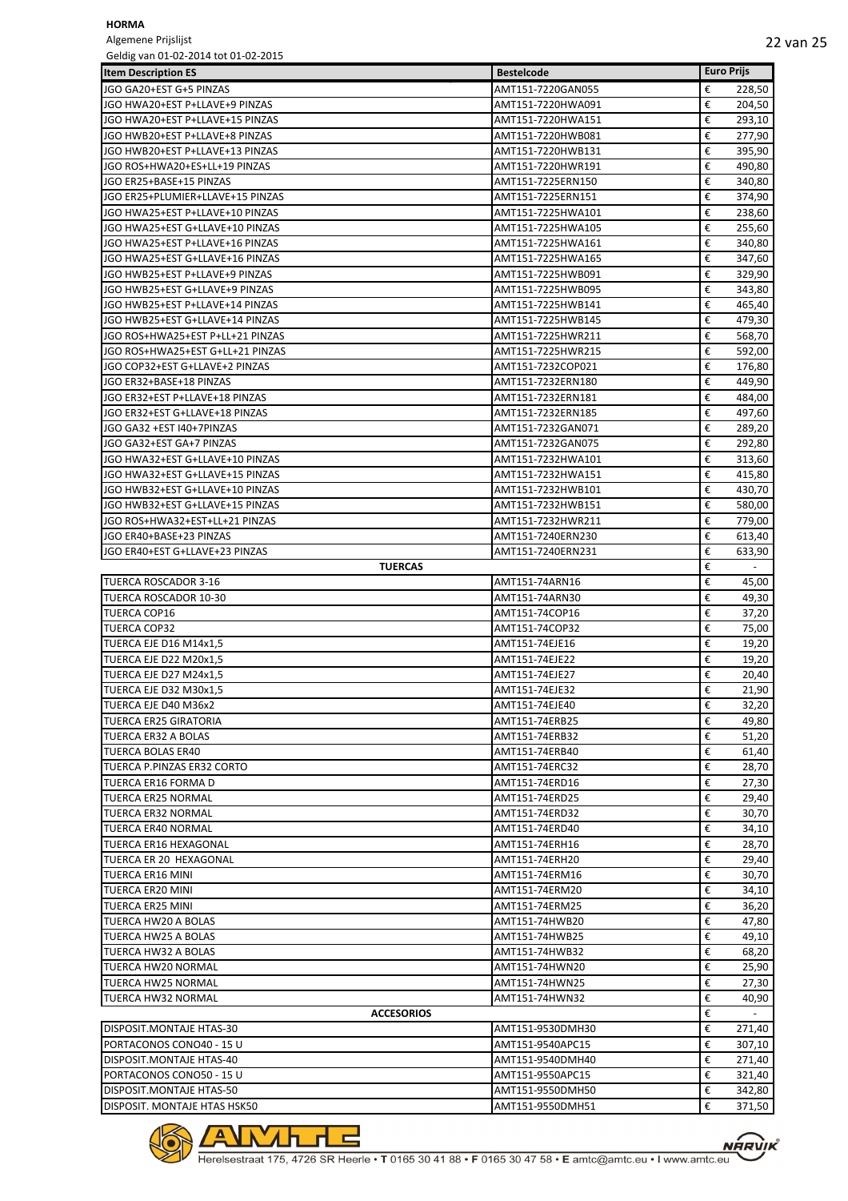Algemene Prijslijst

| Geldig van 01-02-2014 tot 01-02-2015             |                                  |                   |                |
|--------------------------------------------------|----------------------------------|-------------------|----------------|
| <b>Item Description ES</b>                       | <b>Bestelcode</b>                | <b>Euro Prijs</b> |                |
| JGO GA20+EST G+5 PINZAS                          | AMT151-7220GAN055                | €                 | 228,50         |
| JGO HWA20+EST P+LLAVE+9 PINZAS                   | AMT151-7220HWA091                | €                 | 204,50         |
| JGO HWA20+EST P+LLAVE+15 PINZAS                  | AMT151-7220HWA151                | €                 | 293,10         |
| JGO HWB20+EST P+LLAVE+8 PINZAS                   | AMT151-7220HWB081                | €                 | 277,90         |
| JGO HWB20+EST P+LLAVE+13 PINZAS                  | AMT151-7220HWB131                | €                 | 395,90         |
| JGO ROS+HWA20+ES+LL+19 PINZAS                    | AMT151-7220HWR191                | €                 | 490,80         |
| JGO ER25+BASE+15 PINZAS                          | AMT151-7225ERN150                | €                 | 340,80         |
| JGO ER25+PLUMIER+LLAVE+15 PINZAS                 | AMT151-7225ERN151                | €                 | 374,90         |
| JGO HWA25+EST P+LLAVE+10 PINZAS                  | AMT151-7225HWA101                | €                 | 238,60         |
| JGO HWA25+EST G+LLAVE+10 PINZAS                  | AMT151-7225HWA105                | €                 | 255,60         |
| JGO HWA25+EST P+LLAVE+16 PINZAS                  | AMT151-7225HWA161                | €                 | 340,80         |
| JGO HWA25+EST G+LLAVE+16 PINZAS                  | AMT151-7225HWA165                | €                 | 347,60         |
| JGO HWB25+EST P+LLAVE+9 PINZAS                   | AMT151-7225HWB091                | €                 | 329,90         |
| JGO HWB25+EST G+LLAVE+9 PINZAS                   | AMT151-7225HWB095                | €                 | 343,80         |
| JGO HWB25+EST P+LLAVE+14 PINZAS                  | AMT151-7225HWB141                | €                 | 465,40         |
| JGO HWB25+EST G+LLAVE+14 PINZAS                  | AMT151-7225HWB145                | €                 | 479,30         |
| JGO ROS+HWA25+EST P+LL+21 PINZAS                 | AMT151-7225HWR211                | €                 | 568,70         |
| JGO ROS+HWA25+EST G+LL+21 PINZAS                 | AMT151-7225HWR215                | €                 | 592,00         |
| JGO COP32+EST G+LLAVE+2 PINZAS                   | AMT151-7232COP021                | €                 | 176,80         |
| JGO ER32+BASE+18 PINZAS                          | AMT151-7232ERN180                | €                 | 449,90         |
| JGO ER32+EST P+LLAVE+18 PINZAS                   | AMT151-7232ERN181                | €                 | 484,00         |
| JGO ER32+EST G+LLAVE+18 PINZAS                   | AMT151-7232ERN185                | €                 | 497,60         |
| JGO GA32 +EST I40+7PINZAS                        | AMT151-7232GAN071                | €                 | 289,20         |
| JGO GA32+EST GA+7 PINZAS                         | AMT151-7232GAN075                | €                 | 292,80         |
| JGO HWA32+EST G+LLAVE+10 PINZAS                  | AMT151-7232HWA101                | €                 | 313,60         |
| JGO HWA32+EST G+LLAVE+15 PINZAS                  | AMT151-7232HWA151                | €                 | 415,80         |
| JGO HWB32+EST G+LLAVE+10 PINZAS                  | AMT151-7232HWB101                | €                 | 430,70         |
| JGO HWB32+EST G+LLAVE+15 PINZAS                  | AMT151-7232HWB151                | €                 | 580,00         |
| JGO ROS+HWA32+EST+LL+21 PINZAS                   | AMT151-7232HWR211                | €                 | 779,00         |
| JGO ER40+BASE+23 PINZAS                          | AMT151-7240ERN230                | €                 | 613,40         |
| JGO ER40+EST G+LLAVE+23 PINZAS                   | AMT151-7240ERN231                | €                 | 633,90         |
| <b>TUERCAS</b>                                   |                                  | €                 | $\blacksquare$ |
| <b>TUERCA ROSCADOR 3-16</b>                      | AMT151-74ARN16                   | €                 | 45,00          |
| TUERCA ROSCADOR 10-30                            | AMT151-74ARN30                   | €                 | 49,30          |
| <b>TUERCA COP16</b>                              |                                  | €                 |                |
| <b>TUERCA COP32</b>                              | AMT151-74COP16<br>AMT151-74COP32 | €                 | 37,20<br>75,00 |
|                                                  |                                  |                   |                |
| TUERCA EJE D16 M14x1,5<br>TUERCA EJE D22 M20x1,5 | AMT151-74EJE16                   | €                 | 19,20          |
|                                                  | AMT151-74EJE22                   | €                 | 19,20          |
| TUERCA EJE D27 M24x1,5                           | AMT151-74EJE27                   | €                 | 20,40          |
| TUERCA EJE D32 M30x1,5                           | AMT151-74EJE32                   | €                 | 21,90          |
| TUERCA EJE D40 M36x2                             | AMT151-74EJE40                   | €                 | 32,20          |
| TUERCA ER25 GIRATORIA                            | AMT151-74ERB25                   | €                 | 49,80          |
| TUERCA ER32 A BOLAS                              | AMT151-74ERB32                   | €                 | 51,20          |
| <b>TUERCA BOLAS ER40</b>                         | AMT151-74ERB40                   | €                 | 61,40          |
| TUERCA P.PINZAS ER32 CORTO                       | AMT151-74ERC32                   | €                 | 28,70          |
| TUERCA ER16 FORMA D                              | AMT151-74ERD16                   | €                 | 27,30          |
| <b>TUERCA ER25 NORMAL</b>                        | AMT151-74ERD25                   | €                 | 29,40          |
| TUERCA ER32 NORMAL                               | AMT151-74ERD32                   | €                 | 30,70          |
| TUERCA ER40 NORMAL                               | AMT151-74ERD40                   | €                 | 34,10          |
| <b>TUERCA ER16 HEXAGONAL</b>                     | AMT151-74ERH16                   | €                 | 28,70          |
| TUERCA ER 20 HEXAGONAL                           | AMT151-74ERH20                   | €                 | 29,40          |
| <b>TUERCA ER16 MINI</b>                          | AMT151-74ERM16                   | €                 | 30,70          |
| TUERCA ER20 MINI                                 | AMT151-74ERM20                   | €                 | 34,10          |
| TUERCA ER25 MINI                                 | AMT151-74ERM25                   | €                 | 36,20          |
| TUERCA HW20 A BOLAS                              | AMT151-74HWB20                   | €                 | 47,80          |
| TUERCA HW25 A BOLAS                              | AMT151-74HWB25                   | €                 | 49,10          |
| TUERCA HW32 A BOLAS                              | AMT151-74HWB32                   | €                 | 68,20          |
| TUERCA HW20 NORMAL                               | AMT151-74HWN20                   | €                 | 25,90          |
| TUERCA HW25 NORMAL                               | AMT151-74HWN25                   | €                 | 27,30          |
| <b>TUERCA HW32 NORMAL</b>                        | AMT151-74HWN32                   | €                 | 40,90          |
| <b>ACCESORIOS</b>                                |                                  | €                 | $\omega$       |
| DISPOSIT.MONTAJE HTAS-30                         | AMT151-9530DMH30                 | €                 | 271,40         |
| PORTACONOS CONO40 - 15 U                         | AMT151-9540APC15                 | €                 | 307,10         |
| DISPOSIT.MONTAJE HTAS-40                         | AMT151-9540DMH40                 | €                 | 271,40         |
| PORTACONOS CONO50 - 15 U                         | AMT151-9550APC15                 | €                 | 321,40         |
| DISPOSIT.MONTAJE HTAS-50                         | AMT151-9550DMH50                 | €                 | 342,80         |
| DISPOSIT. MONTAJE HTAS HSK50                     | AMT151-9550DMH51                 | €                 | 371,50         |

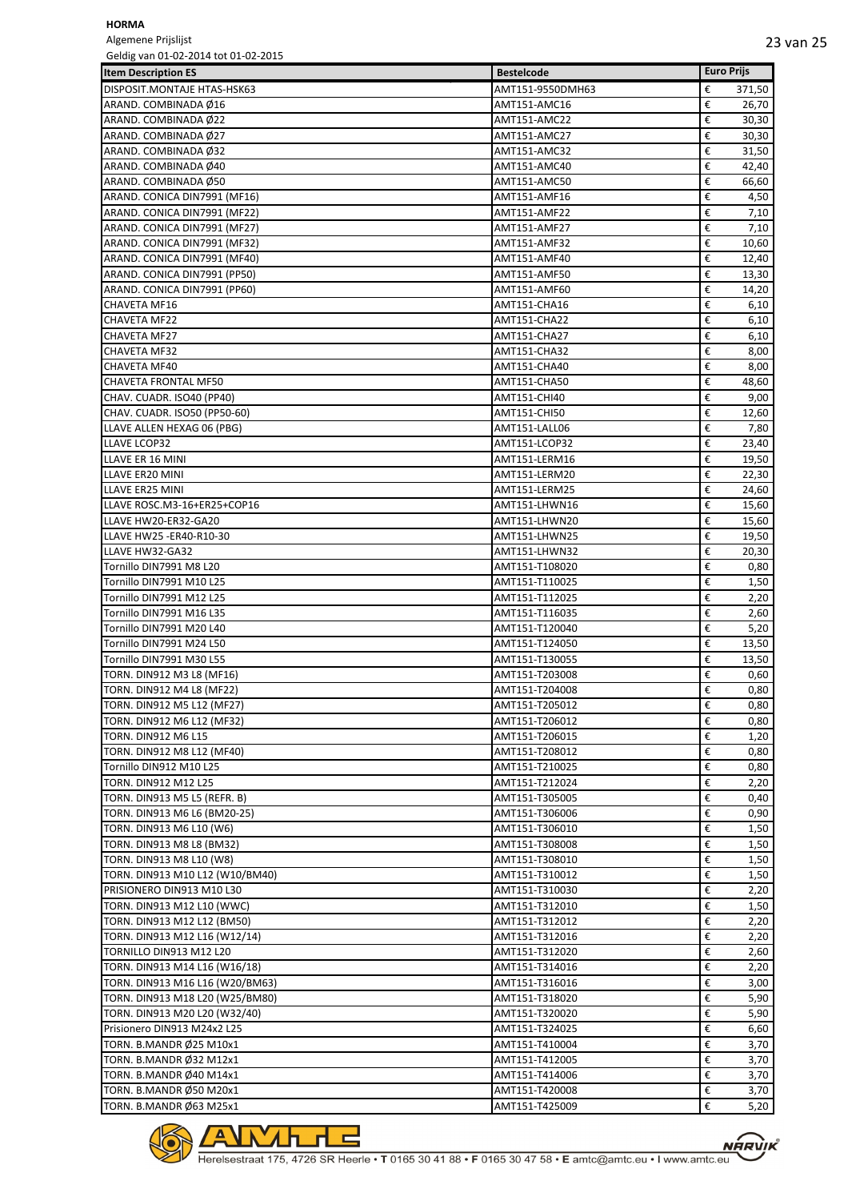Algemene Prijslijst

| Geldig van 01-02-2014 tot 01-02-2015 |                   |                   |
|--------------------------------------|-------------------|-------------------|
| <b>Item Description ES</b>           | <b>Bestelcode</b> | <b>Euro Prijs</b> |
| DISPOSIT.MONTAJE HTAS-HSK63          | AMT151-9550DMH63  | 371,50<br>€       |
| ARAND. COMBINADA Ø16                 | AMT151-AMC16      | €<br>26,70        |
| ARAND. COMBINADA Ø22                 | AMT151-AMC22      | €<br>30,30        |
| ARAND. COMBINADA Ø27                 | AMT151-AMC27      | €<br>30,30        |
| ARAND. COMBINADA Ø32                 | AMT151-AMC32      | €<br>31,50        |
| ARAND. COMBINADA Ø40                 | AMT151-AMC40      | €<br>42,40        |
| ARAND. COMBINADA Ø50                 | AMT151-AMC50      | €<br>66,60        |
| ARAND. CONICA DIN7991 (MF16)         |                   | €                 |
| ARAND. CONICA DIN7991 (MF22)         | AMT151-AMF16      | 4,50              |
|                                      | AMT151-AMF22      | €<br>7,10         |
| ARAND. CONICA DIN7991 (MF27)         | AMT151-AMF27      | €<br>7,10         |
| ARAND. CONICA DIN7991 (MF32)         | AMT151-AMF32      | €<br>10,60        |
| ARAND. CONICA DIN7991 (MF40)         | AMT151-AMF40      | €<br>12,40        |
| ARAND. CONICA DIN7991 (PP50)         | AMT151-AMF50      | €<br>13,30        |
| ARAND. CONICA DIN7991 (PP60)         | AMT151-AMF60      | €<br>14,20        |
| <b>CHAVETA MF16</b>                  | AMT151-CHA16      | €<br>6,10         |
| <b>CHAVETA MF22</b>                  | AMT151-CHA22      | €<br>6,10         |
| CHAVETA MF27                         | AMT151-CHA27      | €<br>6,10         |
| <b>CHAVETA MF32</b>                  | AMT151-CHA32      | €<br>8,00         |
| CHAVETA MF40                         | AMT151-CHA40      | €<br>8,00         |
| CHAVETA FRONTAL MF50                 | AMT151-CHA50      | €<br>48,60        |
| CHAV. CUADR. ISO40 (PP40)            | AMT151-CHI40      | €<br>9,00         |
| CHAV. CUADR. ISO50 (PP50-60)         | AMT151-CHI50      | €<br>12,60        |
| LLAVE ALLEN HEXAG 06 (PBG)           | AMT151-LALL06     | €<br>7,80         |
| <b>LLAVE LCOP32</b>                  | AMT151-LCOP32     | €<br>23,40        |
| LLAVE ER 16 MINI                     | AMT151-LERM16     | €<br>19,50        |
| LLAVE ER20 MINI                      | AMT151-LERM20     | €<br>22,30        |
|                                      |                   | €                 |
| LLAVE ER25 MINI                      | AMT151-LERM25     | 24,60             |
| LLAVE ROSC.M3-16+ER25+COP16          | AMT151-LHWN16     | €<br>15,60        |
| LLAVE HW20-ER32-GA20                 | AMT151-LHWN20     | 15,60<br>€        |
| LLAVE HW25 - ER40-R10-30             | AMT151-LHWN25     | €<br>19,50        |
| LLAVE HW32-GA32                      | AMT151-LHWN32     | €<br>20,30        |
| Tornillo DIN7991 M8 L20              | AMT151-T108020    | €<br>0,80         |
| Tornillo DIN7991 M10 L25             | AMT151-T110025    | €<br>1,50         |
| Tornillo DIN7991 M12 L25             | AMT151-T112025    | €<br>2,20         |
| Tornillo DIN7991 M16 L35             | AMT151-T116035    | €<br>2,60         |
| Tornillo DIN7991 M20 L40             | AMT151-T120040    | €<br>5,20         |
| Tornillo DIN7991 M24 L50             | AMT151-T124050    | €<br>13,50        |
| Tornillo DIN7991 M30 L55             | AMT151-T130055    | €<br>13,50        |
| TORN. DIN912 M3 L8 (MF16)            | AMT151-T203008    | €<br>0,60         |
| <b>TORN. DIN912 M4 L8 (MF22)</b>     | AMT151-T204008    | €<br>0,80         |
| TORN. DIN912 M5 L12 (MF27)           | AMT151-T205012    | €<br>0,80         |
| TORN. DIN912 M6 L12 (MF32)           | AMT151-T206012    | €<br>0,80         |
| TORN. DIN912 M6 L15                  | AMT151-T206015    | €<br>1,20         |
|                                      | AMT151-T208012    | €<br>0,80         |
| TORN. DIN912 M8 L12 (MF40)           |                   |                   |
| Tornillo DIN912 M10 L25              | AMT151-T210025    | €<br>0,80         |
| TORN. DIN912 M12 L25                 | AMT151-T212024    | €<br>2,20         |
| TORN. DIN913 M5 L5 (REFR. B)         | AMT151-T305005    | €<br>0,40         |
| TORN. DIN913 M6 L6 (BM20-25)         | AMT151-T306006    | €<br>0,90         |
| TORN. DIN913 M6 L10 (W6)             | AMT151-T306010    | €<br>1,50         |
| TORN. DIN913 M8 L8 (BM32)            | AMT151-T308008    | €<br>1,50         |
| TORN. DIN913 M8 L10 (W8)             | AMT151-T308010    | €<br>1,50         |
| TORN. DIN913 M10 L12 (W10/BM40)      | AMT151-T310012    | €<br>1,50         |
| PRISIONERO DIN913 M10 L30            | AMT151-T310030    | €<br>2,20         |
| TORN. DIN913 M12 L10 (WWC)           | AMT151-T312010    | €<br>1,50         |
| TORN. DIN913 M12 L12 (BM50)          | AMT151-T312012    | €<br>2,20         |
| TORN. DIN913 M12 L16 (W12/14)        | AMT151-T312016    | €<br>2,20         |
| TORNILLO DIN913 M12 L20              | AMT151-T312020    | €<br>2,60         |
| TORN. DIN913 M14 L16 (W16/18)        | AMT151-T314016    | €<br>2,20         |
| TORN. DIN913 M16 L16 (W20/BM63)      | AMT151-T316016    | €<br>3,00         |
|                                      |                   | €                 |
| TORN. DIN913 M18 L20 (W25/BM80)      | AMT151-T318020    | 5,90              |
| TORN. DIN913 M20 L20 (W32/40)        | AMT151-T320020    | €<br>5,90         |
| Prisionero DIN913 M24x2 L25          | AMT151-T324025    | €<br>6,60         |
| TORN. B.MANDR Ø25 M10x1              | AMT151-T410004    | €<br>3,70         |
| TORN. B.MANDR Ø32 M12x1              | AMT151-T412005    | €<br>3,70         |
| TORN. B.MANDR Ø40 M14x1              | AMT151-T414006    | €<br>3,70         |
| TORN. B.MANDR Ø50 M20x1              | AMT151-T420008    | €<br>3,70         |
| TORN. B.MANDR Ø63 M25x1              | AMT151-T425009    | €<br>5,20         |

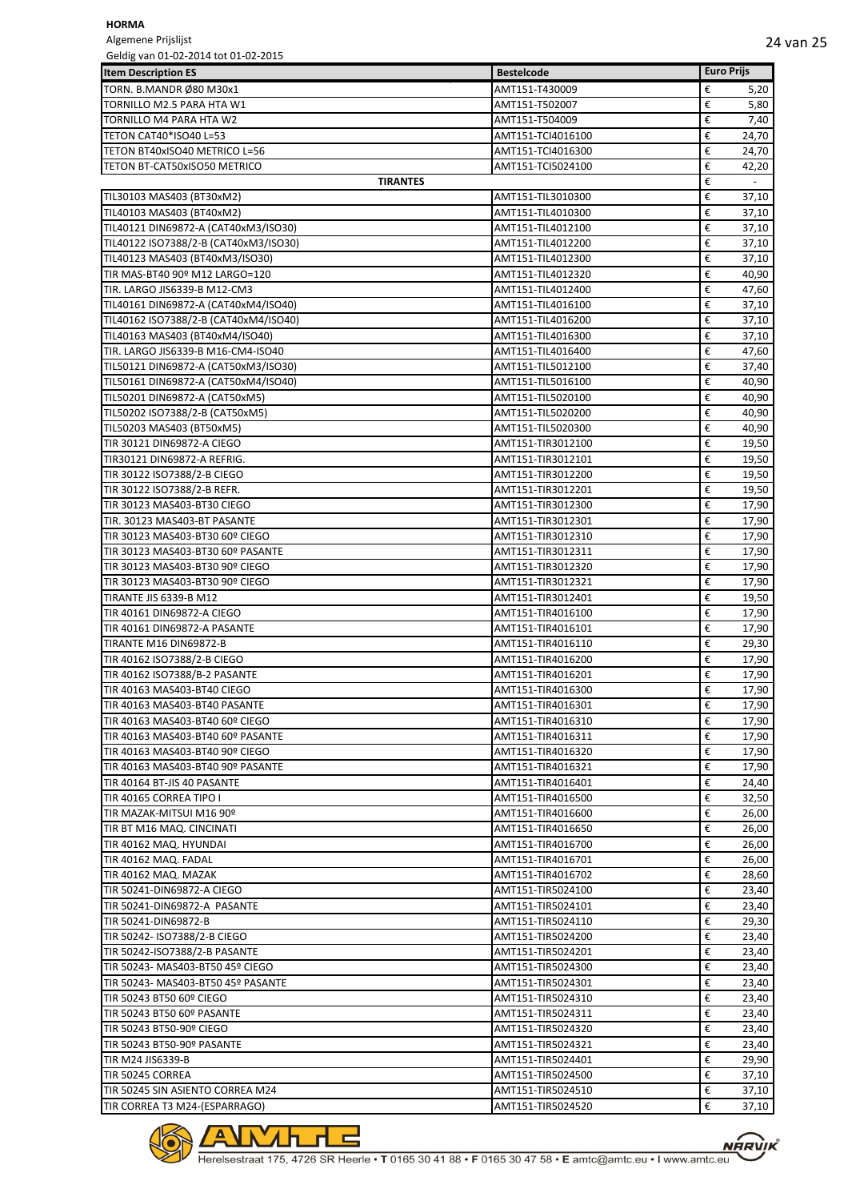Algemene Prijslijst Geldig van 01-02-2014 tot 01-02-2015

| <b>Item Description ES</b>                           | <b>Bestelcode</b>                      | <b>Euro Prijs</b>             |
|------------------------------------------------------|----------------------------------------|-------------------------------|
| TORN. B.MANDR Ø80 M30x1                              | AMT151-T430009                         | €<br>5,20                     |
| TORNILLO M2.5 PARA HTA W1                            | AMT151-T502007                         | €<br>5,80                     |
| TORNILLO M4 PARA HTA W2                              | AMT151-T504009                         | €<br>7,40                     |
| TETON CAT40*ISO40 L=53                               | AMT151-TCI4016100                      | €<br>24,70                    |
| TETON BT40xISO40 METRICO L=56                        | AMT151-TCI4016300                      | €<br>24,70                    |
| TETON BT-CAT50xISO50 METRICO                         | AMT151-TCI5024100                      | €<br>42,20                    |
| <b>TIRANTES</b>                                      |                                        | €<br>$\overline{\phantom{a}}$ |
| TIL30103 MAS403 (BT30xM2)                            | AMT151-TIL3010300                      | €<br>37,10                    |
| TIL40103 MAS403 (BT40xM2)                            | AMT151-TIL4010300                      | €<br>37,10                    |
| TIL40121 DIN69872-A (CAT40xM3/ISO30)                 | AMT151-TIL4012100                      | 37,10<br>€                    |
| TIL40122 ISO7388/2-B (CAT40xM3/ISO30)                | AMT151-TIL4012200                      | €<br>37,10                    |
| TIL40123 MAS403 (BT40xM3/ISO30)                      | AMT151-TIL4012300                      | €<br>37,10                    |
| TIR MAS-BT40 90º M12 LARGO=120                       | AMT151-TIL4012320                      | €<br>40,90                    |
| TIR. LARGO JIS6339-B M12-CM3                         | AMT151-TIL4012400                      | €<br>47,60                    |
| TIL40161 DIN69872-A (CAT40xM4/ISO40)                 | AMT151-TIL4016100                      | €<br>37,10                    |
| TIL40162 ISO7388/2-B (CAT40xM4/ISO40)                | AMT151-TIL4016200                      | €<br>37,10                    |
| TIL40163 MAS403 (BT40xM4/ISO40)                      | AMT151-TIL4016300                      | €<br>37,10                    |
| TIR. LARGO JIS6339-B M16-CM4-ISO40                   | AMT151-TIL4016400                      | €<br>47,60                    |
| TIL50121 DIN69872-A (CAT50xM3/ISO30)                 | AMT151-TIL5012100                      | €<br>37,40                    |
| TIL50161 DIN69872-A (CAT50xM4/ISO40)                 | AMT151-TIL5016100                      | €<br>40,90                    |
| TIL50201 DIN69872-A (CAT50xM5)                       | AMT151-TIL5020100                      | €<br>40,90                    |
| TIL50202 ISO7388/2-B (CAT50xM5)                      | AMT151-TIL5020200                      | €<br>40,90                    |
| TIL50203 MAS403 (BT50xM5)                            | AMT151-TIL5020300                      | €<br>40,90                    |
| TIR 30121 DIN69872-A CIEGO                           | AMT151-TIR3012100                      | €<br>19,50                    |
| TIR30121 DIN69872-A REFRIG.                          | AMT151-TIR3012101                      | €<br>19,50                    |
| TIR 30122 ISO7388/2-B CIEGO                          | AMT151-TIR3012200                      | €<br>19,50                    |
| TIR 30122 ISO7388/2-B REFR.                          | AMT151-TIR3012201                      | €<br>19,50                    |
| TIR 30123 MAS403-BT30 CIEGO                          | AMT151-TIR3012300                      | €<br>17,90                    |
| TIR. 30123 MAS403-BT PASANTE                         | AMT151-TIR3012301                      | €<br>17,90                    |
| TIR 30123 MAS403-BT30 60º CIEGO                      | AMT151-TIR3012310                      | €<br>17,90                    |
| TIR 30123 MAS403-BT30 60º PASANTE                    | AMT151-TIR3012311                      | €<br>17,90                    |
| TIR 30123 MAS403-BT30 90º CIEGO                      | AMT151-TIR3012320                      | €<br>17,90                    |
| TIR 30123 MAS403-BT30 90º CIEGO                      | AMT151-TIR3012321                      | €<br>17,90                    |
| TIRANTE JIS 6339-B M12                               | AMT151-TIR3012401                      | €<br>19,50                    |
| TIR 40161 DIN69872-A CIEGO                           | AMT151-TIR4016100                      | €<br>17,90                    |
| TIR 40161 DIN69872-A PASANTE                         | AMT151-TIR4016101                      | €<br>17,90                    |
| TIRANTE M16 DIN69872-B                               | AMT151-TIR4016110                      | €<br>29,30                    |
| TIR 40162 ISO7388/2-B CIEGO                          | AMT151-TIR4016200                      | €<br>17,90                    |
| TIR 40162 ISO7388/B-2 PASANTE                        | AMT151-TIR4016201                      | €<br>17,90                    |
| TIR 40163 MAS403-BT40 CIEGO                          | AMT151-TIR4016300                      | €<br>17,90                    |
| TIR 40163 MAS403-BT40 PASANTE                        | AMT151-TIR4016301                      | €<br>17,90                    |
| TIR 40163 MAS403-BT40 60º CIEGO                      | AMT151-TIR4016310                      | €<br>17,90                    |
| TIR 40163 MAS403-BT40 60º PASANTE                    | AMT151-TIR4016311                      | €<br>17,90                    |
| TIR 40163 MAS403-BT40 90º CIEGO                      | AMT151-TIR4016320                      | €<br>17,90                    |
| TIR 40163 MAS403-BT40 90º PASANTE                    | AMT151-TIR4016321                      | €<br>17,90                    |
| TIR 40164 BT-JIS 40 PASANTE                          | AMT151-TIR4016401                      | €<br>24,40                    |
| TIR 40165 CORREA TIPO I                              | AMT151-TIR4016500                      | €<br>32,50                    |
| TIR MAZAK-MITSUI M16 90º                             | AMT151-TIR4016600                      | €<br>26,00                    |
| TIR BT M16 MAQ. CINCINATI                            | AMT151-TIR4016650                      | €<br>26,00                    |
| TIR 40162 MAQ. HYUNDAI                               | AMT151-TIR4016700                      | €<br>26,00                    |
| TIR 40162 MAQ. FADAL                                 | AMT151-TIR4016701<br>AMT151-TIR4016702 | €<br>26,00<br>€               |
| TIR 40162 MAQ. MAZAK<br>TIR 50241-DIN69872-A CIEGO   | AMT151-TIR5024100                      | 28,60<br>€<br>23,40           |
|                                                      |                                        | €                             |
| TIR 50241-DIN69872-A PASANTE                         | AMT151-TIR5024101                      | 23,40<br>€                    |
| TIR 50241-DIN69872-B<br>TIR 50242- ISO7388/2-B CIEGO | AMT151-TIR5024110<br>AMT151-TIR5024200 | 29,30<br>€                    |
| TIR 50242-ISO7388/2-B PASANTE                        | AMT151-TIR5024201                      | 23,40<br>€<br>23,40           |
| TIR 50243- MAS403-BT50 45º CIEGO                     | AMT151-TIR5024300                      | €<br>23,40                    |
| TIR 50243- MAS403-BT50 45º PASANTE                   | AMT151-TIR5024301                      | €<br>23,40                    |
| TIR 50243 BT50 60º CIEGO                             | AMT151-TIR5024310                      | €<br>23,40                    |
| TIR 50243 BT50 60º PASANTE                           | AMT151-TIR5024311                      | €<br>23,40                    |
| TIR 50243 BT50-90º CIEGO                             | AMT151-TIR5024320                      | €<br>23,40                    |
| TIR 50243 BT50-90º PASANTE                           | AMT151-TIR5024321                      | €<br>23,40                    |
| TIR M24 JIS6339-B                                    | AMT151-TIR5024401                      | €<br>29,90                    |
| TIR 50245 CORREA                                     | AMT151-TIR5024500                      | €<br>37,10                    |
| TIR 50245 SIN ASIENTO CORREA M24                     | AMT151-TIR5024510                      | €<br>37,10                    |
| TIR CORREA T3 M24-(ESPARRAGO)                        | AMT151-TIR5024520                      | €<br>37,10                    |